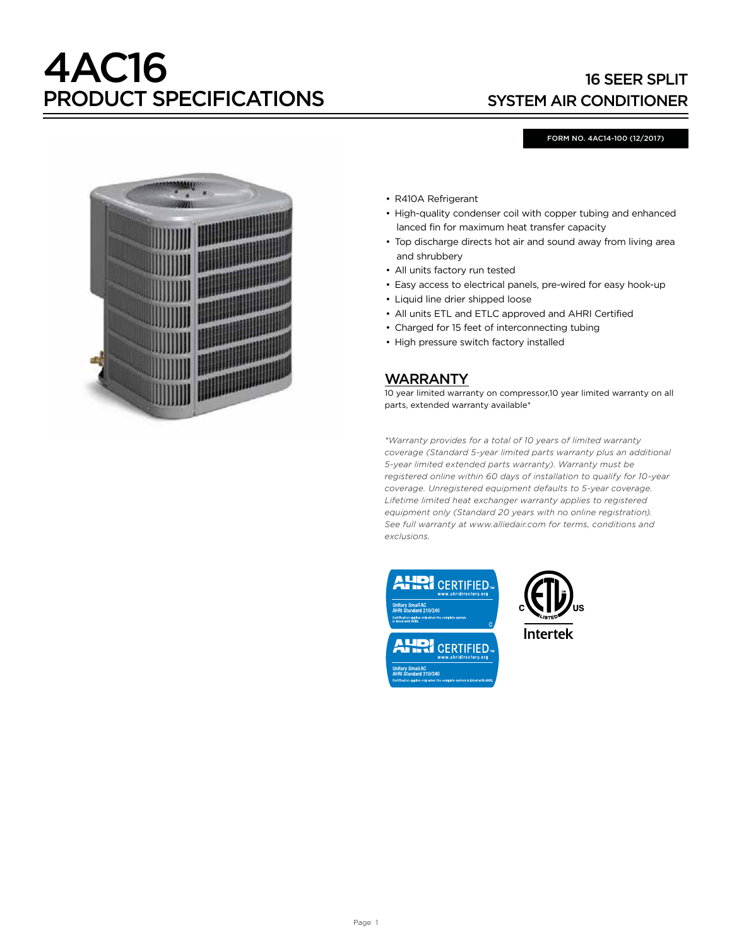# 4AC16 PRODUCT SPECIFICATIONS

## 16 SEER SPLIT SYSTEM AIR CONDITIONER

#### FORM NO. 4AC14-100 (12/2017)



- R410A Refrigerant
- High-quality condenser coil with copper tubing and enhanced lanced fin for maximum heat transfer capacity
- Top discharge directs hot air and sound away from living area and shrubbery
- All units factory run tested
- Easy access to electrical panels, pre-wired for easy hook-up
- Liquid line drier shipped loose
- All units ETL and ETLC approved and AHRI Certified
- Charged for 15 feet of interconnecting tubing
- High pressure switch factory installed

#### WARRANTY

10 year limited warranty on compressor,10 year limited warranty on all parts, extended warranty available\*

*\*Warranty provides for a total of 10 years of limited warranty coverage (Standard 5-year limited parts warranty plus an additional 5-year limited extended parts warranty). Warranty must be registered online within 60 days of installation to qualify for 10-year coverage. Unregistered equipment defaults to 5-year coverage. Lifetime limited heat exchanger warranty applies to registered equipment only (Standard 20 years with no online registration). See full warranty at www.alliedair.com for terms, conditions and exclusions.*





**Intertek**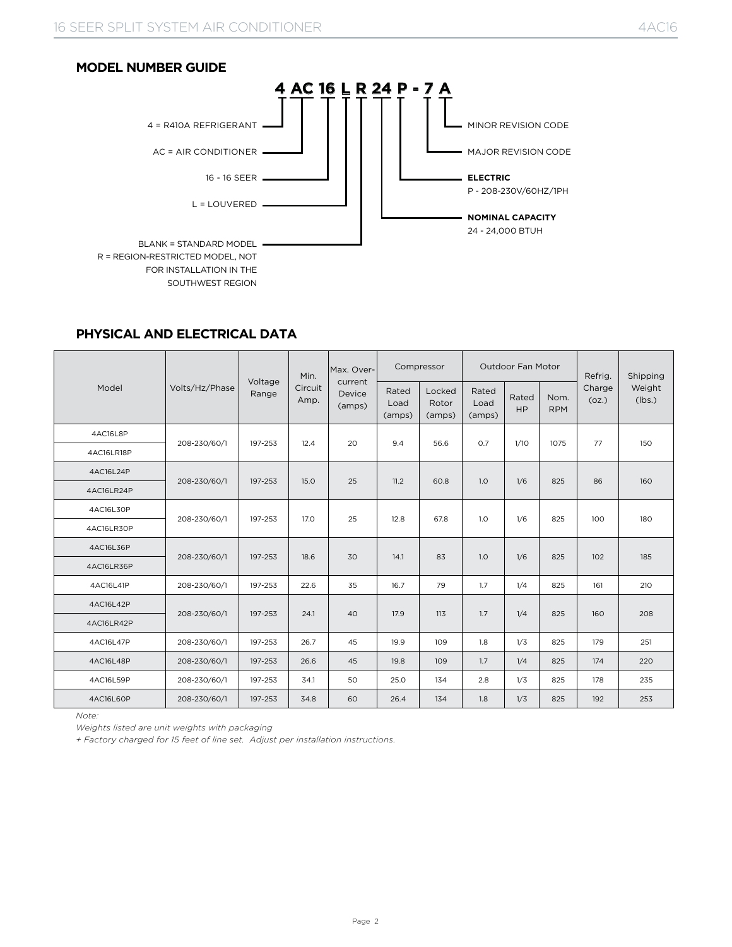

#### **PHYSICAL AND ELECTRICAL DATA**

|            |                |                  | Min.            | Max. Over-                  |                         | Compressor                |                         | <b>Outdoor Fan Motor</b> |                    | Refrig.         | Shipping         |
|------------|----------------|------------------|-----------------|-----------------------------|-------------------------|---------------------------|-------------------------|--------------------------|--------------------|-----------------|------------------|
| Model      | Volts/Hz/Phase | Voltage<br>Range | Circuit<br>Amp. | current<br>Device<br>(amps) | Rated<br>Load<br>(amps) | Locked<br>Rotor<br>(amps) | Rated<br>Load<br>(amps) | Rated<br><b>HP</b>       | Nom.<br><b>RPM</b> | Charge<br>(oz.) | Weight<br>(lbs.) |
| 4AC16L8P   | 208-230/60/1   | 197-253          | 12.4            | 20                          | 9.4                     | 56.6                      | O.7                     | 1/10                     | 1075               | 77              | 150              |
| 4AC16LR18P |                |                  |                 |                             |                         |                           |                         |                          |                    |                 |                  |
| 4AC16L24P  | 208-230/60/1   | 197-253          | 15.0            | 25                          | 11.2                    | 60.8                      | 1.0                     | 1/6                      | 825                | 86              | 160              |
| 4AC16LR24P |                |                  |                 |                             |                         |                           |                         |                          |                    |                 |                  |
| 4AC16L30P  | 208-230/60/1   | 197-253          | 17.0            | 25                          | 12.8                    | 67.8                      | 1.0                     | 1/6                      | 825                | 100             | 180              |
| 4AC16LR30P |                |                  |                 |                             |                         |                           |                         |                          |                    |                 |                  |
| 4AC16L36P  | 208-230/60/1   | 197-253          | 18.6            | 30                          | 14.1                    | 83                        | 1.0                     | 1/6                      | 825                | 102             | 185              |
| 4AC16LR36P |                |                  |                 |                             |                         |                           |                         |                          |                    |                 |                  |
| 4AC16L41P  | 208-230/60/1   | 197-253          | 22.6            | 35                          | 16.7                    | 79                        | 1.7                     | 1/4                      | 825                | 161             | 210              |
| 4AC16L42P  | 208-230/60/1   | 197-253          | 24.1            | 40                          | 17.9                    | 113                       | 1.7                     | 1/4                      | 825                | 160             | 208              |
| 4AC16LR42P |                |                  |                 |                             |                         |                           |                         |                          |                    |                 |                  |
| 4AC16L47P  | 208-230/60/1   | 197-253          | 26.7            | 45                          | 19.9                    | 109                       | 1.8                     | 1/3                      | 825                | 179             | 251              |
| 4AC16L48P  | 208-230/60/1   | 197-253          | 26.6            | 45                          | 19.8                    | 109                       | 1.7                     | 1/4                      | 825                | 174             | 220              |
| 4AC16L59P  | 208-230/60/1   | 197-253          | 34.1            | 50                          | 25.0                    | 134                       | 2.8                     | 1/3                      | 825                | 178             | 235              |
| 4AC16L60P  | 208-230/60/1   | 197-253          | 34.8            | 60                          | 26.4                    | 134                       | 1.8                     | 1/3                      | 825                | 192             | 253              |

*Note:* 

*Weights listed are unit weights with packaging* 

*+ Factory charged for 15 feet of line set. Adjust per installation instructions.*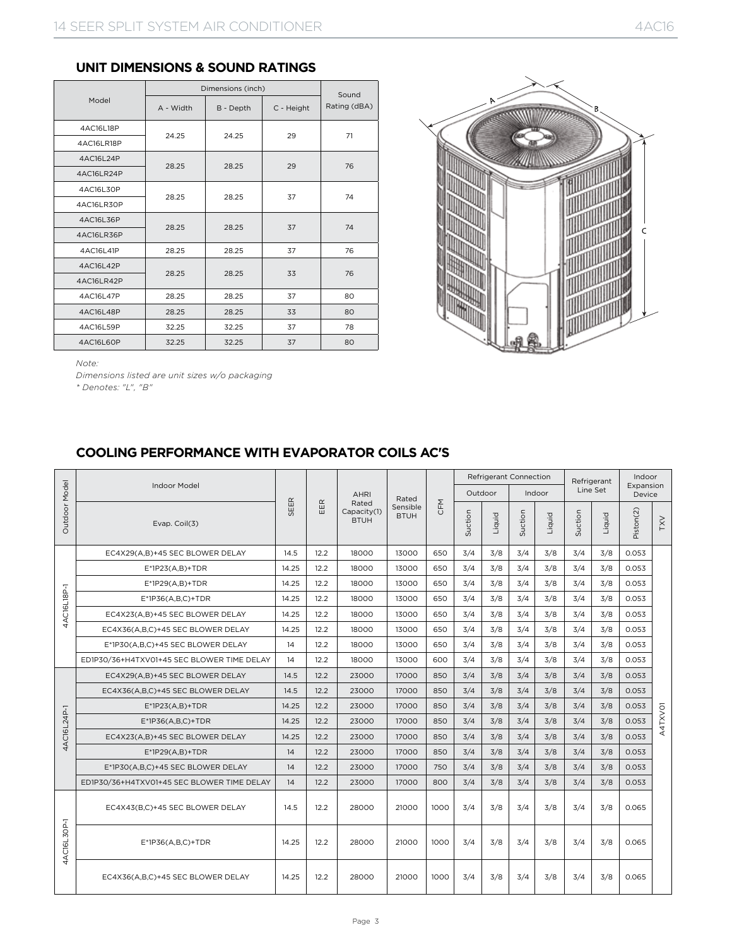#### **UNIT DIMENSIONS & SOUND RATINGS**

|            |           | Dimensions (inch) |            | Sound        |  |
|------------|-----------|-------------------|------------|--------------|--|
| Model      | A - Width | B - Depth         | C - Height | Rating (dBA) |  |
| 4AC16L18P  | 24.25     | 24.25             | 29         | 71           |  |
| 4AC16LR18P |           |                   |            |              |  |
| 4AC16L24P  | 28.25     | 28.25             | 29         | 76           |  |
| 4AC16LR24P |           |                   |            |              |  |
| 4AC16L30P  | 28.25     | 28.25             | 37         | 74           |  |
| 4AC16LR30P |           |                   |            |              |  |
| 4AC16L36P  | 28.25     | 28.25             | 37         | 74           |  |
| 4AC16LR36P |           |                   |            |              |  |
| 4AC16L41P  | 28.25     | 28.25             | 37         | 76           |  |
| 4AC16L42P  | 28.25     | 28.25             | 33         | 76           |  |
| 4AC16LR42P |           |                   |            |              |  |
| 4AC16L47P  | 28.25     | 28.25             | 37         | 80           |  |
| 4AC16L48P  | 28.25     | 28.25             | 33         | 80           |  |
| 4AC16L59P  | 32.25     | 32.25             | 37         | 78           |  |
| 4AC16L60P  | 32.25     | 32.25             | 37         | 80           |  |



*Note:* 

*Dimensions listed are unit sizes w/o packaging*

*\* Denotes: "L", "B"*

## **COOLING PERFORMANCE WITH EVAPORATOR COILS AC'S**

|               |                                            |       |      |                                     |                         |      |         | <b>Refrigerant Connection</b> |         |        |         | Refrigerant | Indoor              |            |
|---------------|--------------------------------------------|-------|------|-------------------------------------|-------------------------|------|---------|-------------------------------|---------|--------|---------|-------------|---------------------|------------|
|               | <b>Indoor Model</b>                        |       |      | <b>AHRI</b>                         | Rated                   |      | Outdoor |                               |         | Indoor |         | Line Set    | Expansion<br>Device |            |
| Outdoor Model | Evap. Coil(3)                              | SEER  | EER  | Rated<br>Capacity(1)<br><b>BTUH</b> | Sensible<br><b>BTUH</b> | CFM  | Suction | Liquid                        | Suction | Liquid | Suction | Liquid      | Piston(2)           | <b>LXA</b> |
|               | EC4X29(A,B)+45 SEC BLOWER DELAY            | 14.5  | 12.2 | 18000                               | 13000                   | 650  | 3/4     | 3/8                           | 3/4     | 3/8    | 3/4     | 3/8         | 0.053               |            |
|               | $E^*$ 1P23(A,B)+TDR                        | 14.25 | 12.2 | 18000                               | 13000                   | 650  | 3/4     | 3/8                           | 3/4     | 3/8    | 3/4     | 3/8         | 0.053               |            |
|               | $E^*1P29(A,B)+TDR$                         | 14.25 | 12.2 | 18000                               | 13000                   | 650  | 3/4     | 3/8                           | 3/4     | 3/8    | 3/4     | 3/8         | 0.053               |            |
| 4AC16L18P-1   | $E^*$ 1P36(A,B,C)+TDR                      | 14.25 | 12.2 | 18000                               | 13000                   | 650  | 3/4     | 3/8                           | 3/4     | 3/8    | 3/4     | 3/8         | 0.053               |            |
|               | EC4X23(A,B)+45 SEC BLOWER DELAY            | 14.25 | 12.2 | 18000                               | 13000                   | 650  | 3/4     | 3/8                           | 3/4     | 3/8    | 3/4     | 3/8         | 0.053               |            |
|               | EC4X36(A,B,C)+45 SEC BLOWER DELAY          | 14.25 | 12.2 | 18000                               | 13000                   | 650  | 3/4     | 3/8                           | 3/4     | 3/8    | 3/4     | 3/8         | 0.053               |            |
|               | E*1P30(A,B,C)+45 SEC BLOWER DELAY          | 14    | 12.2 | 18000                               | 13000                   | 650  | 3/4     | 3/8                           | 3/4     | 3/8    | 3/4     | 3/8         | 0.053               |            |
|               | ED1P30/36+H4TXV01+45 SEC BLOWER TIME DELAY | 14    | 12.2 | 18000                               | 13000                   | 600  | 3/4     | 3/8                           | 3/4     | 3/8    | 3/4     | 3/8         | 0.053               |            |
|               | EC4X29(A,B)+45 SEC BLOWER DELAY            | 14.5  | 12.2 | 23000                               | 17000                   | 850  | 3/4     | 3/8                           | 3/4     | 3/8    | 3/4     | 3/8         | 0.053               |            |
|               | EC4X36(A,B,C)+45 SEC BLOWER DELAY          | 14.5  | 12.2 | 23000                               | 17000                   | 850  | 3/4     | 3/8                           | 3/4     | 3/8    | 3/4     | 3/8         | 0.053               |            |
|               | $E^*1P23(A,B)+TDR$                         | 14.25 | 12.2 | 23000                               | 17000                   | 850  | 3/4     | 3/8                           | 3/4     | 3/8    | 3/4     | 3/8         | 0.053               |            |
| 4AC16L24P-1   | $E^*$ 1P36(A,B,C)+TDR                      | 14.25 | 12.2 | 23000                               | 17000                   | 850  | 3/4     | 3/8                           | 3/4     | 3/8    | 3/4     | 3/8         | 0.053               | A4TXV01    |
|               | EC4X23(A,B)+45 SEC BLOWER DELAY            | 14.25 | 12.2 | 23000                               | 17000                   | 850  | 3/4     | 3/8                           | 3/4     | 3/8    | 3/4     | 3/8         | 0.053               |            |
|               | $E^*$ 1P29(A,B)+TDR                        | 14    | 12.2 | 23000                               | 17000                   | 850  | 3/4     | 3/8                           | 3/4     | 3/8    | 3/4     | 3/8         | 0.053               |            |
|               | E*1P30(A,B,C)+45 SEC BLOWER DELAY          | 14    | 12.2 | 23000                               | 17000                   | 750  | 3/4     | 3/8                           | 3/4     | 3/8    | 3/4     | 3/8         | 0.053               |            |
|               | ED1P30/36+H4TXV01+45 SEC BLOWER TIME DELAY | 14    | 12.2 | 23000                               | 17000                   | 800  | 3/4     | 3/8                           | 3/4     | 3/8    | 3/4     | 3/8         | 0.053               |            |
|               | EC4X43(B,C)+45 SEC BLOWER DELAY            | 14.5  | 12.2 | 28000                               | 21000                   | 1000 | 3/4     | 3/8                           | 3/4     | 3/8    | 3/4     | 3/8         | 0.065               |            |
| 4AC16L30P-1   | $E^*$ 1P36(A,B,C)+TDR                      | 14.25 | 12.2 | 28000                               | 21000                   | 1000 | 3/4     | 3/8                           | 3/4     | 3/8    | 3/4     | 3/8         | 0.065               |            |
|               | EC4X36(A,B,C)+45 SEC BLOWER DELAY          | 14.25 | 12.2 | 28000                               | 21000                   | 1000 | 3/4     | 3/8                           | 3/4     | 3/8    | 3/4     | 3/8         | 0.065               |            |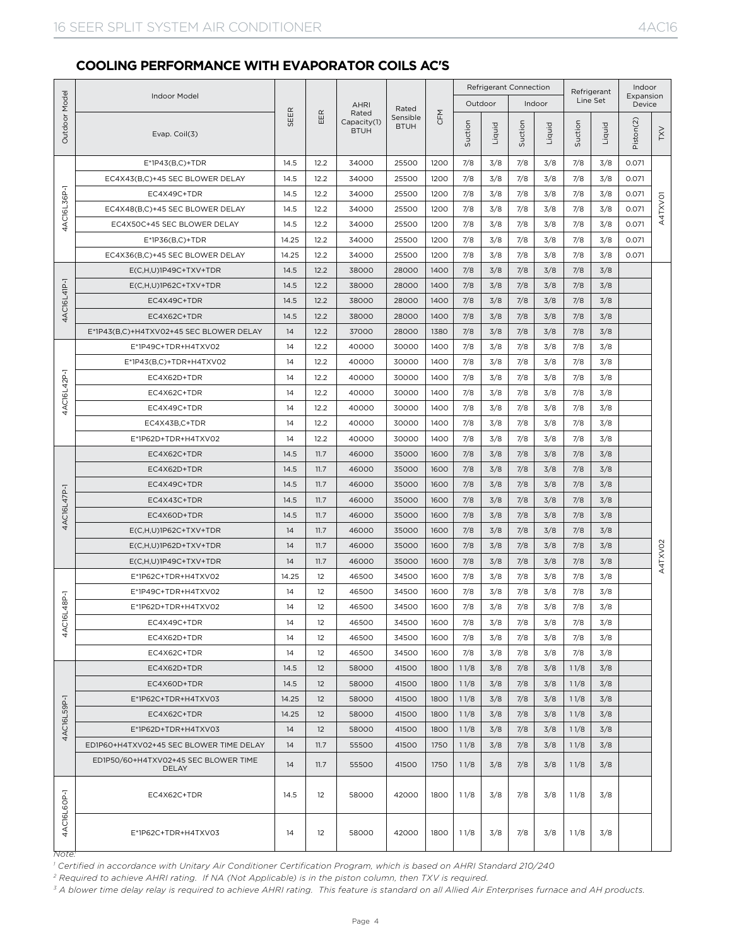#### **COOLING PERFORMANCE WITH EVAPORATOR COILS AC'S**

|               |                                               |       |      |                                     |                         |      |         | <b>Refrigerant Connection</b> |         |        | Refrigerant |          | Indoor              |         |
|---------------|-----------------------------------------------|-------|------|-------------------------------------|-------------------------|------|---------|-------------------------------|---------|--------|-------------|----------|---------------------|---------|
|               | Indoor Model                                  |       |      | <b>AHRI</b>                         | Rated                   |      |         | Outdoor                       |         | Indoor |             | Line Set | Expansion<br>Device |         |
| Outdoor Model | Evap. Coil(3)                                 | SEER  | EER  | Rated<br>Capacity(1)<br><b>BTUH</b> | Sensible<br><b>BTUH</b> | CFM  | Suction | Liquid                        | Suction | Liquid | Suction     | Liquid   | Piston(2)           | TXV     |
|               | $E^*$ 1P43(B,C)+TDR                           | 14.5  | 12.2 | 34000                               | 25500                   | 1200 | 7/8     | 3/8                           | 7/8     | 3/8    | 7/8         | 3/8      | 0.071               |         |
|               | EC4X43(B,C)+45 SEC BLOWER DELAY               | 14.5  | 12.2 | 34000                               | 25500                   | 1200 | 7/8     | 3/8                           | 7/8     | 3/8    | 7/8         | 3/8      | 0.071               |         |
|               | EC4X49C+TDR                                   | 14.5  | 12.2 | 34000                               | 25500                   | 1200 | 7/8     | 3/8                           | 7/8     | 3/8    | 7/8         | 3/8      | 0.071               |         |
| 4AC16L36P-1   | EC4X48(B,C)+45 SEC BLOWER DELAY               | 14.5  | 12.2 | 34000                               | 25500                   | 1200 | 7/8     | 3/8                           | 7/8     | 3/8    | 7/8         | 3/8      | 0.071               | A4TXVO1 |
|               | EC4X50C+45 SEC BLOWER DELAY                   | 14.5  | 12.2 | 34000                               | 25500                   | 1200 | 7/8     | 3/8                           | 7/8     | 3/8    | 7/8         | 3/8      | 0.071               |         |
|               | $E^*$ 1P36(B,C)+TDR                           | 14.25 | 12.2 | 34000                               | 25500                   | 1200 | 7/8     | 3/8                           | 7/8     | 3/8    | 7/8         | 3/8      | 0.071               |         |
|               | EC4X36(B,C)+45 SEC BLOWER DELAY               | 14.25 | 12.2 | 34000                               | 25500                   | 1200 | 7/8     | 3/8                           | 7/8     | 3/8    | 7/8         | 3/8      | 0.071               |         |
|               | E(C,H,U)1P49C+TXV+TDR                         | 14.5  | 12.2 | 38000                               | 28000                   | 1400 | 7/8     | 3/8                           | 7/8     | 3/8    | 7/8         | 3/8      |                     |         |
|               | E(C,H,U)1P62C+TXV+TDR                         | 14.5  | 12.2 | 38000                               | 28000                   | 1400 | 7/8     | 3/8                           | 7/8     | 3/8    | 7/8         | 3/8      |                     |         |
| 4AC16L41P-1   | EC4X49C+TDR                                   | 14.5  | 12.2 | 38000                               | 28000                   | 1400 | 7/8     | 3/8                           | 7/8     | 3/8    | 7/8         | 3/8      |                     |         |
|               | EC4X62C+TDR                                   | 14.5  | 12.2 | 38000                               | 28000                   | 1400 | 7/8     | 3/8                           | 7/8     | 3/8    | 7/8         | 3/8      |                     |         |
|               | E*1P43(B,C)+H4TXV02+45 SEC BLOWER DELAY       | 14    | 12.2 | 37000                               | 28000                   | 1380 | 7/8     | 3/8                           | 7/8     | 3/8    | 7/8         | 3/8      |                     |         |
|               | E*1P49C+TDR+H4TXV02                           | 14    | 12.2 | 40000                               | 30000                   | 1400 | 7/8     | 3/8                           | 7/8     | 3/8    | 7/8         | 3/8      |                     |         |
|               | E*1P43(B,C)+TDR+H4TXV02                       | 14    | 12.2 | 40000                               | 30000                   | 1400 | 7/8     | 3/8                           | 7/8     | 3/8    | 7/8         | 3/8      |                     |         |
| ā             | EC4X62D+TDR                                   | 14    | 12.2 | 40000                               | 30000                   | 1400 | 7/8     | 3/8                           | 7/8     | 3/8    | 7/8         | 3/8      |                     |         |
|               | EC4X62C+TDR                                   | 14    | 12.2 | 40000                               | 30000                   | 1400 | 7/8     | 3/8                           | 7/8     | 3/8    | 7/8         | 3/8      |                     |         |
| 4AC16L42      | EC4X49C+TDR                                   | 14    | 12.2 | 40000                               | 30000                   | 1400 | 7/8     | 3/8                           | 7/8     | 3/8    | 7/8         | 3/8      |                     |         |
|               | EC4X43B,C+TDR                                 | 14    | 12.2 | 40000                               | 30000                   | 1400 | 7/8     | 3/8                           | 7/8     | 3/8    | 7/8         | 3/8      |                     |         |
|               | E*1P62D+TDR+H4TXV02                           | 14    | 12.2 | 40000                               | 30000                   | 1400 | 7/8     | 3/8                           | 7/8     | 3/8    | 7/8         | 3/8      |                     |         |
|               | EC4X62C+TDR                                   | 14.5  | 11.7 | 46000                               | 35000                   | 1600 | 7/8     | 3/8                           | 7/8     | 3/8    | 7/8         | 3/8      |                     |         |
|               | EC4X62D+TDR                                   | 14.5  | 11.7 | 46000                               | 35000                   | 1600 | 7/8     | 3/8                           | 7/8     | 3/8    | 7/8         | 3/8      |                     |         |
|               | EC4X49C+TDR                                   | 14.5  | 11.7 | 46000                               | 35000                   | 1600 | 7/8     | 3/8                           | 7/8     | 3/8    | 7/8         | 3/8      |                     |         |
|               | EC4X43C+TDR                                   | 14.5  | 11.7 | 46000                               | 35000                   | 1600 | 7/8     | 3/8                           | 7/8     | 3/8    | 7/8         | 3/8      |                     |         |
| 4AC16L47P-1   | EC4X60D+TDR                                   | 14.5  | 11.7 | 46000                               | 35000                   | 1600 | 7/8     | 3/8                           | 7/8     | 3/8    | 7/8         | 3/8      |                     |         |
|               | $E(C,H,U)$ 1P62C+TXV+TDR                      | 14    | 11.7 | 46000                               | 35000                   | 1600 | 7/8     | 3/8                           | 7/8     | 3/8    | 7/8         | 3/8      |                     |         |
|               | E(C,H,U)1P62D+TXV+TDR                         | 14    | 11.7 | 46000                               | 35000                   | 1600 | 7/8     | 3/8                           | 7/8     | 3/8    | 7/8         | 3/8      |                     |         |
|               | $E(C,H,U)$ 1P49C+TXV+TDR                      | 14    | 11.7 | 46000                               | 35000                   | 1600 | 7/8     | 3/8                           | 7/8     | 3/8    | 7/8         | 3/8      |                     | A4TXVO2 |
|               | E*1P62C+TDR+H4TXV02                           | 14.25 | 12   | 46500                               | 34500                   | 1600 | 7/8     | 3/8                           | 7/8     | 3/8    | 7/8         | 3/8      |                     |         |
|               | E*1P49C+TDR+H4TXV02                           | 14    | 12   | 46500                               | 34500                   | 1600 | 7/8     | 3/8                           | 7/8     | 3/8    | 7/8         | 3/8      |                     |         |
| $L48P-1$      | E*1P62D+TDR+H4TXV02                           | 14    | 12   | 46500                               | 34500                   | 1600 | 7/8     | 3/8                           | 7/8     | 3/8    | 7/8         | 3/8      |                     |         |
| 4AC1          | EC4X49C+TDR                                   | 14    | 12   | 46500                               | 34500                   | 1600 | 7/8     | 3/8                           | 7/8     | 3/8    | 7/8         | 3/8      |                     |         |
|               | EC4X62D+TDR                                   | 14    | 12   | 46500                               | 34500                   | 1600 | 7/8     | 3/8                           | 7/8     | 3/8    | 7/8         | 3/8      |                     |         |
|               | EC4X62C+TDR                                   | 14    | 12   | 46500                               | 34500                   | 1600 | 7/8     | 3/8                           | 7/8     | 3/8    | 7/8         | 3/8      |                     |         |
|               | EC4X62D+TDR                                   | 14.5  | 12   | 58000                               | 41500                   | 1800 | 11/8    | 3/8                           | 7/8     | 3/8    | 11/8        | 3/8      |                     |         |
|               | EC4X60D+TDR                                   | 14.5  | 12   | 58000                               | 41500                   | 1800 | 11/8    | 3/8                           | 7/8     | 3/8    | 11/8        | 3/8      |                     |         |
|               | E*1P62C+TDR+H4TXV03                           | 14.25 | 12   | 58000                               | 41500                   | 1800 | 11/8    | 3/8                           | 7/8     | 3/8    | 11/8        | 3/8      |                     |         |
| 59P-1         | EC4X62C+TDR                                   | 14.25 | 12   | 58000                               | 41500                   | 1800 | 11/8    | 3/8                           | 7/8     | 3/8    | 11/8        | 3/8      |                     |         |
| 4AC16L        | E*1P62D+TDR+H4TXV03                           | 14    | 12   | 58000                               | 41500                   | 1800 | 11/8    | 3/8                           | 7/8     | 3/8    | 11/8        | 3/8      |                     |         |
|               | ED1P60+H4TXV02+45 SEC BLOWER TIME DELAY       | 14    | 11.7 | 55500                               | 41500                   | 1750 | 11/8    | 3/8                           | 7/8     | 3/8    | 11/8        | 3/8      |                     |         |
|               | ED1P50/60+H4TXV02+45 SEC BLOWER TIME<br>DELAY | 14    | 11.7 | 55500                               | 41500                   | 1750 | 11/8    | 3/8                           | 7/8     | 3/8    | 11/8        | 3/8      |                     |         |
| 4AC16L6OP-1   | EC4X62C+TDR                                   | 14.5  | 12   | 58000                               | 42000                   | 1800 | 11/8    | 3/8                           | 7/8     | 3/8    | 11/8        | 3/8      |                     |         |
|               | E*1P62C+TDR+H4TXV03                           | 14    | 12   | 58000                               | 42000                   | 1800 | 11/8    | 3/8                           | 7/8     | 3/8    | 11/8        | 3/8      |                     |         |

*Note:* 

<sup>1</sup> Certified in accordance with Unitary Air Conditioner Certification Program, which is based on AHRI Standard 210/240

<sup>2</sup> Required to achieve AHRI rating. If NA (Not Applicable) is in the piston column, then TXV is required.<br><sup>3</sup> A blower time delay relay is required to achieve AHRI rating. This feature is standard on all Allied Air Enterp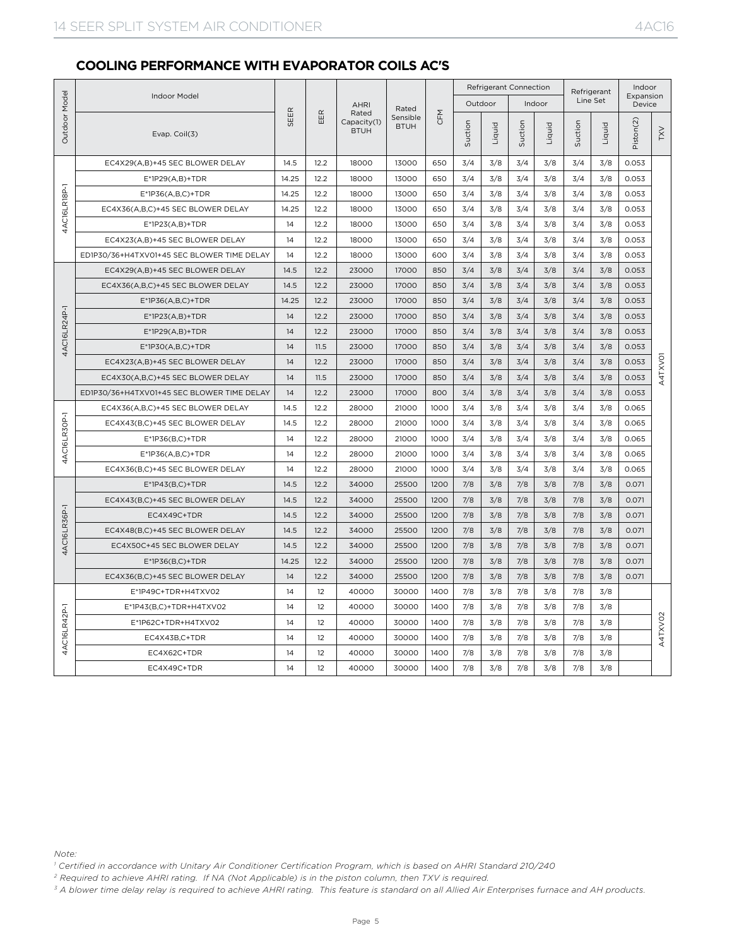#### **COOLING PERFORMANCE WITH EVAPORATOR COILS AC'S**

|              |                                            |       |      |                                     |                         |      |         | <b>Refrigerant Connection</b> |         |        |         | Refrigerant | Indoor                |                     |
|--------------|--------------------------------------------|-------|------|-------------------------------------|-------------------------|------|---------|-------------------------------|---------|--------|---------|-------------|-----------------------|---------------------|
| Model        | Indoor Model                               |       |      | <b>AHRI</b>                         | Rated                   |      |         | Outdoor                       |         | Indoor |         | Line Set    | Expansion<br>Device   |                     |
| Outdoor      | Evap. Coil(3)                              | SEER  | EER  | Rated<br>Capacity(1)<br><b>BTUH</b> | Sensible<br><b>BTUH</b> | CFM  | Suction | Liquid                        | Suction | Liquid | Suction | Liquid      | Piston <sub>(2)</sub> | <b>TXV</b>          |
|              | EC4X29(A,B)+45 SEC BLOWER DELAY            | 14.5  | 12.2 | 18000                               | 13000                   | 650  | 3/4     | 3/8                           | 3/4     | 3/8    | 3/4     | 3/8         | 0.053                 |                     |
|              | E*1P29(A,B)+TDR                            | 14.25 | 12.2 | 18000                               | 13000                   | 650  | 3/4     | 3/8                           | 3/4     | 3/8    | 3/4     | 3/8         | 0.053                 |                     |
|              | $E^*$ 1P36(A,B,C)+TDR                      | 14.25 | 12.2 | 18000                               | 13000                   | 650  | 3/4     | 3/8                           | 3/4     | 3/8    | 3/4     | 3/8         | 0.053                 |                     |
| 4AC16LR18P-1 | EC4X36(A,B,C)+45 SEC BLOWER DELAY          | 14.25 | 12.2 | 18000                               | 13000                   | 650  | 3/4     | 3/8                           | 3/4     | 3/8    | 3/4     | 3/8         | 0.053                 |                     |
|              | $E^*$ 1P23(A,B)+TDR                        | 14    | 12.2 | 18000                               | 13000                   | 650  | 3/4     | 3/8                           | 3/4     | 3/8    | 3/4     | 3/8         | 0.053                 |                     |
|              | EC4X23(A,B)+45 SEC BLOWER DELAY            | 14    | 12.2 | 18000                               | 13000                   | 650  | 3/4     | 3/8                           | 3/4     | 3/8    | 3/4     | 3/8         | 0.053                 |                     |
|              | ED1P30/36+H4TXV01+45 SEC BLOWER TIME DELAY | 14    | 12.2 | 18000                               | 13000                   | 600  | 3/4     | 3/8                           | 3/4     | 3/8    | 3/4     | 3/8         | 0.053                 |                     |
|              | EC4X29(A,B)+45 SEC BLOWER DELAY            | 14.5  | 12.2 | 23000                               | 17000                   | 850  | 3/4     | 3/8                           | 3/4     | 3/8    | 3/4     | 3/8         | 0.053                 |                     |
|              | EC4X36(A,B,C)+45 SEC BLOWER DELAY          | 14.5  | 12.2 | 23000                               | 17000                   | 850  | 3/4     | 3/8                           | 3/4     | 3/8    | 3/4     | 3/8         | 0.053                 |                     |
|              | $E^*$ 1P36(A,B,C)+TDR                      | 14.25 | 12.2 | 23000                               | 17000                   | 850  | 3/4     | 3/8                           | 3/4     | 3/8    | 3/4     | 3/8         | 0.053                 |                     |
|              | $E^*1P23(A,B)+TDR$                         | 14    | 12.2 | 23000                               | 17000                   | 850  | 3/4     | 3/8                           | 3/4     | 3/8    | 3/4     | 3/8         | 0.053                 |                     |
| 4AC16LR24P-1 | $E^*$ 1P29(A,B)+TDR                        | 14    | 12.2 | 23000                               | 17000                   | 850  | 3/4     | 3/8                           | 3/4     | 3/8    | 3/4     | 3/8         | 0.053                 |                     |
|              | $E^*$ 1P30(A,B,C)+TDR                      | 14    | 11.5 | 23000                               | 17000                   | 850  | 3/4     | 3/8                           | 3/4     | 3/8    | 3/4     | 3/8         | 0.053                 |                     |
|              | EC4X23(A,B)+45 SEC BLOWER DELAY            | 14    | 12.2 | 23000                               | 17000                   | 850  | 3/4     | 3/8                           | 3/4     | 3/8    | 3/4     | 3/8         | 0.053                 | A4TXVO1             |
|              | EC4X30(A,B,C)+45 SEC BLOWER DELAY          | 14    | 11.5 | 23000                               | 17000                   | 850  | 3/4     | 3/8                           | 3/4     | 3/8    | 3/4     | 3/8         | 0.053                 |                     |
|              | ED1P30/36+H4TXV01+45 SEC BLOWER TIME DELAY | 14    | 12.2 | 23000                               | 17000                   | 800  | 3/4     | 3/8                           | 3/4     | 3/8    | 3/4     | 3/8         | 0.053                 |                     |
|              | EC4X36(A,B,C)+45 SEC BLOWER DELAY          | 14.5  | 12.2 | 28000                               | 21000                   | 1000 | 3/4     | 3/8                           | 3/4     | 3/8    | 3/4     | 3/8         | 0.065                 |                     |
| 4AC16LR30P-1 | EC4X43(B,C)+45 SEC BLOWER DELAY            | 14.5  | 12.2 | 28000                               | 21000                   | 1000 | 3/4     | 3/8                           | 3/4     | 3/8    | 3/4     | 3/8         | 0.065                 |                     |
|              | $E^*$ 1P36(B,C)+TDR                        | 14    | 12.2 | 28000                               | 21000                   | 1000 | 3/4     | 3/8                           | 3/4     | 3/8    | 3/4     | 3/8         | 0.065                 |                     |
|              | $E*1P36(A,B,C)+TDR$                        | 14    | 12.2 | 28000                               | 21000                   | 1000 | 3/4     | 3/8                           | 3/4     | 3/8    | 3/4     | 3/8         | 0.065                 |                     |
|              | EC4X36(B,C)+45 SEC BLOWER DELAY            | 14    | 12.2 | 28000                               | 21000                   | 1000 | 3/4     | 3/8                           | 3/4     | 3/8    | 3/4     | 3/8         | 0.065                 |                     |
|              | $E^*$ 1P43(B,C)+TDR                        | 14.5  | 12.2 | 34000                               | 25500                   | 1200 | 7/8     | 3/8                           | 7/8     | 3/8    | 7/8     | 3/8         | 0.071                 |                     |
|              | EC4X43(B,C)+45 SEC BLOWER DELAY            | 14.5  | 12.2 | 34000                               | 25500                   | 1200 | 7/8     | 3/8                           | 7/8     | 3/8    | 7/8     | 3/8         | 0.071                 |                     |
|              | EC4X49C+TDR                                | 14.5  | 12.2 | 34000                               | 25500                   | 1200 | 7/8     | 3/8                           | 7/8     | 3/8    | 7/8     | 3/8         | 0.071                 |                     |
| 4AC16LR36P-1 | EC4X48(B,C)+45 SEC BLOWER DELAY            | 14.5  | 12.2 | 34000                               | 25500                   | 1200 | 7/8     | 3/8                           | 7/8     | 3/8    | 7/8     | 3/8         | 0.071                 |                     |
|              | EC4X50C+45 SEC BLOWER DELAY                | 14.5  | 12.2 | 34000                               | 25500                   | 1200 | 7/8     | 3/8                           | 7/8     | 3/8    | 7/8     | 3/8         | 0.071                 |                     |
|              | $E^*$ 1P36(B,C)+TDR                        | 14.25 | 12.2 | 34000                               | 25500                   | 1200 | 7/8     | 3/8                           | 7/8     | 3/8    | 7/8     | 3/8         | 0.071                 |                     |
|              | EC4X36(B,C)+45 SEC BLOWER DELAY            | 14    | 12.2 | 34000                               | 25500                   | 1200 | 7/8     | 3/8                           | 7/8     | 3/8    | 7/8     | 3/8         | 0.071                 |                     |
|              | E*1P49C+TDR+H4TXV02                        | 14    | 12   | 40000                               | 30000                   | 1400 | 7/8     | 3/8                           | 7/8     | 3/8    | 7/8     | 3/8         |                       |                     |
|              | E*1P43(B,C)+TDR+H4TXV02                    | 14    | 12   | 40000                               | 30000                   | 1400 | 7/8     | 3/8                           | 7/8     | 3/8    | 7/8     | 3/8         |                       |                     |
|              | E*1P62C+TDR+H4TXV02                        | 14    | 12   | 40000                               | 30000                   | 1400 | 7/8     | 3/8                           | 7/8     | 3/8    | 7/8     | 3/8         |                       |                     |
| 4AC16LR42P-1 | EC4X43B,C+TDR                              | 14    | 12   | 40000                               | 30000                   | 1400 | 7/8     | 3/8                           | 7/8     | 3/8    | 7/8     | 3/8         |                       | A4TXVO <sub>2</sub> |
|              | EC4X62C+TDR                                | 14    | 12   | 40000                               | 30000                   | 1400 | 7/8     | 3/8                           | 7/8     | 3/8    | 7/8     | 3/8         |                       |                     |
|              | EC4X49C+TDR                                | 14    | 12   | 40000                               | 30000                   | 1400 | 7/8     | 3/8                           | 7/8     | 3/8    | 7/8     | 3/8         |                       |                     |

*Note:* 

<sup>1</sup> Certified in accordance with Unitary Air Conditioner Certification Program, which is based on AHRI Standard 210/240

<sup>2</sup> Required to achieve AHRI rating. If NA (Not Applicable) is in the piston column, then TXV is required.<br><sup>3</sup> A blower time delay relay is required to achieve AHRI rating. This feature is standard on all Allied Air Enterp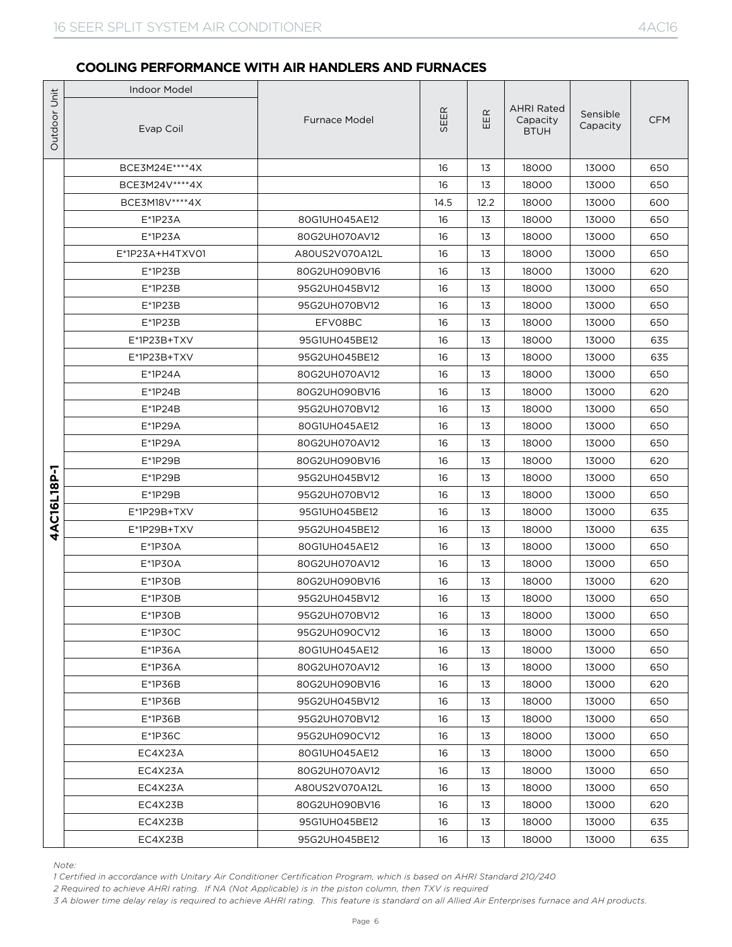|                   | <b>Indoor Model</b> |                      |      |      |                                              |                      |            |
|-------------------|---------------------|----------------------|------|------|----------------------------------------------|----------------------|------------|
| Outdoor Unit      | Evap Coil           | <b>Furnace Model</b> | SEER | EER  | <b>AHRI Rated</b><br>Capacity<br><b>BTUH</b> | Sensible<br>Capacity | <b>CFM</b> |
|                   | BCE3M24E****4X      |                      | 16   | 13   | 18000                                        | 13000                | 650        |
|                   | BCE3M24V****4X      |                      | 16   | 13   | 18000                                        | 13000                | 650        |
|                   | BCE3M18V****4X      |                      | 14.5 | 12.2 | 18000                                        | 13000                | 600        |
|                   | $E*1P23A$           | 80G1UH045AE12        | 16   | 13   | 18000                                        | 13000                | 650        |
|                   | $E^*$ 1P23A         | 80G2UH070AV12        | 16   | 13   | 18000                                        | 13000                | 650        |
|                   | E*1P23A+H4TXV01     | A80US2V070A12L       | 16   | 13   | 18000                                        | 13000                | 650        |
|                   | $E^*$ 1P23B         | 80G2UH090BV16        | 16   | 13   | 18000                                        | 13000                | 620        |
|                   | $E*1P23B$           | 95G2UH045BV12        | 16   | 13   | 18000                                        | 13000                | 650        |
|                   | $E*1P23B$           | 95G2UH070BV12        | 16   | 13   | 18000                                        | 13000                | 650        |
|                   | E*1P23B             | EFV08BC              | 16   | 13   | 18000                                        | 13000                | 650        |
|                   | $E^*$ 1P23B+TXV     | 95G1UH045BE12        | 16   | 13   | 18000                                        | 13000                | 635        |
|                   | $E^*$ 1P23B+TXV     | 95G2UH045BE12        | 16   | 13   | 18000                                        | 13000                | 635        |
|                   | $E^*1P24A$          | 80G2UH070AV12        | 16   | 13   | 18000                                        | 13000                | 650        |
|                   | $E^*$ 1P24B         | 80G2UH090BV16        | 16   | 13   | 18000                                        | 13000                | 620        |
|                   | $E^*$ 1P24B         | 95G2UH070BV12        | 16   | 13   | 18000                                        | 13000                | 650        |
|                   | E*1P29A             | 80G1UH045AE12        | 16   | 13   | 18000                                        | 13000                | 650        |
|                   | $E*1P29A$           | 80G2UH070AV12        | 16   | 13   | 18000                                        | 13000                | 650        |
|                   | E*1P29B             | 80G2UH090BV16        | 16   | 13   | 18000                                        | 13000                | 620        |
|                   | $E*1P29B$           | 95G2UH045BV12        | 16   | 13   | 18000                                        | 13000                | 650        |
|                   | $E*1P29B$           | 95G2UH070BV12        | 16   | 13   | 18000                                        | 13000                | 650        |
| <b>AC16L18P-1</b> | E*1P29B+TXV         | 95G1UH045BE12        | 16   | 13   | 18000                                        | 13000                | 635        |
| Ā                 | E*1P29B+TXV         | 95G2UH045BE12        | 16   | 13   | 18000                                        | 13000                | 635        |
|                   | E*1P30A             | 80G1UH045AE12        | 16   | 13   | 18000                                        | 13000                | 650        |
|                   | E*1P30A             | 80G2UH070AV12        | 16   | 13   | 18000                                        | 13000                | 650        |
|                   | $E*1P3OB$           | 80G2UH090BV16        | 16   | 13   | 18000                                        | 13000                | 620        |
|                   | $E*1P3OB$           | 95G2UH045BV12        | 16   | 13   | 18000                                        | 13000                | 650        |
|                   | $E*1P3OB$           | 95G2UH070BV12        | 16   | 13   | 18000                                        | 13000                | 650        |
|                   | $E^*$ 1P30C         | 95G2UH090CV12        | 16   | 13   | 18000                                        | 13000                | 650        |
|                   | $E*1P36A$           | 80G1UH045AE12        | 16   | 13   | 18000                                        | 13000                | 650        |
|                   | E*1P36A             | 80G2UH070AV12        | 16   | 13   | 18000                                        | 13000                | 650        |
|                   | $E*1P36B$           | 80G2UH090BV16        | 16   | 13   | 18000                                        | 13000                | 620        |
|                   | $E*1P36B$           | 95G2UH045BV12        | 16   | 13   | 18000                                        | 13000                | 650        |
|                   | $E^*$ 1P36B         | 95G2UH070BV12        | 16   | 13   | 18000                                        | 13000                | 650        |
|                   | $E*1P36C$           | 95G2UH090CV12        | 16   | 13   | 18000                                        | 13000                | 650        |
|                   | EC4X23A             | 80G1UH045AE12        | 16   | 13   | 18000                                        | 13000                | 650        |
|                   | EC4X23A             | 80G2UH070AV12        | 16   | 13   | 18000                                        | 13000                | 650        |
|                   | EC4X23A             | A80US2V070A12L       | 16   | 13   | 18000                                        | 13000                | 650        |
|                   | EC4X23B             | 80G2UH090BV16        | 16   | 13   | 18000                                        | 13000                | 620        |
|                   | EC4X23B             | 95G1UH045BE12        | 16   | 13   | 18000                                        | 13000                | 635        |
|                   | EC4X23B             | 95G2UH045BE12        | 16   | 13   | 18000                                        | 13000                | 635        |

*Note:*

*1 Certified in accordance with Unitary Air Conditioner Certification Program, which is based on AHRI Standard 210/240*

*2 Required to achieve AHRI rating. If NA (Not Applicable) is in the piston column, then TXV is required*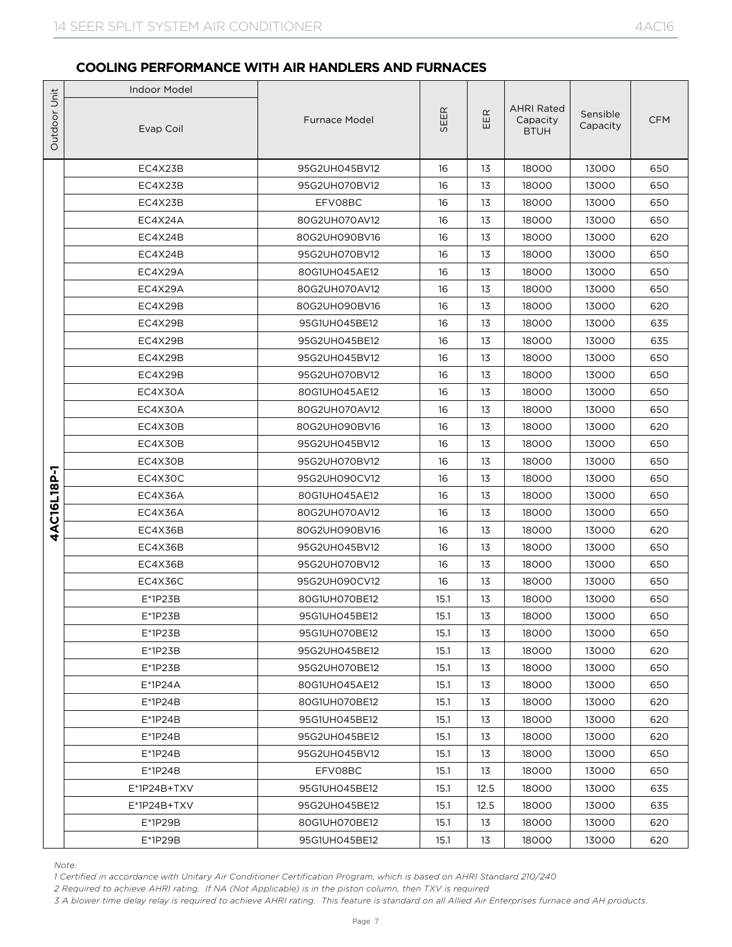|              | <b>Indoor Model</b> |                      |      |      |                                              |                      |            |
|--------------|---------------------|----------------------|------|------|----------------------------------------------|----------------------|------------|
| Outdoor Unit | Evap Coil           | <b>Furnace Model</b> | SEER | EER  | <b>AHRI Rated</b><br>Capacity<br><b>BTUH</b> | Sensible<br>Capacity | <b>CFM</b> |
|              | EC4X23B             | 95G2UH045BV12        | 16   | 13   | 18000                                        | 13000                | 650        |
|              | EC4X23B             | 95G2UH070BV12        | 16   | 13   | 18000                                        | 13000                | 650        |
|              | EC4X23B             | EFV08BC              | 16   | 13   | 18000                                        | 13000                | 650        |
|              | EC4X24A             | 80G2UH070AV12        | 16   | 13   | 18000                                        | 13000                | 650        |
|              | EC4X24B             | 80G2UH090BV16        | 16   | 13   | 18000                                        | 13000                | 620        |
|              | EC4X24B             | 95G2UH070BV12        | 16   | 13   | 18000                                        | 13000                | 650        |
|              | EC4X29A             | 80G1UH045AE12        | 16   | 13   | 18000                                        | 13000                | 650        |
|              | EC4X29A             | 80G2UH070AV12        | 16   | 13   | 18000                                        | 13000                | 650        |
|              | EC4X29B             | 80G2UH090BV16        | 16   | 13   | 18000                                        | 13000                | 620        |
|              | EC4X29B             | 95G1UH045BE12        | 16   | 13   | 18000                                        | 13000                | 635        |
|              | EC4X29B             | 95G2UH045BE12        | 16   | 13   | 18000                                        | 13000                | 635        |
|              | EC4X29B             | 95G2UH045BV12        | 16   | 13   | 18000                                        | 13000                | 650        |
|              | EC4X29B             | 95G2UH070BV12        | 16   | 13   | 18000                                        | 13000                | 650        |
|              | EC4X30A             | 80G1UH045AE12        | 16   | 13   | 18000                                        | 13000                | 650        |
|              | EC4X30A             | 80G2UH070AV12        | 16   | 13   | 18000                                        | 13000                | 650        |
|              | EC4X30B             | 80G2UH090BV16        | 16   | 13   | 18000                                        | 13000                | 620        |
|              | EC4X30B             | 95G2UH045BV12        | 16   | 13   | 18000                                        | 13000                | 650        |
|              | EC4X30B             | 95G2UH070BV12        | 16   | 13   | 18000                                        | 13000                | 650        |
|              | EC4X30C             | 95G2UH090CV12        | 16   | 13   | 18000                                        | 13000                | 650        |
|              | EC4X36A             | 80G1UH045AE12        | 16   | 13   | 18000                                        | 13000                | 650        |
| 4AC16L18P-1  | EC4X36A             | 80G2UH070AV12        | 16   | 13   | 18000                                        | 13000                | 650        |
|              | EC4X36B             | 80G2UH090BV16        | 16   | 13   | 18000                                        | 13000                | 620        |
|              | EC4X36B             | 95G2UH045BV12        | 16   | 13   | 18000                                        | 13000                | 650        |
|              | EC4X36B             | 95G2UH070BV12        | 16   | 13   | 18000                                        | 13000                | 650        |
|              | EC4X36C             | 95G2UH090CV12        | 16   | 13   | 18000                                        | 13000                | 650        |
|              | $E*1P23B$           | 80G1UH070BE12        | 15.1 | 13   | 18000                                        | 13000                | 650        |
|              | E*1P23B             | 95G1UH045BE12        | 15.1 | 13   | 18000                                        | 13000                | 650        |
|              | $E*1P23B$           | 95G1UH070BE12        | 15.1 | 13   | 18000                                        | 13000                | 650        |
|              | $E^*$ 1P23B         | 95G2UH045BE12        | 15.1 | 13   | 18000                                        | 13000                | 620        |
|              | $E^*$ 1P23B         | 95G2UH070BE12        | 15.1 | 13   | 18000                                        | 13000                | 650        |
|              | $E^*$ 1P24A         | 80G1UH045AE12        | 15.1 | 13   | 18000                                        | 13000                | 650        |
|              | $E^*$ 1P24B         | 80G1UH070BE12        | 15.1 | 13   | 18000                                        | 13000                | 620        |
|              | $E^*$ 1P24B         | 95G1UH045BE12        | 15.1 | 13   | 18000                                        | 13000                | 620        |
|              | $E^*$ 1P24B         | 95G2UH045BE12        | 15.1 | 13   | 18000                                        | 13000                | 620        |
|              | $E^*$ 1P24B         | 95G2UH045BV12        | 15.1 | 13   | 18000                                        | 13000                | 650        |
|              | $E^*$ 1P24B         | EFV08BC              | 15.1 | 13   | 18000                                        | 13000                | 650        |
|              | E*1P24B+TXV         | 95G1UH045BE12        | 15.1 | 12.5 | 18000                                        | 13000                | 635        |
|              | E*1P24B+TXV         | 95G2UH045BE12        | 15.1 | 12.5 | 18000                                        | 13000                | 635        |
|              | E*1P29B             | 80G1UH070BE12        | 15.1 | 13   | 18000                                        | 13000                | 620        |
|              | E*1P29B             | 95G1UH045BE12        | 15.1 | 13   | 18000                                        | 13000                | 620        |

*Note:*

*1 Certified in accordance with Unitary Air Conditioner Certification Program, which is based on AHRI Standard 210/240*

*2 Required to achieve AHRI rating. If NA (Not Applicable) is in the piston column, then TXV is required*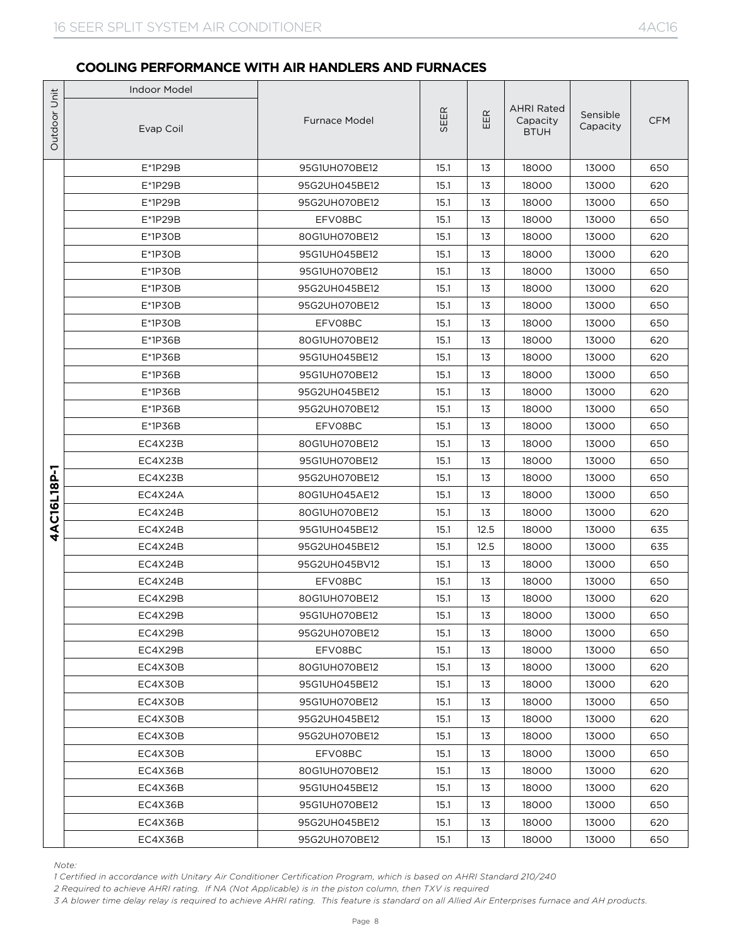|              | <b>Indoor Model</b> |                      |      |        |                                              |                      |            |
|--------------|---------------------|----------------------|------|--------|----------------------------------------------|----------------------|------------|
| Outdoor Unit | Evap Coil           | <b>Furnace Model</b> | SEER | E<br>Ш | <b>AHRI Rated</b><br>Capacity<br><b>BTUH</b> | Sensible<br>Capacity | <b>CFM</b> |
|              | $E*1P29B$           | 95G1UH070BE12        | 15.1 | 13     | 18000                                        | 13000                | 650        |
|              | $E*1P29B$           | 95G2UH045BE12        | 15.1 | 13     | 18000                                        | 13000                | 620        |
|              | $E*1P29B$           | 95G2UH070BE12        | 15.1 | 13     | 18000                                        | 13000                | 650        |
|              | $E*1P29B$           | EFV08BC              | 15.1 | 13     | 18000                                        | 13000                | 650        |
|              | $E*1P3OB$           | 80G1UH070BE12        | 15.1 | 13     | 18000                                        | 13000                | 620        |
|              | $E*1P3OB$           | 95G1UH045BE12        | 15.1 | 13     | 18000                                        | 13000                | 620        |
|              | $E*1P3OB$           | 95G1UH070BE12        | 15.1 | 13     | 18000                                        | 13000                | 650        |
|              | $E*1P3OB$           | 95G2UH045BE12        | 15.1 | 13     | 18000                                        | 13000                | 620        |
|              | $E*1P3OB$           | 95G2UH070BE12        | 15.1 | 13     | 18000                                        | 13000                | 650        |
|              | $E*1P3OB$           | EFV08BC              | 15.1 | 13     | 18000                                        | 13000                | 650        |
|              | $E*1P36B$           | 80G1UH070BE12        | 15.1 | 13     | 18000                                        | 13000                | 620        |
|              | $E*1P36B$           | 95G1UH045BE12        | 15.1 | 13     | 18000                                        | 13000                | 620        |
|              | $E*1P36B$           | 95G1UH070BE12        | 15.1 | 13     | 18000                                        | 13000                | 650        |
|              | $E*1P36B$           | 95G2UH045BE12        | 15.1 | 13     | 18000                                        | 13000                | 620        |
|              | E*1P36B             | 95G2UH070BE12        | 15.1 | 13     | 18000                                        | 13000                | 650        |
|              | $E*1P36B$           | EFV08BC              | 15.1 | 13     | 18000                                        | 13000                | 650        |
|              | EC4X23B             | 80G1UH070BE12        | 15.1 | 13     | 18000                                        | 13000                | 650        |
|              | EC4X23B             | 95G1UH070BE12        | 15.1 | 13     | 18000                                        | 13000                | 650        |
| 4AC16L18P-1  | EC4X23B             | 95G2UH070BE12        | 15.1 | 13     | 18000                                        | 13000                | 650        |
|              | EC4X24A             | 80G1UH045AE12        | 15.1 | 13     | 18000                                        | 13000                | 650        |
|              | EC4X24B             | 80G1UH070BE12        | 15.1 | 13     | 18000                                        | 13000                | 620        |
|              | EC4X24B             | 95G1UH045BE12        | 15.1 | 12.5   | 18000                                        | 13000                | 635        |
|              | EC4X24B             | 95G2UH045BE12        | 15.1 | 12.5   | 18000                                        | 13000                | 635        |
|              | EC4X24B             | 95G2UH045BV12        | 15.1 | 13     | 18000                                        | 13000                | 650        |
|              | EC4X24B             | EFV08BC              | 15.1 | 13     | 18000                                        | 13000                | 650        |
|              | EC4X29B             | 80G1UH070BE12        | 15.1 | 13     | 18000                                        | 13000                | 620        |
|              | EC4X29B             | 95G1UH070BE12        | 15.1 | 13     | 18000                                        | 13000                | 650        |
|              | EC4X29B             | 95G2UH070BE12        | 15.1 | 13     | 18000                                        | 13000                | 650        |
|              | EC4X29B             | EFV08BC              | 15.1 | 13     | 18000                                        | 13000                | 650        |
|              | EC4X30B             | 80G1UH070BE12        | 15.1 | 13     | 18000                                        | 13000                | 620        |
|              | EC4X30B             | 95G1UH045BE12        | 15.1 | 13     | 18000                                        | 13000                | 620        |
|              | EC4X30B             | 95G1UH070BE12        | 15.1 | 13     | 18000                                        | 13000                | 650        |
|              | EC4X30B             | 95G2UH045BE12        | 15.1 | 13     | 18000                                        | 13000                | 620        |
|              | EC4X30B             | 95G2UH070BE12        | 15.1 | 13     | 18000                                        | 13000                | 650        |
|              | EC4X30B             | EFV08BC              | 15.1 | 13     | 18000                                        | 13000                | 650        |
|              | EC4X36B             | 80G1UH070BE12        | 15.1 | 13     | 18000                                        | 13000                | 620        |
|              | EC4X36B             | 95G1UH045BE12        | 15.1 | 13     | 18000                                        | 13000                | 620        |
|              | EC4X36B             | 95G1UH070BE12        | 15.1 | 13     | 18000                                        | 13000                | 650        |
|              | EC4X36B             | 95G2UH045BE12        | 15.1 | 13     | 18000                                        | 13000                | 620        |
|              | EC4X36B             | 95G2UH070BE12        | 15.1 | 13     | 18000                                        | 13000                | 650        |

*Note:*

*1 Certified in accordance with Unitary Air Conditioner Certification Program, which is based on AHRI Standard 210/240*

*2 Required to achieve AHRI rating. If NA (Not Applicable) is in the piston column, then TXV is required*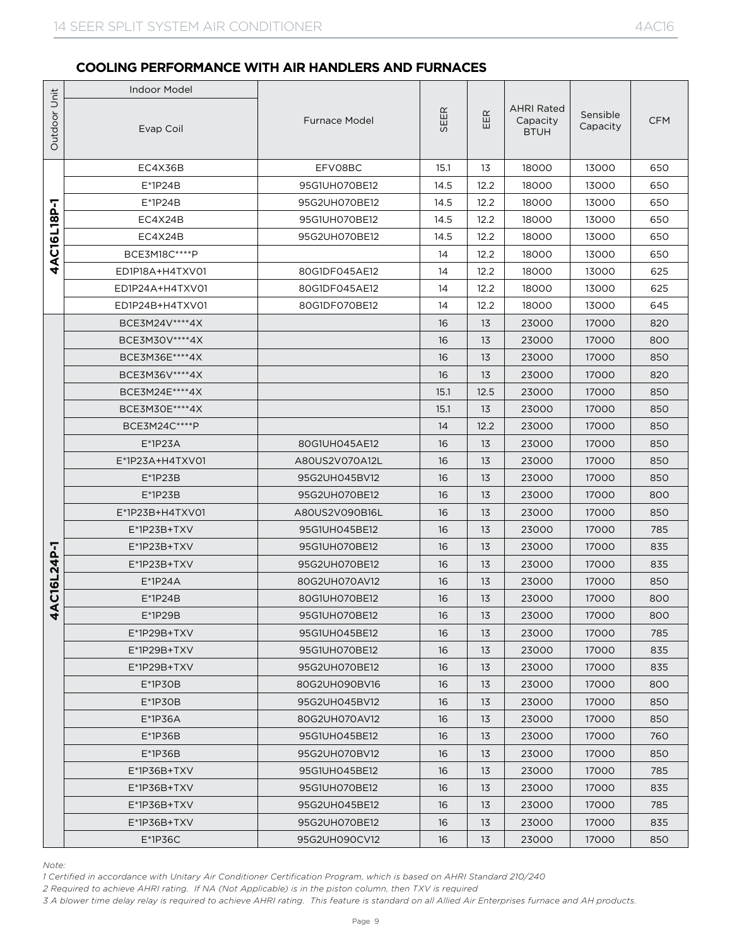|                | <b>Indoor Model</b> |                      |      |      |                                              |                      |            |
|----------------|---------------------|----------------------|------|------|----------------------------------------------|----------------------|------------|
| Outdoor Unit   | Evap Coil           | <b>Furnace Model</b> | SEER | EER  | <b>AHRI Rated</b><br>Capacity<br><b>BTUH</b> | Sensible<br>Capacity | <b>CFM</b> |
|                | EC4X36B             | EFV08BC              | 15.1 | 13   | 18000                                        | 13000                | 650        |
|                | $E^*$ 1P24B         | 95G1UH070BE12        | 14.5 | 12.2 | 18000                                        | 13000                | 650        |
| 7              | $E^*$ 1P24B         | 95G2UH070BE12        | 14.5 | 12.2 | 18000                                        | 13000                | 650        |
|                | EC4X24B             | 95G1UH070BE12        | 14.5 | 12.2 | 18000                                        | 13000                | 650        |
| 4AC16L18P      | EC4X24B             | 95G2UH070BE12        | 14.5 | 12.2 | 18000                                        | 13000                | 650        |
|                | BCE3M18C****P       |                      | 14   | 12.2 | 18000                                        | 13000                | 650        |
|                | ED1P18A+H4TXV01     | 80G1DF045AE12        | 14   | 12.2 | 18000                                        | 13000                | 625        |
|                | ED1P24A+H4TXV01     | 80G1DF045AE12        | 14   | 12.2 | 18000                                        | 13000                | 625        |
|                | ED1P24B+H4TXV01     | 80G1DF070BE12        | 14   | 12.2 | 18000                                        | 13000                | 645        |
|                | BCE3M24V****4X      |                      | 16   | 13   | 23000                                        | 17000                | 820        |
|                | BCE3M30V **** 4X    |                      | 16   | 13   | 23000                                        | 17000                | 800        |
|                | BCE3M36E****4X      |                      | 16   | 13   | 23000                                        | 17000                | 850        |
|                | BCE3M36V****4X      |                      | 16   | 13   | 23000                                        | 17000                | 820        |
|                | BCE3M24E **** 4X    |                      | 15.1 | 12.5 | 23000                                        | 17000                | 850        |
|                | BCE3M30E****4X      |                      | 15.1 | 13   | 23000                                        | 17000                | 850        |
|                | BCE3M24C****P       |                      | 14   | 12.2 | 23000                                        | 17000                | 850        |
|                | $E^*$ 1P23A         | 80G1UH045AE12        | 16   | 13   | 23000                                        | 17000                | 850        |
|                | E*1P23A+H4TXV01     | A80US2V070A12L       | 16   | 13   | 23000                                        | 17000                | 850        |
|                | $E^*$ 1P23B         | 95G2UH045BV12        | 16   | 13   | 23000                                        | 17000                | 850        |
|                | $E^*$ 1P23B         | 95G2UH070BE12        | 16   | 13   | 23000                                        | 17000                | 800        |
|                | E*1P23B+H4TXV01     | A80US2V090B16L       | 16   | 13   | 23000                                        | 17000                | 850        |
|                | $E^*$ 1P23B+TXV     | 95G1UH045BE12        | 16   | 13   | 23000                                        | 17000                | 785        |
|                | $E^*$ 1P23B+TXV     | 95G1UH070BE12        | 16   | 13   | 23000                                        | 17000                | 835        |
|                | $E^*$ 1P23B+TXV     | 95G2UH070BE12        | 16   | 13   | 23000                                        | 17000                | 835        |
| AC16L24P-1     | $E^*1P24A$          | 80G2UH070AV12        | 16   | 13   | 23000                                        | 17000                | 850        |
|                | $E^*$ 1P24B         | 80G1UH070BE12        | 16   | 13   | 23000                                        | 17000                | 800        |
| $\overline{a}$ | $E^*$ 1P29B         | 95G1UH070BE12        | 16   | 13   | 23000                                        | 17000                | 800        |
|                | E*1P29B+TXV         | 95G1UH045BE12        | 16   | 13   | 23000                                        | 17000                | 785        |
|                | $E^*$ 1P29B+TXV     | 95G1UH070BE12        | 16   | 13   | 23000                                        | 17000                | 835        |
|                | $E^*$ 1P29B+TXV     | 95G2UH070BE12        | 16   | 13   | 23000                                        | 17000                | 835        |
|                | $E*1P3OB$           | 80G2UH090BV16        | 16   | 13   | 23000                                        | 17000                | 800        |
|                | $E*1P3OB$           | 95G2UH045BV12        | 16   | 13   | 23000                                        | 17000                | 850        |
|                | $E*1P36A$           | 80G2UH070AV12        | 16   | 13   | 23000                                        | 17000                | 850        |
|                | $E*1P36B$           | 95G1UH045BE12        | 16   | 13   | 23000                                        | 17000                | 760        |
|                | $E*1P36B$           | 95G2UH070BV12        | 16   | 13   | 23000                                        | 17000                | 850        |
|                | $E^*$ 1P36B+TXV     | 95G1UH045BE12        | 16   | 13   | 23000                                        | 17000                | 785        |
|                | $E^*$ 1P36B+TXV     | 95G1UH070BE12        | 16   | 13   | 23000                                        | 17000                | 835        |
|                | $E^*$ 1P36B+TXV     | 95G2UH045BE12        | 16   | 13   | 23000                                        | 17000                | 785        |
|                | E*1P36B+TXV         | 95G2UH070BE12        | 16   | 13   | 23000                                        | 17000                | 835        |
|                | $E*1P36C$           | 95G2UH090CV12        | 16   | 13   | 23000                                        | 17000                | 850        |

*Note:*

*1 Certified in accordance with Unitary Air Conditioner Certification Program, which is based on AHRI Standard 210/240*

*2 Required to achieve AHRI rating. If NA (Not Applicable) is in the piston column, then TXV is required*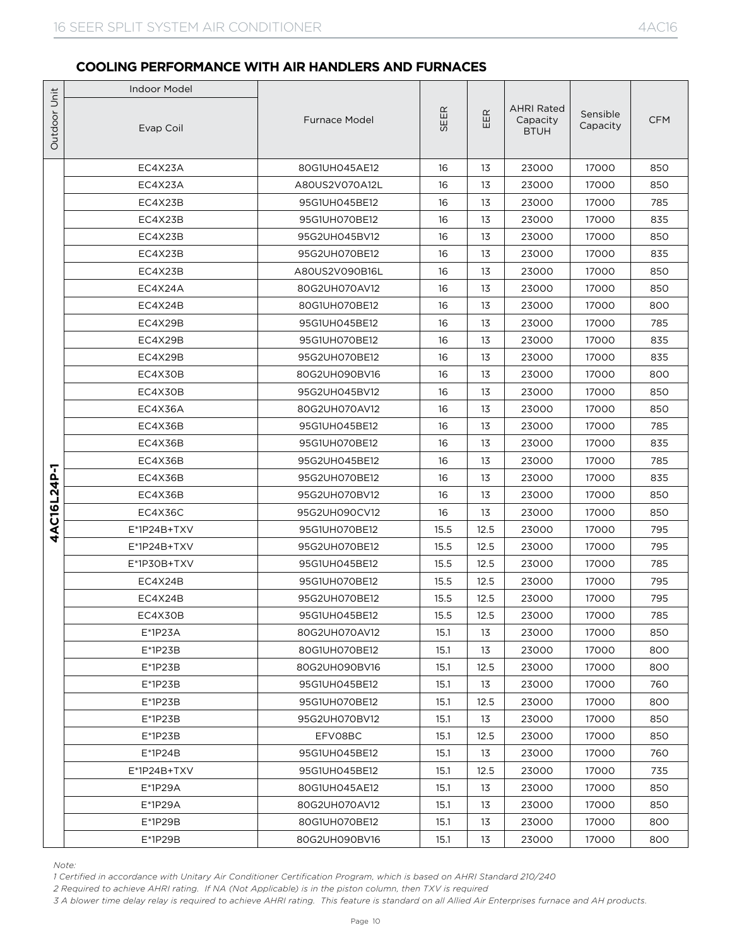|              | <b>Indoor Model</b>                                                                                                                                                                                                                                                                                                                                                                          |                      |      |      |                                              |                      |            |
|--------------|----------------------------------------------------------------------------------------------------------------------------------------------------------------------------------------------------------------------------------------------------------------------------------------------------------------------------------------------------------------------------------------------|----------------------|------|------|----------------------------------------------|----------------------|------------|
| Outdoor Unit | Evap Coil                                                                                                                                                                                                                                                                                                                                                                                    | <b>Furnace Model</b> | SEER | EER  | <b>AHRI Rated</b><br>Capacity<br><b>BTUH</b> | Sensible<br>Capacity | <b>CFM</b> |
|              | EC4X23A                                                                                                                                                                                                                                                                                                                                                                                      | 80G1UH045AE12        | 16   | 13   | 23000                                        | 17000                | 850        |
|              | EC4X23A                                                                                                                                                                                                                                                                                                                                                                                      | A80US2V070A12L       | 16   | 13   | 23000                                        | 17000                | 850        |
|              | EC4X23B                                                                                                                                                                                                                                                                                                                                                                                      | 95G1UH045BE12        | 16   | 13   | 23000                                        | 17000                | 785        |
|              | EC4X23B                                                                                                                                                                                                                                                                                                                                                                                      | 95G1UH070BE12        | 16   | 13   | 23000                                        | 17000                | 835        |
|              | EC4X23B                                                                                                                                                                                                                                                                                                                                                                                      | 95G2UH045BV12        | 16   | 13   | 23000                                        | 17000                | 850        |
|              | EC4X23B                                                                                                                                                                                                                                                                                                                                                                                      | 95G2UH070BE12        | 16   | 13   | 23000                                        | 17000                | 835        |
|              | EC4X23B                                                                                                                                                                                                                                                                                                                                                                                      | A80US2V090B16L       | 16   | 13   | 23000                                        | 17000                | 850        |
|              | EC4X24A                                                                                                                                                                                                                                                                                                                                                                                      | 80G2UH070AV12        | 16   | 13   | 23000                                        | 17000                | 850        |
|              | EC4X24B                                                                                                                                                                                                                                                                                                                                                                                      | 80G1UH070BE12        | 16   | 13   | 23000                                        | 17000                | 800        |
|              | EC4X29B                                                                                                                                                                                                                                                                                                                                                                                      | 95G1UH045BE12        | 16   | 13   | 23000                                        | 17000                | 785        |
|              | EC4X29B                                                                                                                                                                                                                                                                                                                                                                                      | 95G1UH070BE12        | 16   | 13   | 23000                                        | 17000                | 835        |
|              | EC4X29B                                                                                                                                                                                                                                                                                                                                                                                      | 95G2UH070BE12        | 16   | 13   | 23000                                        | 17000                | 835        |
|              | EC4X30B                                                                                                                                                                                                                                                                                                                                                                                      | 80G2UH090BV16        | 16   | 13   | 23000                                        | 17000                | 800        |
|              | EC4X30B                                                                                                                                                                                                                                                                                                                                                                                      | 95G2UH045BV12        | 16   | 13   | 23000                                        | 17000                | 850        |
|              | EC4X36A                                                                                                                                                                                                                                                                                                                                                                                      | 80G2UH070AV12        | 16   | 13   | 23000                                        | 17000                | 850        |
|              | EC4X36B                                                                                                                                                                                                                                                                                                                                                                                      | 95G1UH045BE12        | 16   | 13   | 23000                                        | 17000                | 785        |
|              | EC4X36B                                                                                                                                                                                                                                                                                                                                                                                      | 95G1UH070BE12        | 16   | 13   | 23000                                        | 17000                | 835        |
|              | EC4X36B                                                                                                                                                                                                                                                                                                                                                                                      | 95G2UH045BE12        | 16   | 13   | 23000                                        | 17000                | 785        |
| 4AC16L24P-1  | EC4X36B                                                                                                                                                                                                                                                                                                                                                                                      | 95G2UH070BE12        | 16   | 13   | 23000                                        | 17000                | 835        |
|              | EC4X36B                                                                                                                                                                                                                                                                                                                                                                                      | 95G2UH070BV12        | 16   | 13   | 23000                                        | 17000                | 850        |
|              | EC4X36C                                                                                                                                                                                                                                                                                                                                                                                      | 95G2UH090CV12        | 16   | 13   | 23000                                        | 17000                | 850        |
|              | $E^*1P24B+TXV$                                                                                                                                                                                                                                                                                                                                                                               | 95G1UH070BE12        | 15.5 | 12.5 | 23000                                        | 17000                | 795        |
|              | $E^*1P24B+TXV$                                                                                                                                                                                                                                                                                                                                                                               | 95G2UH070BE12        | 15.5 | 12.5 | 23000                                        | 17000                | 795        |
|              | E*1P30B+TXV                                                                                                                                                                                                                                                                                                                                                                                  | 95G1UH045BE12        | 15.5 | 12.5 | 23000                                        | 17000                | 785        |
|              | EC4X24B                                                                                                                                                                                                                                                                                                                                                                                      | 95G1UH070BE12        | 15.5 | 12.5 | 23000                                        | 17000                | 795        |
|              | EC4X24B                                                                                                                                                                                                                                                                                                                                                                                      | 95G2UH070BE12        | 15.5 | 12.5 | 23000                                        | 17000                | 795        |
|              | EC4X30B                                                                                                                                                                                                                                                                                                                                                                                      | 95G1UH045BE12        | 15.5 | 12.5 | 23000                                        | 17000                | 785        |
|              | $E^*$ 1P23A                                                                                                                                                                                                                                                                                                                                                                                  | 80G2UH070AV12        | 15.1 | 13   | 23000                                        | 17000                | 850        |
|              | $E^*$ 1P23B                                                                                                                                                                                                                                                                                                                                                                                  | 80G1UH070BE12        | 15.1 | 13   | 23000                                        | 17000                | 800        |
|              | $E^*$ 1P23B                                                                                                                                                                                                                                                                                                                                                                                  | 80G2UH090BV16        | 15.1 | 12.5 | 23000                                        | 17000                | 800        |
|              | E*1P23B                                                                                                                                                                                                                                                                                                                                                                                      | 95G1UH045BE12        | 15.1 | 13   | 23000                                        | 17000                | 760        |
|              | $E*1P23B$                                                                                                                                                                                                                                                                                                                                                                                    | 95G1UH070BE12        | 15.1 | 12.5 | 23000                                        | 17000                | 800        |
|              | $E*1P23B$                                                                                                                                                                                                                                                                                                                                                                                    | 95G2UH070BV12        | 15.1 | 13   | 23000                                        | 17000                | 850        |
|              | E*1P23B                                                                                                                                                                                                                                                                                                                                                                                      | EFV08BC              | 15.1 | 12.5 | 23000                                        | 17000                | 850        |
|              | $E^*$ 1P24B                                                                                                                                                                                                                                                                                                                                                                                  | 95G1UH045BE12        | 15.1 | 13   | 23000                                        | 17000                | 760        |
|              | $E^*1P24B+TXV$                                                                                                                                                                                                                                                                                                                                                                               | 95G1UH045BE12        | 15.1 | 12.5 | 23000                                        | 17000                | 735        |
|              | E*1P29A                                                                                                                                                                                                                                                                                                                                                                                      | 80G1UH045AE12        | 15.1 | 13   | 23000                                        | 17000                | 850        |
|              | $E^*$ 1P29A                                                                                                                                                                                                                                                                                                                                                                                  | 80G2UH070AV12        | 15.1 | 13   | 23000                                        | 17000                | 850        |
|              | $E*1P29B$                                                                                                                                                                                                                                                                                                                                                                                    | 80G1UH070BE12        | 15.1 | 13   | 23000                                        | 17000                | 800        |
|              | $E*1P29B$                                                                                                                                                                                                                                                                                                                                                                                    | 80G2UH090BV16        | 15.1 | 13   | 23000                                        | 17000                | 800        |
|              | Note:<br>1 Certified in accordance with Unitary Air Conditioner Certification Program, which is based on AHRI Standard 210/240<br>2 Required to achieve AHRI rating. If NA (Not Applicable) is in the piston column, then TXV is required<br>3 A blower time delay relay is required to achieve AHRI rating. This feature is standard on all Allied Air Enterprises furnace and AH products. |                      |      |      |                                              |                      |            |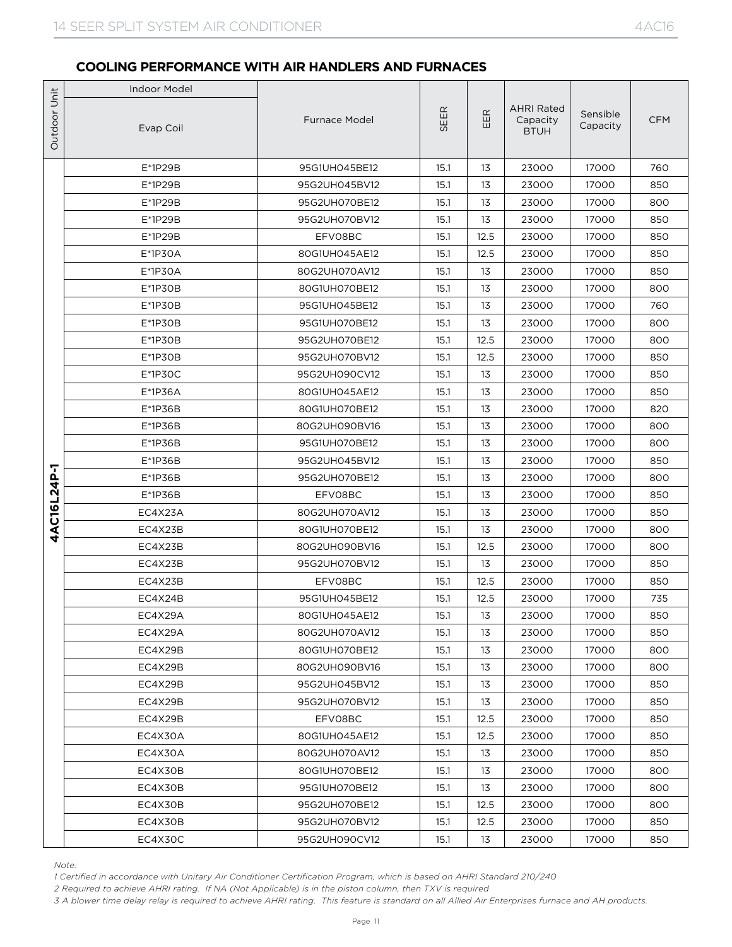|              | <b>Indoor Model</b>                                                                                                                                                                                                                                                                                                                                                                          |                                |              |            |                                              |                      |            |
|--------------|----------------------------------------------------------------------------------------------------------------------------------------------------------------------------------------------------------------------------------------------------------------------------------------------------------------------------------------------------------------------------------------------|--------------------------------|--------------|------------|----------------------------------------------|----------------------|------------|
| Outdoor Unit | Evap Coil                                                                                                                                                                                                                                                                                                                                                                                    | <b>Furnace Model</b>           | SEER         | EER        | <b>AHRI Rated</b><br>Capacity<br><b>BTUH</b> | Sensible<br>Capacity | <b>CFM</b> |
|              | $E*1P29B$                                                                                                                                                                                                                                                                                                                                                                                    | 95G1UH045BE12                  | 15.1         | 13         | 23000                                        | 17000                | 760        |
|              | $E*1P29B$                                                                                                                                                                                                                                                                                                                                                                                    | 95G2UH045BV12                  | 15.1         | 13         | 23000                                        | 17000                | 850        |
|              | $E*1P29B$                                                                                                                                                                                                                                                                                                                                                                                    | 95G2UH070BE12                  | 15.1         | 13         | 23000                                        | 17000                | 800        |
|              | $E*1P29B$                                                                                                                                                                                                                                                                                                                                                                                    | 95G2UH070BV12                  | 15.1         | 13         | 23000                                        | 17000                | 850        |
|              | $E*1P29B$                                                                                                                                                                                                                                                                                                                                                                                    | EFV08BC                        | 15.1         | 12.5       | 23000                                        | 17000                | 850        |
|              | E*1P30A                                                                                                                                                                                                                                                                                                                                                                                      | 80G1UH045AE12                  | 15.1         | 12.5       | 23000                                        | 17000                | 850        |
|              | E*1P30A                                                                                                                                                                                                                                                                                                                                                                                      | 80G2UH070AV12                  | 15.1         | 13         | 23000                                        | 17000                | 850        |
|              | $E^*$ 1P30B                                                                                                                                                                                                                                                                                                                                                                                  | 80G1UH070BE12                  | 15.1         | 13         | 23000                                        | 17000                | 800        |
|              | $E^*$ 1P30B                                                                                                                                                                                                                                                                                                                                                                                  | 95G1UH045BE12                  | 15.1         | 13         | 23000                                        | 17000                | 760        |
|              | $E^*$ 1P30B                                                                                                                                                                                                                                                                                                                                                                                  | 95G1UH070BE12                  | 15.1         | 13         | 23000                                        | 17000                | 800        |
|              | $E^*$ 1P30B                                                                                                                                                                                                                                                                                                                                                                                  | 95G2UH070BE12                  | 15.1         | 12.5       | 23000                                        | 17000                | 800        |
|              | $E^*$ 1P30B                                                                                                                                                                                                                                                                                                                                                                                  | 95G2UH070BV12                  | 15.1         | 12.5       | 23000                                        | 17000                | 850        |
|              | $E*1P3OC$                                                                                                                                                                                                                                                                                                                                                                                    | 95G2UH090CV12                  | 15.1         | 13         | 23000                                        | 17000                | 850        |
|              | E*1P36A                                                                                                                                                                                                                                                                                                                                                                                      | 80G1UH045AE12                  | 15.1         | 13         | 23000                                        | 17000                | 850        |
|              | $E*1P36B$                                                                                                                                                                                                                                                                                                                                                                                    | 80G1UH070BE12                  | 15.1         | 13         | 23000                                        | 17000                | 820        |
|              | $E*1P36B$                                                                                                                                                                                                                                                                                                                                                                                    | 80G2UH090BV16                  | 15.1         | 13         | 23000                                        | 17000                | 800        |
|              | $E*1P36B$                                                                                                                                                                                                                                                                                                                                                                                    | 95G1UH070BE12                  | 15.1         | 13         | 23000                                        | 17000                | 800        |
|              | $E^*$ 1P36B                                                                                                                                                                                                                                                                                                                                                                                  | 95G2UH045BV12                  | 15.1         | 13         | 23000                                        | 17000                | 850        |
|              | $E^*$ 1P36B                                                                                                                                                                                                                                                                                                                                                                                  | 95G2UH070BE12                  | 15.1         | 13         | 23000                                        | 17000                | 800        |
|              | $E*1P36B$                                                                                                                                                                                                                                                                                                                                                                                    | EFV08BC                        | 15.1         | 13         | 23000                                        | 17000                | 850        |
| 4AC16L24P-1  | EC4X23A                                                                                                                                                                                                                                                                                                                                                                                      | 80G2UH070AV12                  | 15.1         | 13         | 23000                                        | 17000                | 850        |
|              | EC4X23B                                                                                                                                                                                                                                                                                                                                                                                      | 80G1UH070BE12<br>80G2UH090BV16 | 15.1         | 13         | 23000                                        | 17000                | 800        |
|              | EC4X23B<br>EC4X23B                                                                                                                                                                                                                                                                                                                                                                           | 95G2UH070BV12                  | 15.1<br>15.1 | 12.5<br>13 | 23000<br>23000                               | 17000<br>17000       | 800<br>850 |
|              | EC4X23B                                                                                                                                                                                                                                                                                                                                                                                      |                                | 15.1         | 12.5       | 23000                                        | 17000                | 850        |
|              | EC4X24B                                                                                                                                                                                                                                                                                                                                                                                      | EFV08BC<br>95G1UH045BE12       | 15.1         | 12.5       | 23000                                        | 17000                | 735        |
|              | EC4X29A                                                                                                                                                                                                                                                                                                                                                                                      | 80G1UH045AE12                  | 15.1         | 13         | 23000                                        | 17000                | 850        |
|              | EC4X29A                                                                                                                                                                                                                                                                                                                                                                                      | 80G2UH070AV12                  | 15.1         | 13         | 23000                                        | 17000                | 850        |
|              | EC4X29B                                                                                                                                                                                                                                                                                                                                                                                      | 80G1UH070BE12                  | 15.1         | 13         | 23000                                        | 17000                | 800        |
|              | EC4X29B                                                                                                                                                                                                                                                                                                                                                                                      | 80G2UH090BV16                  | 15.1         | 13         | 23000                                        | 17000                | 800        |
|              | EC4X29B                                                                                                                                                                                                                                                                                                                                                                                      | 95G2UH045BV12                  | 15.1         | 13         | 23000                                        | 17000                | 850        |
|              | EC4X29B                                                                                                                                                                                                                                                                                                                                                                                      | 95G2UH070BV12                  | 15.1         | 13         | 23000                                        | 17000                | 850        |
|              | EC4X29B                                                                                                                                                                                                                                                                                                                                                                                      | EFV08BC                        | 15.1         | 12.5       | 23000                                        | 17000                | 850        |
|              | EC4X30A                                                                                                                                                                                                                                                                                                                                                                                      | 80G1UH045AE12                  | 15.1         | 12.5       | 23000                                        | 17000                | 850        |
|              | EC4X30A                                                                                                                                                                                                                                                                                                                                                                                      | 80G2UH070AV12                  | 15.1         | 13         | 23000                                        | 17000                | 850        |
|              | EC4X30B                                                                                                                                                                                                                                                                                                                                                                                      | 80G1UH070BE12                  | 15.1         | 13         | 23000                                        | 17000                | 800        |
|              | EC4X30B                                                                                                                                                                                                                                                                                                                                                                                      | 95G1UH070BE12                  | 15.1         | 13         | 23000                                        | 17000                | 800        |
|              | EC4X30B                                                                                                                                                                                                                                                                                                                                                                                      | 95G2UH070BE12                  | 15.1         | 12.5       | 23000                                        | 17000                | 800        |
|              | EC4X30B                                                                                                                                                                                                                                                                                                                                                                                      | 95G2UH070BV12                  | 15.1         | 12.5       | 23000                                        | 17000                | 850        |
|              | EC4X30C                                                                                                                                                                                                                                                                                                                                                                                      | 95G2UH090CV12                  | 15.1         | 13         | 23000                                        | 17000                | 850        |
|              | Note:<br>1 Certified in accordance with Unitary Air Conditioner Certification Program, which is based on AHRI Standard 210/240<br>2 Required to achieve AHRI rating. If NA (Not Applicable) is in the piston column, then TXV is required<br>3 A blower time delay relay is required to achieve AHRI rating. This feature is standard on all Allied Air Enterprises furnace and AH products. |                                |              |            |                                              |                      |            |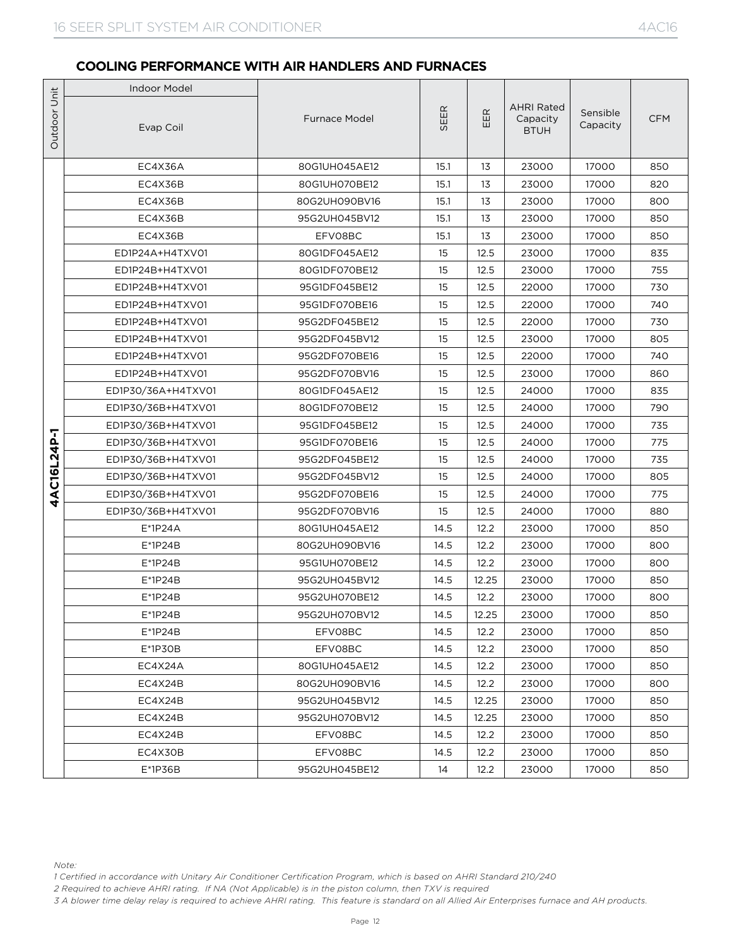|              | <b>Indoor Model</b>                                                                                                                                                                                                                                                                                                                                                                          |                      |      |                   |                                              |                      |            |
|--------------|----------------------------------------------------------------------------------------------------------------------------------------------------------------------------------------------------------------------------------------------------------------------------------------------------------------------------------------------------------------------------------------------|----------------------|------|-------------------|----------------------------------------------|----------------------|------------|
| Outdoor Unit | Evap Coil                                                                                                                                                                                                                                                                                                                                                                                    | <b>Furnace Model</b> | SEER | $\mathbb{E}$<br>Ш | <b>AHRI Rated</b><br>Capacity<br><b>BTUH</b> | Sensible<br>Capacity | <b>CFM</b> |
|              | EC4X36A                                                                                                                                                                                                                                                                                                                                                                                      | 80G1UH045AE12        | 15.1 | 13                | 23000                                        | 17000                | 850        |
|              | EC4X36B                                                                                                                                                                                                                                                                                                                                                                                      | 80G1UH070BE12        | 15.1 | 13                | 23000                                        | 17000                | 820        |
|              | EC4X36B                                                                                                                                                                                                                                                                                                                                                                                      | 80G2UH090BV16        | 15.1 | 13                | 23000                                        | 17000                | 800        |
|              | EC4X36B                                                                                                                                                                                                                                                                                                                                                                                      | 95G2UH045BV12        | 15.1 | 13                | 23000                                        | 17000                | 850        |
|              | EC4X36B                                                                                                                                                                                                                                                                                                                                                                                      | EFV08BC              | 15.1 | 13                | 23000                                        | 17000                | 850        |
|              | ED1P24A+H4TXV01                                                                                                                                                                                                                                                                                                                                                                              | 80G1DF045AE12        | 15   | 12.5              | 23000                                        | 17000                | 835        |
|              | ED1P24B+H4TXV01                                                                                                                                                                                                                                                                                                                                                                              | 80G1DF070BE12        | 15   | 12.5              | 23000                                        | 17000                | 755        |
|              | ED1P24B+H4TXV01                                                                                                                                                                                                                                                                                                                                                                              | 95G1DF045BE12        | 15   | 12.5              | 22000                                        | 17000                | 730        |
|              | ED1P24B+H4TXV01                                                                                                                                                                                                                                                                                                                                                                              | 95G1DF070BE16        | 15   | 12.5              | 22000                                        | 17000                | 740        |
|              | ED1P24B+H4TXV01                                                                                                                                                                                                                                                                                                                                                                              | 95G2DF045BE12        | 15   | 12.5              | 22000                                        | 17000                | 730        |
|              | ED1P24B+H4TXV01                                                                                                                                                                                                                                                                                                                                                                              | 95G2DF045BV12        | 15   | 12.5              | 23000                                        | 17000                | 805        |
|              | ED1P24B+H4TXV01                                                                                                                                                                                                                                                                                                                                                                              | 95G2DF070BE16        | 15   | 12.5              | 22000                                        | 17000                | 740        |
|              | ED1P24B+H4TXV01                                                                                                                                                                                                                                                                                                                                                                              | 95G2DF070BV16        | 15   | 12.5              | 23000                                        | 17000                | 860        |
|              | ED1P30/36A+H4TXV01                                                                                                                                                                                                                                                                                                                                                                           | 80G1DF045AE12        | 15   | 12.5              | 24000                                        | 17000                | 835        |
|              | ED1P30/36B+H4TXV01                                                                                                                                                                                                                                                                                                                                                                           | 80G1DF070BE12        | 15   | 12.5              | 24000                                        | 17000                | 790        |
|              | ED1P30/36B+H4TXV01                                                                                                                                                                                                                                                                                                                                                                           | 95G1DF045BE12        | 15   | 12.5              | 24000                                        | 17000                | 735        |
| 4AC16L24P-1  | ED1P30/36B+H4TXV01                                                                                                                                                                                                                                                                                                                                                                           | 95G1DF070BE16        | 15   | 12.5              | 24000                                        | 17000                | 775        |
|              | ED1P30/36B+H4TXV01                                                                                                                                                                                                                                                                                                                                                                           | 95G2DF045BE12        | 15   | 12.5              | 24000                                        | 17000                | 735        |
|              | ED1P30/36B+H4TXV01                                                                                                                                                                                                                                                                                                                                                                           | 95G2DF045BV12        | 15   | 12.5              | 24000                                        | 17000                | 805        |
|              | ED1P30/36B+H4TXV01                                                                                                                                                                                                                                                                                                                                                                           | 95G2DF070BE16        | 15   | 12.5              | 24000                                        | 17000                | 775        |
|              | ED1P30/36B+H4TXV01                                                                                                                                                                                                                                                                                                                                                                           | 95G2DF070BV16        | 15   | 12.5              | 24000                                        | 17000                | 880        |
|              | $E^*$ 1P24A                                                                                                                                                                                                                                                                                                                                                                                  | 80G1UH045AE12        | 14.5 | 12.2              | 23000                                        | 17000                | 850        |
|              | $E^*$ 1P24B                                                                                                                                                                                                                                                                                                                                                                                  | 80G2UH090BV16        | 14.5 | 12.2              | 23000                                        | 17000                | 800        |
|              | $E*1P24B$                                                                                                                                                                                                                                                                                                                                                                                    | 95G1UH070BE12        | 14.5 | 12.2              | 23000                                        | 17000                | 800        |
|              | $E*1P24B$                                                                                                                                                                                                                                                                                                                                                                                    | 95G2UH045BV12        | 14.5 | 12.25             | 23000                                        | 17000                | 850        |
|              | $E^*$ 1P24B                                                                                                                                                                                                                                                                                                                                                                                  | 95G2UH070BE12        | 14.5 | 12.2              | 23000                                        | 17000                | 800        |
|              | E*1P24B                                                                                                                                                                                                                                                                                                                                                                                      | 95G2UH070BV12        | 14.5 | 12.25             | 23000                                        | 17000                | 850        |
|              | $E^*$ 1P24B                                                                                                                                                                                                                                                                                                                                                                                  | EFV08BC              | 14.5 | 12.2              | 23000                                        | 17000                | 850        |
|              | $E*1P3OB$                                                                                                                                                                                                                                                                                                                                                                                    | EFV08BC              | 14.5 | 12.2              | 23000                                        | 17000                | 850        |
|              | EC4X24A                                                                                                                                                                                                                                                                                                                                                                                      | 80G1UH045AE12        | 14.5 | 12.2              | 23000                                        | 17000                | 850        |
|              | EC4X24B                                                                                                                                                                                                                                                                                                                                                                                      | 80G2UH090BV16        | 14.5 | 12.2              | 23000                                        | 17000                | 800        |
|              | EC4X24B                                                                                                                                                                                                                                                                                                                                                                                      | 95G2UH045BV12        | 14.5 | 12.25             | 23000                                        | 17000                | 850        |
|              | EC4X24B                                                                                                                                                                                                                                                                                                                                                                                      | 95G2UH070BV12        | 14.5 | 12.25             | 23000                                        | 17000                | 850        |
|              | EC4X24B                                                                                                                                                                                                                                                                                                                                                                                      | EFV08BC              | 14.5 | 12.2              | 23000                                        | 17000                | 850        |
|              | EC4X30B                                                                                                                                                                                                                                                                                                                                                                                      | EFV08BC              | 14.5 | 12.2              | 23000                                        | 17000                | 850        |
|              | $E*1P36B$                                                                                                                                                                                                                                                                                                                                                                                    | 95G2UH045BE12        | 14   | 12.2              | 23000                                        | 17000                | 850        |
|              | Note:<br>1 Certified in accordance with Unitary Air Conditioner Certification Program, which is based on AHRI Standard 210/240<br>2 Required to achieve AHRI rating. If NA (Not Applicable) is in the piston column, then TXV is required<br>3 A blower time delay relay is required to achieve AHRI rating. This feature is standard on all Allied Air Enterprises furnace and AH products. |                      |      |                   |                                              |                      |            |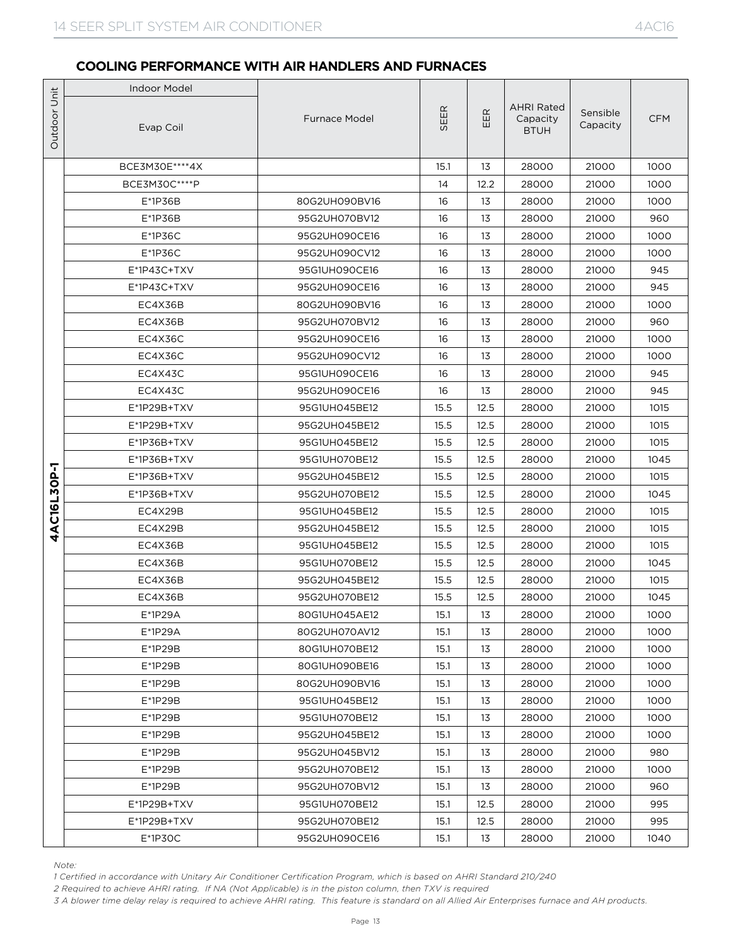|                             | <b>Indoor Model</b>                                                                                                                                                                                                                                                                                                                                                                          |                      |      |      |                                              |                      |            |
|-----------------------------|----------------------------------------------------------------------------------------------------------------------------------------------------------------------------------------------------------------------------------------------------------------------------------------------------------------------------------------------------------------------------------------------|----------------------|------|------|----------------------------------------------|----------------------|------------|
|                             | Evap Coil                                                                                                                                                                                                                                                                                                                                                                                    | <b>Furnace Model</b> | SEER | EER  | <b>AHRI Rated</b><br>Capacity<br><b>BTUH</b> | Sensible<br>Capacity | <b>CFM</b> |
|                             | BCE3M30E **** 4X                                                                                                                                                                                                                                                                                                                                                                             |                      | 15.1 | 13   | 28000                                        | 21000                | 1000       |
| Outdoor Unit<br>4AC16L30P-1 | BCE3M30C **** P                                                                                                                                                                                                                                                                                                                                                                              |                      | 14   | 12.2 | 28000                                        | 21000                | 1000       |
|                             | $E*1P36B$                                                                                                                                                                                                                                                                                                                                                                                    | 80G2UH090BV16        | 16   | 13   | 28000                                        | 21000                | 1000       |
|                             | $E*1P36B$                                                                                                                                                                                                                                                                                                                                                                                    | 95G2UH070BV12        | 16   | 13   | 28000                                        | 21000                | 960        |
|                             | $E*1P36C$                                                                                                                                                                                                                                                                                                                                                                                    | 95G2UH090CE16        | 16   | 13   | 28000                                        | 21000                | 1000       |
|                             | $E*1P36C$                                                                                                                                                                                                                                                                                                                                                                                    | 95G2UH090CV12        | 16   | 13   | 28000                                        | 21000                | 1000       |
|                             | E*1P43C+TXV                                                                                                                                                                                                                                                                                                                                                                                  | 95G1UH090CE16        | 16   | 13   | 28000                                        | 21000                | 945        |
|                             | E*1P43C+TXV                                                                                                                                                                                                                                                                                                                                                                                  | 95G2UH090CE16        | 16   | 13   | 28000                                        | 21000                | 945        |
|                             | EC4X36B                                                                                                                                                                                                                                                                                                                                                                                      | 80G2UH090BV16        | 16   | 13   | 28000                                        | 21000                | 1000       |
|                             | EC4X36B                                                                                                                                                                                                                                                                                                                                                                                      | 95G2UH070BV12        | 16   | 13   | 28000                                        | 21000                | 960        |
|                             | EC4X36C                                                                                                                                                                                                                                                                                                                                                                                      | 95G2UH090CE16        | 16   | 13   | 28000                                        | 21000                | 1000       |
|                             | EC4X36C                                                                                                                                                                                                                                                                                                                                                                                      | 95G2UH090CV12        | 16   | 13   | 28000                                        | 21000                | 1000       |
|                             | EC4X43C                                                                                                                                                                                                                                                                                                                                                                                      | 95G1UH090CE16        | 16   | 13   | 28000                                        | 21000                | 945        |
|                             | EC4X43C                                                                                                                                                                                                                                                                                                                                                                                      | 95G2UH090CE16        | 16   | 13   | 28000                                        | 21000                | 945        |
|                             | E*1P29B+TXV                                                                                                                                                                                                                                                                                                                                                                                  | 95G1UH045BE12        | 15.5 | 12.5 | 28000                                        | 21000                | 1015       |
|                             | $E*1P29B+TXV$                                                                                                                                                                                                                                                                                                                                                                                | 95G2UH045BE12        | 15.5 | 12.5 | 28000                                        | 21000                | 1015       |
|                             | E*1P36B+TXV                                                                                                                                                                                                                                                                                                                                                                                  | 95G1UH045BE12        | 15.5 | 12.5 | 28000                                        | 21000                | 1015       |
|                             | E*1P36B+TXV                                                                                                                                                                                                                                                                                                                                                                                  | 95G1UH070BE12        | 15.5 | 12.5 | 28000                                        | 21000                | 1045       |
|                             | $E^*$ 1P36B+TXV                                                                                                                                                                                                                                                                                                                                                                              | 95G2UH045BE12        | 15.5 | 12.5 | 28000                                        | 21000                | 1015       |
|                             | E*1P36B+TXV                                                                                                                                                                                                                                                                                                                                                                                  | 95G2UH070BE12        | 15.5 | 12.5 | 28000                                        | 21000                | 1045       |
|                             | EC4X29B                                                                                                                                                                                                                                                                                                                                                                                      | 95G1UH045BE12        | 15.5 | 12.5 | 28000                                        | 21000                | 1015       |
|                             | EC4X29B                                                                                                                                                                                                                                                                                                                                                                                      | 95G2UH045BE12        | 15.5 | 12.5 | 28000                                        | 21000                | 1015       |
|                             | EC4X36B                                                                                                                                                                                                                                                                                                                                                                                      | 95G1UH045BE12        | 15.5 | 12.5 | 28000                                        | 21000                | 1015       |
|                             | EC4X36B                                                                                                                                                                                                                                                                                                                                                                                      | 95G1UH070BE12        | 15.5 | 12.5 | 28000                                        | 21000                | 1045       |
|                             | EC4X36B                                                                                                                                                                                                                                                                                                                                                                                      | 95G2UH045BE12        | 15.5 | 12.5 | 28000                                        | 21000                | 1015       |
|                             | EC4X36B                                                                                                                                                                                                                                                                                                                                                                                      | 95G2UH070BE12        | 15.5 | 12.5 | 28000                                        | 21000                | 1045       |
|                             | E*1P29A                                                                                                                                                                                                                                                                                                                                                                                      | 80G1UH045AE12        | 15.1 | 13   | 28000                                        | 21000                | 1000       |
|                             | $E^*$ 1P29A                                                                                                                                                                                                                                                                                                                                                                                  | 80G2UH070AV12        | 15.1 | 13   | 28000                                        | 21000                | 1000       |
|                             | $E*1P29B$                                                                                                                                                                                                                                                                                                                                                                                    | 80G1UH070BE12        | 15.1 | 13   | 28000                                        | 21000                | 1000       |
|                             | $E*1P29B$                                                                                                                                                                                                                                                                                                                                                                                    | 80G1UH090BE16        | 15.1 | 13   | 28000                                        | 21000                | 1000       |
|                             | $E^*$ 1P29B                                                                                                                                                                                                                                                                                                                                                                                  | 80G2UH090BV16        | 15.1 | 13   | 28000                                        | 21000                | 1000       |
|                             | $E*1P29B$                                                                                                                                                                                                                                                                                                                                                                                    | 95G1UH045BE12        | 15.1 | 13   | 28000                                        | 21000                | 1000       |
|                             | E*1P29B                                                                                                                                                                                                                                                                                                                                                                                      | 95G1UH070BE12        | 15.1 | 13   | 28000                                        | 21000                | 1000       |
|                             | $E*1P29B$                                                                                                                                                                                                                                                                                                                                                                                    | 95G2UH045BE12        | 15.1 | 13   | 28000                                        | 21000                | 1000       |
|                             | $E*1P29B$                                                                                                                                                                                                                                                                                                                                                                                    | 95G2UH045BV12        | 15.1 | 13   | 28000                                        | 21000                | 980        |
|                             | E*1P29B                                                                                                                                                                                                                                                                                                                                                                                      | 95G2UH070BE12        | 15.1 | 13   | 28000                                        | 21000                | 1000       |
|                             | E*1P29B                                                                                                                                                                                                                                                                                                                                                                                      | 95G2UH070BV12        | 15.1 | 13   | 28000                                        | 21000                | 960        |
|                             | E*1P29B+TXV                                                                                                                                                                                                                                                                                                                                                                                  | 95G1UH070BE12        | 15.1 | 12.5 | 28000                                        | 21000                | 995        |
|                             | E*1P29B+TXV                                                                                                                                                                                                                                                                                                                                                                                  | 95G2UH070BE12        | 15.1 | 12.5 | 28000                                        | 21000                | 995        |
|                             | $E*1P3OC$                                                                                                                                                                                                                                                                                                                                                                                    | 95G2UH090CE16        | 15.1 | 13   | 28000                                        | 21000                | 1040       |
|                             | Note:<br>1 Certified in accordance with Unitary Air Conditioner Certification Program, which is based on AHRI Standard 210/240<br>2 Required to achieve AHRI rating. If NA (Not Applicable) is in the piston column, then TXV is required<br>3 A blower time delay relay is required to achieve AHRI rating. This feature is standard on all Allied Air Enterprises furnace and AH products. |                      |      |      |                                              |                      |            |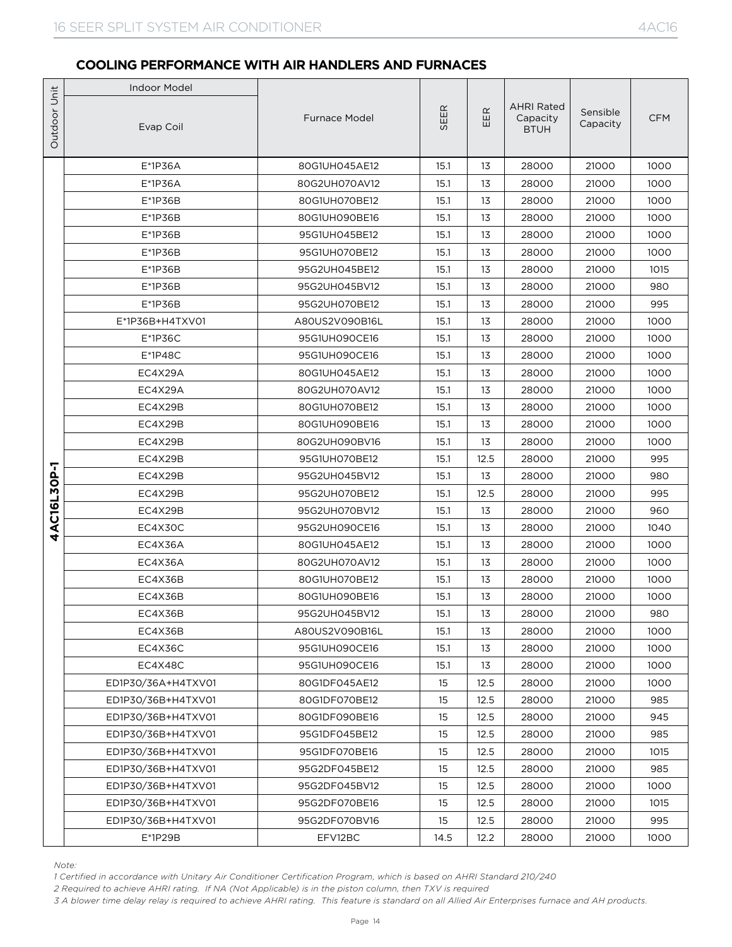|              | <b>Indoor Model</b>                                                                                                                                                                                                                                                                                                                                                                          |                      |      |        |                                              |                      |            |
|--------------|----------------------------------------------------------------------------------------------------------------------------------------------------------------------------------------------------------------------------------------------------------------------------------------------------------------------------------------------------------------------------------------------|----------------------|------|--------|----------------------------------------------|----------------------|------------|
| Outdoor Unit | Evap Coil                                                                                                                                                                                                                                                                                                                                                                                    | <b>Furnace Model</b> | SEER | E<br>Ш | <b>AHRI Rated</b><br>Capacity<br><b>BTUH</b> | Sensible<br>Capacity | <b>CFM</b> |
|              | E*1P36A                                                                                                                                                                                                                                                                                                                                                                                      | 80G1UH045AE12        | 15.1 | 13     | 28000                                        | 21000                | 1000       |
|              | E*1P36A                                                                                                                                                                                                                                                                                                                                                                                      | 80G2UH070AV12        | 15.1 | 13     | 28000                                        | 21000                | 1000       |
|              | $E*1P36B$                                                                                                                                                                                                                                                                                                                                                                                    | 80G1UH070BE12        | 15.1 | 13     | 28000                                        | 21000                | 1000       |
|              | $E*1P36B$                                                                                                                                                                                                                                                                                                                                                                                    | 80G1UH090BE16        | 15.1 | 13     | 28000                                        | 21000                | 1000       |
|              | E*1P36B                                                                                                                                                                                                                                                                                                                                                                                      | 95G1UH045BE12        | 15.1 | 13     | 28000                                        | 21000                | 1000       |
|              | $E*1P36B$                                                                                                                                                                                                                                                                                                                                                                                    | 95G1UH070BE12        | 15.1 | 13     | 28000                                        | 21000                | 1000       |
|              | $E*1P36B$                                                                                                                                                                                                                                                                                                                                                                                    | 95G2UH045BE12        | 15.1 | 13     | 28000                                        | 21000                | 1015       |
|              | $E*1P36B$                                                                                                                                                                                                                                                                                                                                                                                    | 95G2UH045BV12        | 15.1 | 13     | 28000                                        | 21000                | 980        |
|              | $E*1P36B$                                                                                                                                                                                                                                                                                                                                                                                    | 95G2UH070BE12        | 15.1 | 13     | 28000                                        | 21000                | 995        |
|              | E*1P36B+H4TXV01                                                                                                                                                                                                                                                                                                                                                                              | A80US2V090B16L       | 15.1 | 13     | 28000                                        | 21000                | 1000       |
|              | $E*1P36C$                                                                                                                                                                                                                                                                                                                                                                                    | 95G1UH090CE16        | 15.1 | 13     | 28000                                        | 21000                | 1000       |
|              | $E*1P48C$                                                                                                                                                                                                                                                                                                                                                                                    | 95G1UH090CE16        | 15.1 | 13     | 28000                                        | 21000                | 1000       |
|              | EC4X29A                                                                                                                                                                                                                                                                                                                                                                                      | 80G1UH045AE12        | 15.1 | 13     | 28000                                        | 21000                | 1000       |
|              | EC4X29A                                                                                                                                                                                                                                                                                                                                                                                      | 80G2UH070AV12        | 15.1 | 13     | 28000                                        | 21000                | 1000       |
|              | EC4X29B                                                                                                                                                                                                                                                                                                                                                                                      | 80G1UH070BE12        | 15.1 | 13     | 28000                                        | 21000                | 1000       |
|              | EC4X29B                                                                                                                                                                                                                                                                                                                                                                                      | 80G1UH090BE16        | 15.1 | 13     | 28000                                        | 21000                | 1000       |
|              | EC4X29B                                                                                                                                                                                                                                                                                                                                                                                      | 80G2UH090BV16        | 15.1 | 13     | 28000                                        | 21000                | 1000       |
|              | EC4X29B                                                                                                                                                                                                                                                                                                                                                                                      | 95G1UH070BE12        | 15.1 | 12.5   | 28000                                        | 21000                | 995        |
|              | EC4X29B                                                                                                                                                                                                                                                                                                                                                                                      | 95G2UH045BV12        | 15.1 | 13     | 28000                                        | 21000                | 980        |
|              | EC4X29B                                                                                                                                                                                                                                                                                                                                                                                      | 95G2UH070BE12        | 15.1 | 12.5   | 28000                                        | 21000                | 995        |
| 4AC16L30P-1  | EC4X29B                                                                                                                                                                                                                                                                                                                                                                                      | 95G2UH070BV12        | 15.1 | 13     | 28000                                        | 21000                | 960        |
|              | EC4X30C                                                                                                                                                                                                                                                                                                                                                                                      | 95G2UH090CE16        | 15.1 | 13     | 28000                                        | 21000                | 1040       |
|              | EC4X36A                                                                                                                                                                                                                                                                                                                                                                                      | 80G1UH045AE12        | 15.1 | 13     | 28000                                        | 21000                | 1000       |
|              | EC4X36A                                                                                                                                                                                                                                                                                                                                                                                      | 80G2UH070AV12        | 15.1 | 13     | 28000                                        | 21000                | 1000       |
|              | EC4X36B                                                                                                                                                                                                                                                                                                                                                                                      | 80G1UH070BE12        | 15.1 | 13     | 28000                                        | 21000                | 1000       |
|              | EC4X36B                                                                                                                                                                                                                                                                                                                                                                                      | 80G1UH090BE16        | 15.1 | 13     | 28000                                        | 21000                | 1000       |
|              | EC4X36B                                                                                                                                                                                                                                                                                                                                                                                      | 95G2UH045BV12        | 15.1 | 13     | 28000                                        | 21000                | 980        |
|              | EC4X36B                                                                                                                                                                                                                                                                                                                                                                                      | A80US2V090B16L       | 15.1 | 13     | 28000                                        | 21000                | 1000       |
|              | EC4X36C                                                                                                                                                                                                                                                                                                                                                                                      | 95G1UH090CE16        | 15.1 | 13     | 28000                                        | 21000                | 1000       |
|              | EC4X48C                                                                                                                                                                                                                                                                                                                                                                                      | 95G1UH090CE16        | 15.1 | 13     | 28000                                        | 21000                | 1000       |
|              | ED1P30/36A+H4TXV01                                                                                                                                                                                                                                                                                                                                                                           | 80G1DF045AE12        | 15   | 12.5   | 28000                                        | 21000                | 1000       |
|              | ED1P30/36B+H4TXV01                                                                                                                                                                                                                                                                                                                                                                           | 80G1DF070BE12        | 15   | 12.5   | 28000                                        | 21000                | 985        |
|              | ED1P30/36B+H4TXV01                                                                                                                                                                                                                                                                                                                                                                           | 80G1DF090BE16        | 15   | 12.5   | 28000                                        | 21000                | 945        |
|              | ED1P30/36B+H4TXV01                                                                                                                                                                                                                                                                                                                                                                           | 95G1DF045BE12        | 15   | 12.5   | 28000                                        | 21000                | 985        |
|              | ED1P30/36B+H4TXV01                                                                                                                                                                                                                                                                                                                                                                           | 95G1DF070BE16        | 15   | 12.5   | 28000                                        | 21000                | 1015       |
|              | ED1P30/36B+H4TXV01                                                                                                                                                                                                                                                                                                                                                                           | 95G2DF045BE12        | 15   | 12.5   | 28000                                        | 21000                | 985        |
|              | ED1P30/36B+H4TXV01                                                                                                                                                                                                                                                                                                                                                                           | 95G2DF045BV12        | 15   | 12.5   | 28000                                        | 21000                | 1000       |
|              | ED1P30/36B+H4TXV01                                                                                                                                                                                                                                                                                                                                                                           | 95G2DF070BE16        | 15   | 12.5   | 28000                                        | 21000                | 1015       |
|              | ED1P30/36B+H4TXV01                                                                                                                                                                                                                                                                                                                                                                           | 95G2DF070BV16        | 15   | 12.5   | 28000                                        | 21000                | 995        |
|              | $E*1P29B$                                                                                                                                                                                                                                                                                                                                                                                    | EFV12BC              | 14.5 | 12.2   | 28000                                        | 21000                | 1000       |
|              | Note:<br>1 Certified in accordance with Unitary Air Conditioner Certification Program, which is based on AHRI Standard 210/240<br>2 Required to achieve AHRI rating. If NA (Not Applicable) is in the piston column, then TXV is required<br>3 A blower time delay relay is required to achieve AHRI rating. This feature is standard on all Allied Air Enterprises furnace and AH products. |                      |      |        |                                              |                      |            |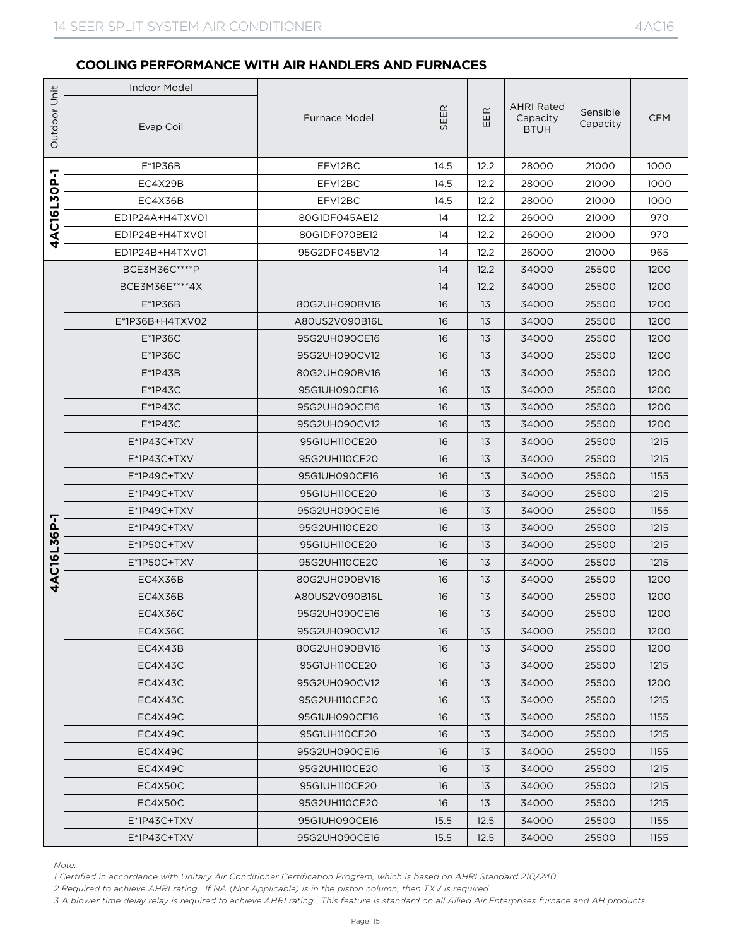|              | <b>Indoor Model</b>                                                                                                                                                                                                                                                                                                                                                                 |                                |              |          |                                              |                      |              |
|--------------|-------------------------------------------------------------------------------------------------------------------------------------------------------------------------------------------------------------------------------------------------------------------------------------------------------------------------------------------------------------------------------------|--------------------------------|--------------|----------|----------------------------------------------|----------------------|--------------|
| Outdoor Unit | Evap Coil                                                                                                                                                                                                                                                                                                                                                                           | <b>Furnace Model</b>           | SEER         | EER      | <b>AHRI Rated</b><br>Capacity<br><b>BTUH</b> | Sensible<br>Capacity | <b>CFM</b>   |
|              | $E*1P36B$                                                                                                                                                                                                                                                                                                                                                                           | EFV12BC                        | 14.5         | 12.2     | 28000                                        | 21000                | 1000         |
| 4AC16L30P-1  | EC4X29B                                                                                                                                                                                                                                                                                                                                                                             | EFV12BC                        | 14.5         | 12.2     | 28000                                        | 21000                | 1000         |
|              | EC4X36B                                                                                                                                                                                                                                                                                                                                                                             | EFV12BC                        | 14.5         | 12.2     | 28000                                        | 21000                | 1000         |
|              | ED1P24A+H4TXV01                                                                                                                                                                                                                                                                                                                                                                     | 80G1DF045AE12                  | 14           | 12.2     | 26000                                        | 21000                | 970          |
|              | ED1P24B+H4TXV01                                                                                                                                                                                                                                                                                                                                                                     | 80G1DF070BE12                  | 14           | 12.2     | 26000                                        | 21000                | 970          |
|              | ED1P24B+H4TXV01                                                                                                                                                                                                                                                                                                                                                                     | 95G2DF045BV12                  | 14           | 12.2     | 26000                                        | 21000                | 965          |
|              | BCE3M36C****P                                                                                                                                                                                                                                                                                                                                                                       |                                | 14           | 12.2     | 34000                                        | 25500                | 1200         |
|              | BCE3M36E****4X                                                                                                                                                                                                                                                                                                                                                                      |                                | 14           | 12.2     | 34000                                        | 25500                | 1200         |
|              | E*1P36B                                                                                                                                                                                                                                                                                                                                                                             | 80G2UH090BV16                  | 16           | 13       | 34000                                        | 25500                | 1200         |
|              | E*1P36B+H4TXV02                                                                                                                                                                                                                                                                                                                                                                     | A80US2V090B16L                 | 16           | 13       | 34000                                        | 25500                | 1200         |
|              | $E*1P36C$                                                                                                                                                                                                                                                                                                                                                                           | 95G2UH090CE16                  | 16           | 13       | 34000                                        | 25500                | 1200         |
|              | $E*1P36C$                                                                                                                                                                                                                                                                                                                                                                           | 95G2UH090CV12                  | 16           | 13       | 34000                                        | 25500                | 1200         |
|              | $E^*$ 1P43B                                                                                                                                                                                                                                                                                                                                                                         | 80G2UH090BV16                  | 16           | 13       | 34000                                        | 25500                | 1200         |
|              | $E^*$ 1P43C                                                                                                                                                                                                                                                                                                                                                                         | 95G1UH090CE16                  | 16           | 13       | 34000                                        | 25500                | 1200         |
|              | $E*1P43C$                                                                                                                                                                                                                                                                                                                                                                           | 95G2UH090CE16                  | 16           | 13       | 34000                                        | 25500                | 1200         |
|              | $E^*$ 1P43C                                                                                                                                                                                                                                                                                                                                                                         | 95G2UH090CV12                  | 16           | 13       | 34000                                        | 25500                | 1200         |
|              | E*1P43C+TXV                                                                                                                                                                                                                                                                                                                                                                         | 95G1UH110CE20                  | 16           | 13       | 34000                                        | 25500                | 1215         |
|              | $E^*$ 1P43C+TXV                                                                                                                                                                                                                                                                                                                                                                     | 95G2UH110CE20                  | 16           | 13       | 34000                                        | 25500                | 1215         |
|              | $E^*$ 1P49C+TXV                                                                                                                                                                                                                                                                                                                                                                     | 95G1UH090CE16                  | 16           | 13       | 34000                                        | 25500                | 1155         |
|              | $E^*$ 1P49C+TXV                                                                                                                                                                                                                                                                                                                                                                     | 95G1UH110CE20                  | 16           | 13       | 34000                                        | 25500                | 1215         |
|              | $E^*$ 1P49C+TXV                                                                                                                                                                                                                                                                                                                                                                     | 95G2UH090CE16                  | 16           | 13       | 34000                                        | 25500                | 1155         |
|              | E*1P49C+TXV                                                                                                                                                                                                                                                                                                                                                                         | 95G2UH110CE20                  | 16           | 13       | 34000                                        | 25500                | 1215         |
| 4AC16L36P-1  | $E^*$ 1P50C+TXV                                                                                                                                                                                                                                                                                                                                                                     | 95G1UH110CE20                  | 16           | 13       | 34000                                        | 25500                | 1215         |
|              | E*1P50C+TXV                                                                                                                                                                                                                                                                                                                                                                         | 95G2UH110CE20                  | 16           | 13       | 34000                                        | 25500                | 1215         |
|              | EC4X36B                                                                                                                                                                                                                                                                                                                                                                             | 80G2UH090BV16                  | 16           | 13       | 34000                                        | 25500                | 1200         |
|              | EC4X36B                                                                                                                                                                                                                                                                                                                                                                             | A80US2V090B16L                 | 16           | 13       | 34000                                        | 25500                | 1200         |
|              | EC4X36C                                                                                                                                                                                                                                                                                                                                                                             | 95G2UH090CE16                  | 16           | 13       | 34000                                        | 25500                | 1200         |
|              | EC4X36C                                                                                                                                                                                                                                                                                                                                                                             | 95G2UH090CV12                  | 16           | 13       | 34000                                        | 25500                | 1200         |
|              | EC4X43B                                                                                                                                                                                                                                                                                                                                                                             | 80G2UH090BV16                  | 16           | 13       | 34000                                        | 25500                | 1200         |
|              | EC4X43C                                                                                                                                                                                                                                                                                                                                                                             | 95G1UH110CE20                  | 16           | 13       | 34000                                        | 25500                | 1215         |
|              | EC4X43C                                                                                                                                                                                                                                                                                                                                                                             | 95G2UH090CV12                  | 16           | 13       | 34000                                        | 25500                | 1200         |
|              | EC4X43C<br>EC4X49C                                                                                                                                                                                                                                                                                                                                                                  | 95G2UH110CE20                  | 16<br>16     | 13<br>13 | 34000                                        | 25500                | 1215<br>1155 |
|              |                                                                                                                                                                                                                                                                                                                                                                                     | 95G1UH090CE16<br>95G1UH110CE20 |              |          | 34000<br>34000                               | 25500<br>25500       | 1215         |
|              | EC4X49C<br>EC4X49C                                                                                                                                                                                                                                                                                                                                                                  | 95G2UH090CE16                  | 16<br>16     | 13<br>13 | 34000                                        | 25500                | 1155         |
|              |                                                                                                                                                                                                                                                                                                                                                                                     |                                |              |          |                                              |                      |              |
|              | EC4X49C<br>EC4X50C                                                                                                                                                                                                                                                                                                                                                                  | 95G2UH110CE20<br>95G1UH110CE20 | 16<br>16     | 13<br>13 | 34000<br>34000                               | 25500<br>25500       | 1215<br>1215 |
|              |                                                                                                                                                                                                                                                                                                                                                                                     |                                | 16           | 13       |                                              |                      |              |
|              | EC4X50C                                                                                                                                                                                                                                                                                                                                                                             | 95G2UH110CE20<br>95G1UH090CE16 |              | 12.5     | 34000<br>34000                               | 25500<br>25500       | 1215<br>1155 |
|              | $E^*$ 1P43C+TXV<br>$E^*$ 1P43C+TXV                                                                                                                                                                                                                                                                                                                                                  | 95G2UH090CE16                  | 15.5<br>15.5 | 12.5     | 34000                                        | 25500                | 1155         |
|              |                                                                                                                                                                                                                                                                                                                                                                                     |                                |              |          |                                              |                      |              |
| Note:        | 1 Certified in accordance with Unitary Air Conditioner Certification Program, which is based on AHRI Standard 210/240<br>2 Required to achieve AHRI rating. If NA (Not Applicable) is in the piston column, then TXV is required<br>3 A blower time delay relay is required to achieve AHRI rating. This feature is standard on all Allied Air Enterprises furnace and AH products. |                                |              |          |                                              |                      |              |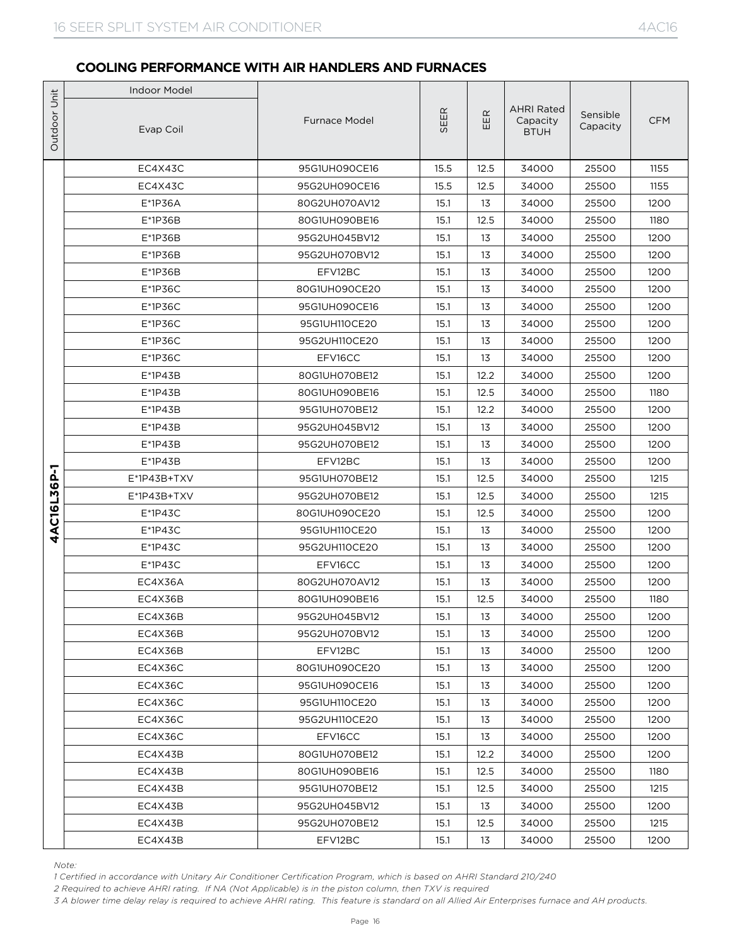|                             | <b>Indoor Model</b>                                                                                                                                                                                                                                                                                                                                                                 |                                |              |          |                                              |                      |              |
|-----------------------------|-------------------------------------------------------------------------------------------------------------------------------------------------------------------------------------------------------------------------------------------------------------------------------------------------------------------------------------------------------------------------------------|--------------------------------|--------------|----------|----------------------------------------------|----------------------|--------------|
|                             | Evap Coil                                                                                                                                                                                                                                                                                                                                                                           | <b>Furnace Model</b>           | SEER         | EER      | <b>AHRI Rated</b><br>Capacity<br><b>BTUH</b> | Sensible<br>Capacity | <b>CFM</b>   |
|                             | EC4X43C                                                                                                                                                                                                                                                                                                                                                                             | 95G1UH090CE16                  | 15.5         | 12.5     | 34000                                        | 25500                | 1155         |
|                             | EC4X43C                                                                                                                                                                                                                                                                                                                                                                             | 95G2UH090CE16                  | 15.5         | 12.5     | 34000                                        | 25500                | 1155         |
| Outdoor Unit<br>4AC16L36P-1 | E*1P36A                                                                                                                                                                                                                                                                                                                                                                             | 80G2UH070AV12                  | 15.1         | 13       | 34000                                        | 25500                | 1200         |
|                             | E*1P36B                                                                                                                                                                                                                                                                                                                                                                             | 80G1UH090BE16                  | 15.1         | 12.5     | 34000                                        | 25500                | 1180         |
|                             | E*1P36B                                                                                                                                                                                                                                                                                                                                                                             | 95G2UH045BV12                  | 15.1         | 13       | 34000                                        | 25500                | 1200         |
|                             | E*1P36B                                                                                                                                                                                                                                                                                                                                                                             | 95G2UH070BV12                  | 15.1         | 13       | 34000                                        | 25500                | 1200         |
|                             | E*1P36B                                                                                                                                                                                                                                                                                                                                                                             | EFV12BC                        | 15.1         | 13       | 34000                                        | 25500                | 1200         |
|                             | $E*1P36C$                                                                                                                                                                                                                                                                                                                                                                           | 80G1UH090CE20                  | 15.1         | 13       | 34000                                        | 25500                | 1200         |
|                             | $E*1P36C$                                                                                                                                                                                                                                                                                                                                                                           | 95G1UH090CE16                  | 15.1         | 13       | 34000                                        | 25500                | 1200         |
|                             | $E*1P36C$                                                                                                                                                                                                                                                                                                                                                                           | 95G1UH110CE20                  | 15.1         | 13       | 34000                                        | 25500                | 1200         |
|                             | $E*1P36C$                                                                                                                                                                                                                                                                                                                                                                           | 95G2UH110CE20                  | 15.1         | 13       | 34000                                        | 25500                | 1200         |
|                             | $E*1P36C$                                                                                                                                                                                                                                                                                                                                                                           | EFV16CC                        | 15.1         | 13       | 34000                                        | 25500                | 1200         |
|                             | $E^*$ 1P43B                                                                                                                                                                                                                                                                                                                                                                         | 80G1UH070BE12                  | 15.1         | 12.2     | 34000                                        | 25500                | 1200         |
|                             | $E^*$ 1P43B                                                                                                                                                                                                                                                                                                                                                                         | 80G1UH090BE16                  | 15.1         | 12.5     | 34000                                        | 25500                | 1180         |
|                             | $E^*$ 1P43B                                                                                                                                                                                                                                                                                                                                                                         | 95G1UH070BE12                  | 15.1         | 12.2     | 34000                                        | 25500                | 1200         |
|                             | $E^*$ 1P43B                                                                                                                                                                                                                                                                                                                                                                         | 95G2UH045BV12                  | 15.1         | 13       | 34000                                        | 25500                | 1200         |
|                             | E*1P43B                                                                                                                                                                                                                                                                                                                                                                             | 95G2UH070BE12                  | 15.1         | 13       | 34000                                        | 25500                | 1200         |
|                             | $E^*$ 1P43B                                                                                                                                                                                                                                                                                                                                                                         | EFV12BC                        | 15.1         | 13       | 34000                                        | 25500                | 1200         |
|                             | $E^*$ 1P43B+TXV                                                                                                                                                                                                                                                                                                                                                                     | 95G1UH070BE12                  | 15.1         | 12.5     | 34000                                        | 25500                | 1215         |
|                             | E*1P43B+TXV                                                                                                                                                                                                                                                                                                                                                                         | 95G2UH070BE12                  | 15.1         | 12.5     | 34000                                        | 25500                | 1215         |
|                             | $E^*$ 1P43C                                                                                                                                                                                                                                                                                                                                                                         | 80G1UH090CE20                  | 15.1         | 12.5     | 34000                                        | 25500                | 1200         |
|                             | $E^*$ 1P43C<br>$E*1P43C$                                                                                                                                                                                                                                                                                                                                                            | 95G1UH110CE20<br>95G2UH110CE20 | 15.1<br>15.1 | 13<br>13 | 34000<br>34000                               | 25500<br>25500       | 1200<br>1200 |
|                             | $E*1P43C$                                                                                                                                                                                                                                                                                                                                                                           | EFV16CC                        | 15.1         | 13       | 34000                                        | 25500                | 1200         |
|                             | EC4X36A                                                                                                                                                                                                                                                                                                                                                                             | 80G2UH070AV12                  | 15.1         | 13       | 34000                                        | 25500                | 1200         |
|                             | EC4X36B                                                                                                                                                                                                                                                                                                                                                                             | 80G1UH090BE16                  | 15.1         | 12.5     | 34000                                        | 25500                | 1180         |
|                             | EC4X36B                                                                                                                                                                                                                                                                                                                                                                             | 95G2UH045BV12                  | 15.1         | 13       | 34000                                        | 25500                | 1200         |
|                             | EC4X36B                                                                                                                                                                                                                                                                                                                                                                             | 95G2UH070BV12                  | 15.1         | 13       | 34000                                        | 25500                | 1200         |
|                             | EC4X36B                                                                                                                                                                                                                                                                                                                                                                             | EFV12BC                        | 15.1         | 13       | 34000                                        | 25500                | 1200         |
|                             | EC4X36C                                                                                                                                                                                                                                                                                                                                                                             | 80G1UH090CE20                  | 15.1         | 13       | 34000                                        | 25500                | 1200         |
|                             | EC4X36C                                                                                                                                                                                                                                                                                                                                                                             | 95G1UH090CE16                  | 15.1         | 13       | 34000                                        | 25500                | 1200         |
|                             | EC4X36C                                                                                                                                                                                                                                                                                                                                                                             | 95G1UH110CE20                  | 15.1         | 13       | 34000                                        | 25500                | 1200         |
|                             | EC4X36C                                                                                                                                                                                                                                                                                                                                                                             | 95G2UH110CE20                  | 15.1         | 13       | 34000                                        | 25500                | 1200         |
|                             | EC4X36C                                                                                                                                                                                                                                                                                                                                                                             | EFV16CC                        | 15.1         | 13       | 34000                                        | 25500                | 1200         |
|                             | EC4X43B                                                                                                                                                                                                                                                                                                                                                                             | 80G1UH070BE12                  | 15.1         | 12.2     | 34000                                        | 25500                | 1200         |
|                             | EC4X43B                                                                                                                                                                                                                                                                                                                                                                             | 80G1UH090BE16                  | 15.1         | 12.5     | 34000                                        | 25500                | 1180         |
|                             | EC4X43B                                                                                                                                                                                                                                                                                                                                                                             | 95G1UH070BE12                  | 15.1         | 12.5     | 34000                                        | 25500                | 1215         |
|                             | EC4X43B                                                                                                                                                                                                                                                                                                                                                                             | 95G2UH045BV12                  | 15.1         | 13       | 34000                                        | 25500                | 1200         |
|                             | EC4X43B                                                                                                                                                                                                                                                                                                                                                                             | 95G2UH070BE12                  | 15.1         | 12.5     | 34000                                        | 25500                | 1215         |
|                             | EC4X43B                                                                                                                                                                                                                                                                                                                                                                             | EFV12BC                        | 15.1         | 13       | 34000                                        | 25500                | 1200         |
| Note:                       | 1 Certified in accordance with Unitary Air Conditioner Certification Program, which is based on AHRI Standard 210/240<br>2 Required to achieve AHRI rating. If NA (Not Applicable) is in the piston column, then TXV is required<br>3 A blower time delay relay is required to achieve AHRI rating. This feature is standard on all Allied Air Enterprises furnace and AH products. |                                |              |          |                                              |                      |              |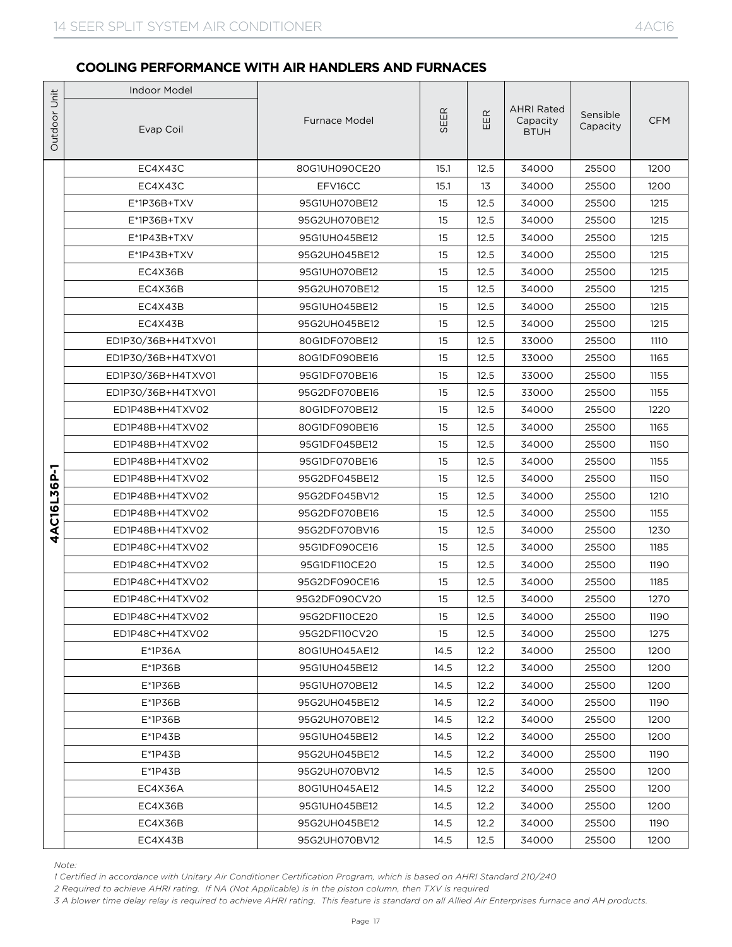|                             | <b>Indoor Model</b>                                                                                                                                                                                                                                                                                                                                                                          |                      |      |      |                                              |                      |             |
|-----------------------------|----------------------------------------------------------------------------------------------------------------------------------------------------------------------------------------------------------------------------------------------------------------------------------------------------------------------------------------------------------------------------------------------|----------------------|------|------|----------------------------------------------|----------------------|-------------|
|                             | Evap Coil                                                                                                                                                                                                                                                                                                                                                                                    | <b>Furnace Model</b> | SEER | EER  | <b>AHRI Rated</b><br>Capacity<br><b>BTUH</b> | Sensible<br>Capacity | <b>CFM</b>  |
|                             | EC4X43C                                                                                                                                                                                                                                                                                                                                                                                      | 80G1UH090CE20        | 15.1 | 12.5 | 34000                                        | 25500                | 1200        |
|                             | EC4X43C                                                                                                                                                                                                                                                                                                                                                                                      | EFV16CC              | 15.1 | 13   | 34000                                        | 25500                | 1200        |
| Outdoor Unit<br>4AC16L36P-1 | E*1P36B+TXV                                                                                                                                                                                                                                                                                                                                                                                  | 95G1UH070BE12        | 15   | 12.5 | 34000                                        | 25500                | 1215        |
|                             | E*1P36B+TXV                                                                                                                                                                                                                                                                                                                                                                                  | 95G2UH070BE12        | 15   | 12.5 | 34000                                        | 25500                | 1215        |
|                             | E*1P43B+TXV                                                                                                                                                                                                                                                                                                                                                                                  | 95G1UH045BE12        | 15   | 12.5 | 34000                                        | 25500                | 1215        |
|                             | $E^*$ 1P43B+TXV                                                                                                                                                                                                                                                                                                                                                                              | 95G2UH045BE12        | 15   | 12.5 | 34000                                        | 25500                | 1215        |
|                             | EC4X36B                                                                                                                                                                                                                                                                                                                                                                                      | 95G1UH070BE12        | 15   | 12.5 | 34000                                        | 25500                | 1215        |
|                             | EC4X36B                                                                                                                                                                                                                                                                                                                                                                                      | 95G2UH070BE12        | 15   | 12.5 | 34000                                        | 25500                | 1215        |
|                             | EC4X43B                                                                                                                                                                                                                                                                                                                                                                                      | 95G1UH045BE12        | 15   | 12.5 | 34000                                        | 25500                | 1215        |
|                             | EC4X43B                                                                                                                                                                                                                                                                                                                                                                                      | 95G2UH045BE12        | 15   | 12.5 | 34000                                        | 25500                | 1215        |
|                             | ED1P30/36B+H4TXV01                                                                                                                                                                                                                                                                                                                                                                           | 80G1DF070BE12        | 15   | 12.5 | 33000                                        | 25500                | <b>1110</b> |
|                             | ED1P30/36B+H4TXV01                                                                                                                                                                                                                                                                                                                                                                           | 80G1DF090BE16        | 15   | 12.5 | 33000                                        | 25500                | 1165        |
|                             | ED1P30/36B+H4TXV01                                                                                                                                                                                                                                                                                                                                                                           | 95G1DF070BE16        | 15   | 12.5 | 33000                                        | 25500                | 1155        |
|                             | ED1P30/36B+H4TXV01                                                                                                                                                                                                                                                                                                                                                                           | 95G2DF070BE16        | 15   | 12.5 | 33000                                        | 25500                | 1155        |
|                             | ED1P48B+H4TXV02                                                                                                                                                                                                                                                                                                                                                                              | 80G1DF070BE12        | 15   | 12.5 | 34000                                        | 25500                | 1220        |
|                             | ED1P48B+H4TXV02                                                                                                                                                                                                                                                                                                                                                                              | 80G1DF090BE16        | 15   | 12.5 | 34000                                        | 25500                | 1165        |
|                             | ED1P48B+H4TXV02                                                                                                                                                                                                                                                                                                                                                                              | 95G1DF045BE12        | 15   | 12.5 | 34000                                        | 25500                | 1150        |
|                             | ED1P48B+H4TXV02                                                                                                                                                                                                                                                                                                                                                                              | 95G1DF070BE16        | 15   | 12.5 | 34000                                        | 25500                | 1155        |
|                             | ED1P48B+H4TXV02                                                                                                                                                                                                                                                                                                                                                                              | 95G2DF045BE12        | 15   | 12.5 | 34000                                        | 25500                | 1150        |
|                             | ED1P48B+H4TXV02                                                                                                                                                                                                                                                                                                                                                                              | 95G2DF045BV12        | 15   | 12.5 | 34000                                        | 25500                | 1210        |
|                             | ED1P48B+H4TXV02                                                                                                                                                                                                                                                                                                                                                                              | 95G2DF070BE16        | 15   | 12.5 | 34000                                        | 25500                | 1155        |
|                             | ED1P48B+H4TXV02                                                                                                                                                                                                                                                                                                                                                                              | 95G2DF070BV16        | 15   | 12.5 | 34000                                        | 25500                | 1230        |
|                             | ED1P48C+H4TXV02                                                                                                                                                                                                                                                                                                                                                                              | 95G1DF090CE16        | 15   | 12.5 | 34000                                        | 25500                | 1185        |
|                             | ED1P48C+H4TXV02                                                                                                                                                                                                                                                                                                                                                                              | 95G1DF110CE20        | 15   | 12.5 | 34000                                        | 25500                | 1190        |
|                             | ED1P48C+H4TXV02                                                                                                                                                                                                                                                                                                                                                                              | 95G2DF090CE16        | 15   | 12.5 | 34000                                        | 25500                | 1185        |
|                             | ED1P48C+H4TXV02                                                                                                                                                                                                                                                                                                                                                                              | 95G2DF090CV20        | 15   | 12.5 | 34000                                        | 25500                | 1270        |
|                             | ED1P48C+H4TXV02                                                                                                                                                                                                                                                                                                                                                                              | 95G2DF110CE20        | 15   | 12.5 | 34000                                        | 25500                | 1190        |
|                             | ED1P48C+H4TXV02                                                                                                                                                                                                                                                                                                                                                                              | 95G2DF110CV20        | 15   | 12.5 | 34000                                        | 25500                | 1275        |
|                             | $E*1P36A$                                                                                                                                                                                                                                                                                                                                                                                    | 80G1UH045AE12        | 14.5 | 12.2 | 34000                                        | 25500                | 1200        |
|                             | $E*1P36B$                                                                                                                                                                                                                                                                                                                                                                                    | 95G1UH045BE12        | 14.5 | 12.2 | 34000                                        | 25500                | 1200        |
|                             | E*1P36B                                                                                                                                                                                                                                                                                                                                                                                      | 95G1UH070BE12        | 14.5 | 12.2 | 34000                                        | 25500                | 1200        |
|                             | E*1P36B                                                                                                                                                                                                                                                                                                                                                                                      | 95G2UH045BE12        | 14.5 | 12.2 | 34000                                        | 25500                | 1190        |
|                             | $E^*$ 1P36B                                                                                                                                                                                                                                                                                                                                                                                  | 95G2UH070BE12        | 14.5 | 12.2 | 34000                                        | 25500                | 1200        |
|                             | $E^*$ 1P43B                                                                                                                                                                                                                                                                                                                                                                                  | 95G1UH045BE12        | 14.5 | 12.2 | 34000                                        | 25500                | 1200        |
|                             | $E*1P43B$                                                                                                                                                                                                                                                                                                                                                                                    | 95G2UH045BE12        | 14.5 | 12.2 | 34000                                        | 25500                | 1190        |
|                             | $E^*$ 1P43B                                                                                                                                                                                                                                                                                                                                                                                  | 95G2UH070BV12        | 14.5 | 12.5 | 34000                                        | 25500                | 1200        |
|                             | EC4X36A                                                                                                                                                                                                                                                                                                                                                                                      | 80G1UH045AE12        | 14.5 | 12.2 | 34000                                        | 25500                | 1200        |
|                             | EC4X36B                                                                                                                                                                                                                                                                                                                                                                                      | 95G1UH045BE12        | 14.5 | 12.2 | 34000                                        | 25500                | 1200        |
|                             | EC4X36B                                                                                                                                                                                                                                                                                                                                                                                      | 95G2UH045BE12        | 14.5 | 12.2 | 34000                                        | 25500                | 1190        |
|                             | EC4X43B                                                                                                                                                                                                                                                                                                                                                                                      | 95G2UH070BV12        | 14.5 | 12.5 | 34000                                        | 25500                | 1200        |
|                             | Note:<br>1 Certified in accordance with Unitary Air Conditioner Certification Program, which is based on AHRI Standard 210/240<br>2 Required to achieve AHRI rating. If NA (Not Applicable) is in the piston column, then TXV is required<br>3 A blower time delay relay is required to achieve AHRI rating. This feature is standard on all Allied Air Enterprises furnace and AH products. |                      |      |      |                                              |                      |             |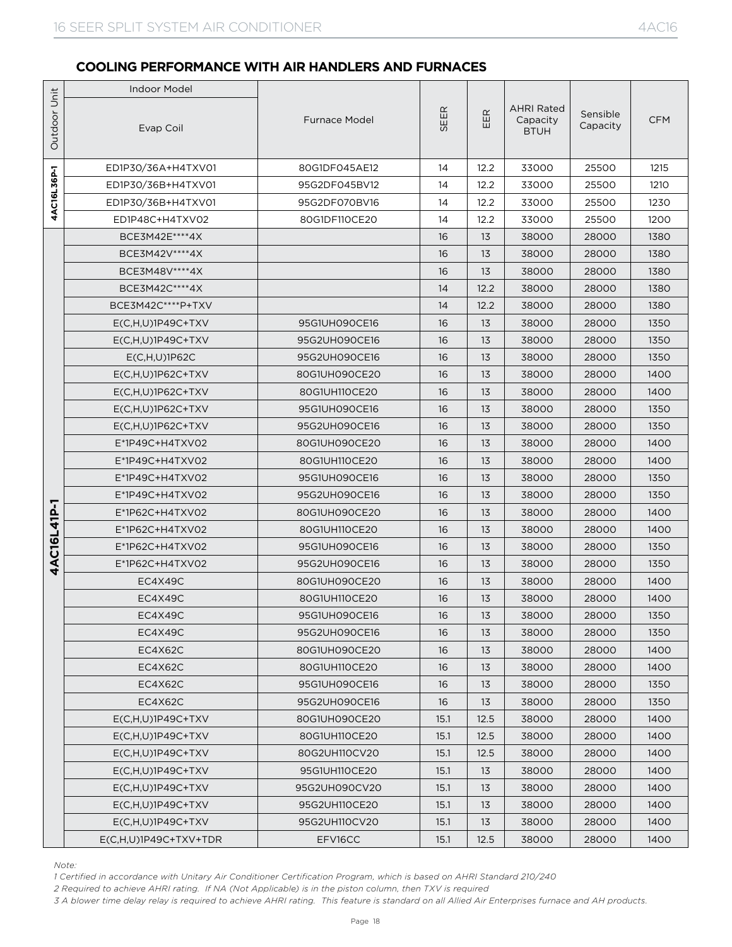|              | <b>Indoor Model</b>                                                                                                                                                                                                                                                                                                                                                                          |                                |          |            |                                              |                      |              |
|--------------|----------------------------------------------------------------------------------------------------------------------------------------------------------------------------------------------------------------------------------------------------------------------------------------------------------------------------------------------------------------------------------------------|--------------------------------|----------|------------|----------------------------------------------|----------------------|--------------|
| Outdoor Unit | Evap Coil                                                                                                                                                                                                                                                                                                                                                                                    | <b>Furnace Model</b>           | SEER     | $E$ R<br>ш | <b>AHRI Rated</b><br>Capacity<br><b>BTUH</b> | Sensible<br>Capacity | <b>CFM</b>   |
|              | ED1P30/36A+H4TXV01                                                                                                                                                                                                                                                                                                                                                                           | 80G1DF045AE12                  | 14       | 12.2       | 33000                                        | 25500                | 1215         |
| 4AC16L36P-1  | ED1P30/36B+H4TXV01                                                                                                                                                                                                                                                                                                                                                                           | 95G2DF045BV12                  | 14       | 12.2       | 33000                                        | 25500                | 1210         |
|              | ED1P30/36B+H4TXV01                                                                                                                                                                                                                                                                                                                                                                           | 95G2DF070BV16                  | 14       | 12.2       | 33000                                        | 25500                | 1230         |
|              | ED1P48C+H4TXV02                                                                                                                                                                                                                                                                                                                                                                              | 80G1DF110CE20                  | 14       | 12.2       | 33000                                        | 25500                | 1200         |
|              | BCE3M42E **** 4X                                                                                                                                                                                                                                                                                                                                                                             |                                | 16       | 13         | 38000                                        | 28000                | 1380         |
|              | BCE3M42V **** 4X                                                                                                                                                                                                                                                                                                                                                                             |                                | 16       | 13         | 38000                                        | 28000                | 1380         |
|              | BCE3M48V****4X                                                                                                                                                                                                                                                                                                                                                                               |                                | 16       | 13         | 38000                                        | 28000                | 1380         |
|              | BCE3M42C****4X                                                                                                                                                                                                                                                                                                                                                                               |                                | 14       | 12.2       | 38000                                        | 28000                | 1380         |
|              | BCE3M42C****P+TXV                                                                                                                                                                                                                                                                                                                                                                            |                                | 14       | 12.2       | 38000                                        | 28000                | 1380         |
|              | $E(C,H,U)1P49C+TXV$                                                                                                                                                                                                                                                                                                                                                                          | 95G1UH090CE16                  | 16       | 13         | 38000                                        | 28000                | 1350         |
|              | $E(C,H,U)1P49C+TXV$                                                                                                                                                                                                                                                                                                                                                                          | 95G2UH090CE16                  | 16       | 13         | 38000                                        | 28000                | 1350         |
|              | $E(C,H,U)$ 1P62C                                                                                                                                                                                                                                                                                                                                                                             | 95G2UH090CE16                  | 16       | 13         | 38000                                        | 28000                | 1350         |
|              | $E(C,H,U)1P62C+TXV$                                                                                                                                                                                                                                                                                                                                                                          | 80G1UH090CE20                  | 16       | 13         | 38000                                        | 28000                | 1400         |
|              | $E(C,H,U)$ 1P62C+TXV                                                                                                                                                                                                                                                                                                                                                                         | 80G1UH110CE20                  | 16       | 13         | 38000                                        | 28000                | 1400         |
|              | $E(C,H,U)1P62C+TXV$                                                                                                                                                                                                                                                                                                                                                                          | 95G1UH090CE16                  | 16       | 13         | 38000                                        | 28000                | 1350         |
|              | $E(C,H,U)1P62C+TXV$                                                                                                                                                                                                                                                                                                                                                                          | 95G2UH090CE16                  | 16       | 13         | 38000                                        | 28000                | 1350         |
|              | $E^*$ 1P49C+H4TXV02                                                                                                                                                                                                                                                                                                                                                                          | 80G1UH090CE20                  | 16       | 13         | 38000                                        | 28000                | 1400         |
|              | $E^*$ 1P49C+H4TXV02                                                                                                                                                                                                                                                                                                                                                                          | 80G1UH110CE20                  | 16       | 13         | 38000                                        | 28000                | 1400         |
|              | $E^*$ 1P49C+H4TXV02                                                                                                                                                                                                                                                                                                                                                                          | 95G1UH090CE16                  | 16       | 13         | 38000                                        | 28000                | 1350         |
|              | $E^*$ 1P49C+H4TXV02                                                                                                                                                                                                                                                                                                                                                                          | 95G2UH090CE16                  | 16       | 13         | 38000                                        | 28000                | 1350         |
|              | E*1P62C+H4TXV02                                                                                                                                                                                                                                                                                                                                                                              | 80G1UH090CE20                  | 16       | 13         | 38000                                        | 28000                | 1400         |
|              | E*1P62C+H4TXV02<br>$E^*$ 1P62C+H4TXV02                                                                                                                                                                                                                                                                                                                                                       | 80G1UH110CE20                  | 16       | 13<br>13   | 38000                                        | 28000<br>28000       | 1400<br>1350 |
| 4AC16L41P-1  | E*1P62C+H4TXV02                                                                                                                                                                                                                                                                                                                                                                              | 95G1UH090CE16<br>95G2UH090CE16 | 16       | 13         | 38000<br>38000                               | 28000                | 1350         |
|              | EC4X49C                                                                                                                                                                                                                                                                                                                                                                                      | 80G1UH090CE20                  | 16<br>16 | 13         | 38000                                        | 28000                | 1400         |
|              | EC4X49C                                                                                                                                                                                                                                                                                                                                                                                      | 80G1UH110CE20                  | 16       | 13         | 38000                                        | 28000                | 1400         |
|              | EC4X49C                                                                                                                                                                                                                                                                                                                                                                                      | 95G1UH090CE16                  | 16       | 13         | 38000                                        | 28000                | 1350         |
|              | EC4X49C                                                                                                                                                                                                                                                                                                                                                                                      | 95G2UH090CE16                  | 16       | 13         | 38000                                        | 28000                | 1350         |
|              | EC4X62C                                                                                                                                                                                                                                                                                                                                                                                      | 80G1UH090CE20                  | 16       | 13         | 38000                                        | 28000                | 1400         |
|              | EC4X62C                                                                                                                                                                                                                                                                                                                                                                                      | 80G1UH110CE20                  | 16       | 13         | 38000                                        | 28000                | 1400         |
|              | EC4X62C                                                                                                                                                                                                                                                                                                                                                                                      | 95G1UH090CE16                  | 16       | 13         | 38000                                        | 28000                | 1350         |
|              | EC4X62C                                                                                                                                                                                                                                                                                                                                                                                      | 95G2UH090CE16                  | 16       | 13         | 38000                                        | 28000                | 1350         |
|              | $E(C,H,U)1P49C+TXV$                                                                                                                                                                                                                                                                                                                                                                          | 80G1UH090CE20                  | 15.1     | 12.5       | 38000                                        | 28000                | 1400         |
|              | $E(C,H,U)1P49C+TXV$                                                                                                                                                                                                                                                                                                                                                                          | 80G1UH110CE20                  | 15.1     | 12.5       | 38000                                        | 28000                | 1400         |
|              | $E(C,H,U)1P49C+TXV$                                                                                                                                                                                                                                                                                                                                                                          | 80G2UH110CV20                  | 15.1     | 12.5       | 38000                                        | 28000                | 1400         |
|              | $E(C,H,U)1P49C+TXV$                                                                                                                                                                                                                                                                                                                                                                          | 95G1UH110CE20                  | 15.1     | 13         | 38000                                        | 28000                | 1400         |
|              | $E(C,H,U)$ 1P49C+TXV                                                                                                                                                                                                                                                                                                                                                                         | 95G2UH090CV20                  | 15.1     | 13         | 38000                                        | 28000                | 1400         |
|              | $E(C,H,U)$ 1P49C+TXV                                                                                                                                                                                                                                                                                                                                                                         | 95G2UH110CE20                  | 15.1     | 13         | 38000                                        | 28000                | 1400         |
|              | $E(C,H,U)1P49C+TXV$                                                                                                                                                                                                                                                                                                                                                                          | 95G2UH110CV20                  | 15.1     | 13         | 38000                                        | 28000                | 1400         |
|              | $E(C,H,U)$ 1P49C+TXV+TDR                                                                                                                                                                                                                                                                                                                                                                     | EFV16CC                        | 15.1     | 12.5       | 38000                                        | 28000                | 1400         |
|              | Note:<br>1 Certified in accordance with Unitary Air Conditioner Certification Program, which is based on AHRI Standard 210/240<br>2 Required to achieve AHRI rating. If NA (Not Applicable) is in the piston column, then TXV is required<br>3 A blower time delay relay is required to achieve AHRI rating. This feature is standard on all Allied Air Enterprises furnace and AH products. |                                |          |            |                                              |                      |              |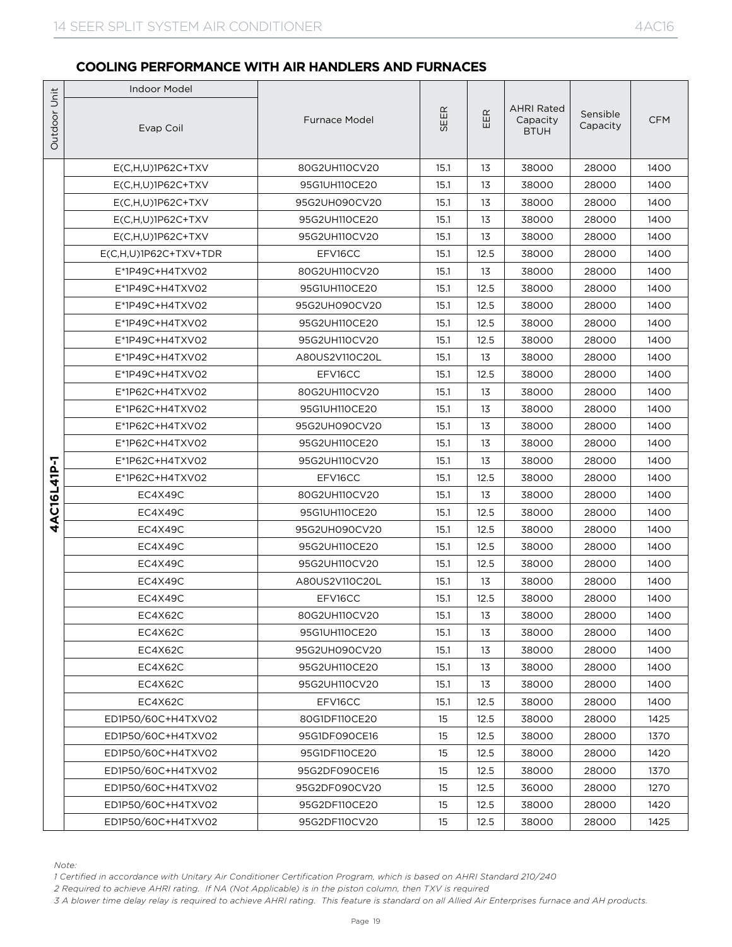|                             | <b>Indoor Model</b>                                                                                                                                                                                                                                                                                                                                                                          |                          |              |            |                                              |                      |              |
|-----------------------------|----------------------------------------------------------------------------------------------------------------------------------------------------------------------------------------------------------------------------------------------------------------------------------------------------------------------------------------------------------------------------------------------|--------------------------|--------------|------------|----------------------------------------------|----------------------|--------------|
|                             | Evap Coil                                                                                                                                                                                                                                                                                                                                                                                    | <b>Furnace Model</b>     | <b>SEER</b>  | EER        | <b>AHRI Rated</b><br>Capacity<br><b>BTUH</b> | Sensible<br>Capacity | <b>CFM</b>   |
|                             | $E(C,H,U)1P62C+TXV$                                                                                                                                                                                                                                                                                                                                                                          | 80G2UH110CV20            | 15.1         | 13         | 38000                                        | 28000                | 1400         |
| Outdoor Unit<br>4AC16L41P-1 | $E(C,H,U)1P62C+TXV$                                                                                                                                                                                                                                                                                                                                                                          | 95G1UH110CE20            | 15.1         | 13         | 38000                                        | 28000                | 1400         |
|                             | $E(C,H,U)1P62C+TXV$                                                                                                                                                                                                                                                                                                                                                                          | 95G2UH090CV20            | 15.1         | 13         | 38000                                        | 28000                | 1400         |
|                             | $E(C,H,U)1P62C+TXV$                                                                                                                                                                                                                                                                                                                                                                          | 95G2UH110CE20            | 15.1         | 13         | 38000                                        | 28000                | 1400         |
|                             | $E(C,H,U)$ 1P62C+TXV                                                                                                                                                                                                                                                                                                                                                                         | 95G2UH110CV20            | 15.1         | 13         | 38000                                        | 28000                | 1400         |
|                             | E(C,H,U)1P62C+TXV+TDR                                                                                                                                                                                                                                                                                                                                                                        | EFV16CC                  | 15.1         | 12.5       | 38000                                        | 28000                | 1400         |
|                             | E*1P49C+H4TXV02                                                                                                                                                                                                                                                                                                                                                                              | 80G2UH110CV20            | 15.1         | 13         | 38000                                        | 28000                | 1400         |
|                             | E*1P49C+H4TXV02                                                                                                                                                                                                                                                                                                                                                                              | 95G1UH110CE20            | 15.1         | 12.5       | 38000                                        | 28000                | 1400         |
|                             | E*1P49C+H4TXV02                                                                                                                                                                                                                                                                                                                                                                              | 95G2UH090CV20            | 15.1         | 12.5       | 38000                                        | 28000                | 1400         |
|                             | E*1P49C+H4TXV02                                                                                                                                                                                                                                                                                                                                                                              | 95G2UH110CE20            | 15.1         | 12.5       | 38000                                        | 28000                | 1400         |
|                             | E*1P49C+H4TXV02                                                                                                                                                                                                                                                                                                                                                                              | 95G2UH110CV20            | 15.1         | 12.5       | 38000                                        | 28000                | 1400         |
|                             | E*1P49C+H4TXV02                                                                                                                                                                                                                                                                                                                                                                              | A80US2V110C20L           | 15.1         | 13         | 38000                                        | 28000                | 1400         |
|                             | E*1P49C+H4TXV02                                                                                                                                                                                                                                                                                                                                                                              | EFV16CC                  | 15.1         | 12.5       | 38000                                        | 28000                | 1400         |
|                             | E*1P62C+H4TXV02                                                                                                                                                                                                                                                                                                                                                                              | 80G2UH110CV20            | 15.1         | 13         | 38000                                        | 28000                | 1400         |
|                             | E*1P62C+H4TXV02                                                                                                                                                                                                                                                                                                                                                                              | 95G1UH110CE20            | 15.1         | 13         | 38000                                        | 28000                | 1400         |
|                             | E*1P62C+H4TXV02                                                                                                                                                                                                                                                                                                                                                                              | 95G2UH090CV20            | 15.1         | 13         | 38000                                        | 28000                | 1400         |
|                             | E*1P62C+H4TXV02                                                                                                                                                                                                                                                                                                                                                                              | 95G2UH110CE20            | 15.1         | 13<br>13   | 38000                                        | 28000                | 1400         |
|                             | $E^*$ 1P62C+H4TXV02                                                                                                                                                                                                                                                                                                                                                                          | 95G2UH110CV20            | 15.1         |            | 38000                                        | 28000                | 1400         |
|                             | E*1P62C+H4TXV02<br>EC4X49C                                                                                                                                                                                                                                                                                                                                                                   | EFV16CC<br>80G2UH110CV20 | 15.1<br>15.1 | 12.5<br>13 | 38000<br>38000                               | 28000<br>28000       | 1400<br>1400 |
|                             | EC4X49C                                                                                                                                                                                                                                                                                                                                                                                      | 95G1UH110CE20            | 15.1         | 12.5       | 38000                                        | 28000                | 1400         |
|                             | EC4X49C                                                                                                                                                                                                                                                                                                                                                                                      | 95G2UH090CV20            | 15.1         | 12.5       | 38000                                        | 28000                | 1400         |
|                             | EC4X49C                                                                                                                                                                                                                                                                                                                                                                                      | 95G2UH110CE20            | 15.1         | 12.5       | 38000                                        | 28000                | 1400         |
|                             | EC4X49C                                                                                                                                                                                                                                                                                                                                                                                      | 95G2UH110CV20            | 15.1         | 12.5       | 38000                                        | 28000                | 1400         |
|                             | EC4X49C                                                                                                                                                                                                                                                                                                                                                                                      | A80US2V110C20L           | 15.1         | 13         | 38000                                        | 28000                | 1400         |
|                             | EC4X49C                                                                                                                                                                                                                                                                                                                                                                                      | EFV16CC                  | 15.1         | 12.5       | 38000                                        | 28000                | 1400         |
|                             | EC4X62C                                                                                                                                                                                                                                                                                                                                                                                      | 80G2UH110CV20            | 15.1         | 13         | 38000                                        | 28000                | 1400         |
|                             | EC4X62C                                                                                                                                                                                                                                                                                                                                                                                      | 95G1UH110CE20            | 15.1         | 13         | 38000                                        | 28000                | 1400         |
|                             | EC4X62C                                                                                                                                                                                                                                                                                                                                                                                      | 95G2UH090CV20            | 15.1         | 13         | 38000                                        | 28000                | 1400         |
|                             | EC4X62C                                                                                                                                                                                                                                                                                                                                                                                      | 95G2UH110CE20            | 15.1         | 13         | 38000                                        | 28000                | 1400         |
|                             | EC4X62C                                                                                                                                                                                                                                                                                                                                                                                      | 95G2UH110CV20            | 15.1         | 13         | 38000                                        | 28000                | 1400         |
|                             | EC4X62C                                                                                                                                                                                                                                                                                                                                                                                      | EFV16CC                  | 15.1         | 12.5       | 38000                                        | 28000                | 1400         |
|                             | ED1P50/60C+H4TXV02                                                                                                                                                                                                                                                                                                                                                                           | 80G1DF110CE20            | 15           | 12.5       | 38000                                        | 28000                | 1425         |
|                             | ED1P50/60C+H4TXV02                                                                                                                                                                                                                                                                                                                                                                           | 95G1DF090CE16            | 15           | 12.5       | 38000                                        | 28000                | 1370         |
|                             | ED1P50/60C+H4TXV02                                                                                                                                                                                                                                                                                                                                                                           | 95G1DF110CE20            | 15           | 12.5       | 38000                                        | 28000                | 1420         |
|                             | ED1P50/60C+H4TXV02                                                                                                                                                                                                                                                                                                                                                                           | 95G2DF090CE16            | 15           | 12.5       | 38000                                        | 28000                | 1370         |
|                             | ED1P50/60C+H4TXV02                                                                                                                                                                                                                                                                                                                                                                           | 95G2DF090CV20            | 15           | 12.5       | 36000                                        | 28000                | 1270         |
|                             | ED1P50/60C+H4TXV02                                                                                                                                                                                                                                                                                                                                                                           | 95G2DF110CE20            | 15           | 12.5       | 38000                                        | 28000                | 1420         |
|                             | ED1P50/60C+H4TXV02                                                                                                                                                                                                                                                                                                                                                                           | 95G2DF110CV20            | 15           | 12.5       | 38000                                        | 28000                | 1425         |
|                             | Note:<br>1 Certified in accordance with Unitary Air Conditioner Certification Program, which is based on AHRI Standard 210/240<br>2 Required to achieve AHRI rating. If NA (Not Applicable) is in the piston column, then TXV is required<br>3 A blower time delay relay is required to achieve AHRI rating. This feature is standard on all Allied Air Enterprises furnace and AH products. |                          |              |            |                                              |                      |              |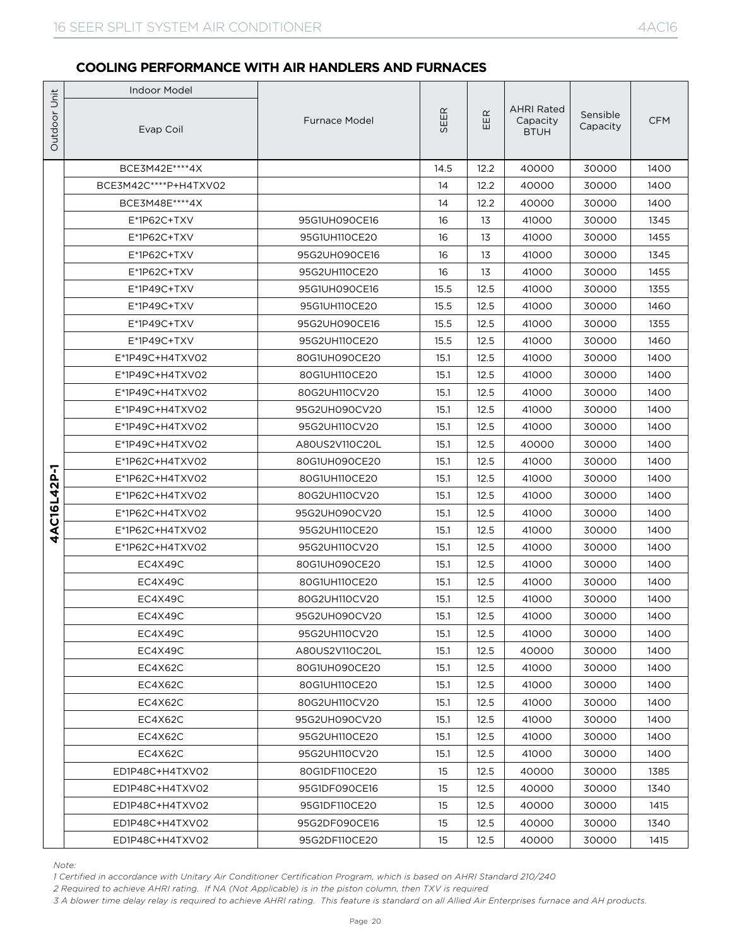|              | <b>Indoor Model</b>                                                                                                                                                                                                                                                                                                                                                                          |                                |              |              |                                              |                      |              |
|--------------|----------------------------------------------------------------------------------------------------------------------------------------------------------------------------------------------------------------------------------------------------------------------------------------------------------------------------------------------------------------------------------------------|--------------------------------|--------------|--------------|----------------------------------------------|----------------------|--------------|
| Outdoor Unit | Evap Coil                                                                                                                                                                                                                                                                                                                                                                                    | <b>Furnace Model</b>           | SEER         | EER          | <b>AHRI Rated</b><br>Capacity<br><b>BTUH</b> | Sensible<br>Capacity | <b>CFM</b>   |
|              | BCE3M42E **** 4X                                                                                                                                                                                                                                                                                                                                                                             |                                | 14.5         | 12.2         | 40000                                        | 30000                | 1400         |
|              | BCE3M42C****P+H4TXV02                                                                                                                                                                                                                                                                                                                                                                        |                                | 14           | 12.2         | 40000                                        | 30000                | 1400         |
|              | BCE3M48E **** 4X                                                                                                                                                                                                                                                                                                                                                                             |                                | 14           | 12.2         | 40000                                        | 30000                | 1400         |
|              | $E^*$ 1P62C+TXV                                                                                                                                                                                                                                                                                                                                                                              | 95G1UH090CE16                  | 16           | 13           | 41000                                        | 30000                | 1345         |
|              | E*1P62C+TXV                                                                                                                                                                                                                                                                                                                                                                                  | 95G1UH110CE20                  | 16           | 13           | 41000                                        | 30000                | 1455         |
|              | $E^*$ 1P62C+TXV                                                                                                                                                                                                                                                                                                                                                                              | 95G2UH090CE16                  | 16           | 13           | 41000                                        | 30000                | 1345         |
|              | E*1P62C+TXV                                                                                                                                                                                                                                                                                                                                                                                  | 95G2UH110CE20                  | 16           | 13           | 41000                                        | 30000                | 1455         |
|              | $E^*$ 1P49C+TXV                                                                                                                                                                                                                                                                                                                                                                              | 95G1UH090CE16                  | 15.5         | 12.5         | 41000                                        | 30000                | 1355         |
|              | E*1P49C+TXV                                                                                                                                                                                                                                                                                                                                                                                  | 95G1UH110CE20                  | 15.5         | 12.5         | 41000                                        | 30000                | 1460         |
|              | E*1P49C+TXV                                                                                                                                                                                                                                                                                                                                                                                  | 95G2UH090CE16                  | 15.5         | 12.5         | 41000                                        | 30000                | 1355         |
|              | E*1P49C+TXV                                                                                                                                                                                                                                                                                                                                                                                  | 95G2UH110CE20                  | 15.5         | 12.5         | 41000                                        | 30000                | 1460         |
|              | E*1P49C+H4TXV02                                                                                                                                                                                                                                                                                                                                                                              | 80G1UH090CE20                  | 15.1         | 12.5         | 41000                                        | 30000                | 1400         |
|              | E*1P49C+H4TXV02                                                                                                                                                                                                                                                                                                                                                                              | 80G1UH110CE20                  | 15.1         | 12.5         | 41000                                        | 30000                | 1400         |
|              | $E^*$ 1P49C+H4TXV02                                                                                                                                                                                                                                                                                                                                                                          | 80G2UH110CV20                  | 15.1         | 12.5         | 41000                                        | 30000                | 1400         |
|              | E*1P49C+H4TXV02                                                                                                                                                                                                                                                                                                                                                                              | 95G2UH090CV20                  | 15.1         | 12.5         | 41000                                        | 30000                | 1400         |
|              | $E^*$ 1P49C+H4TXV02                                                                                                                                                                                                                                                                                                                                                                          | 95G2UH110CV20                  | 15.1         | 12.5         | 41000                                        | 30000                | 1400         |
|              | E*1P49C+H4TXV02                                                                                                                                                                                                                                                                                                                                                                              | A80US2V110C20L                 | 15.1         | 12.5         | 40000                                        | 30000                | 1400         |
|              | E*1P62C+H4TXV02<br>E*1P62C+H4TXV02                                                                                                                                                                                                                                                                                                                                                           | 80G1UH090CE20<br>80G1UH110CE20 | 15.1         | 12.5<br>12.5 | 41000                                        | 30000                | 1400<br>1400 |
| 4AC16L42P-1  | E*1P62C+H4TXV02                                                                                                                                                                                                                                                                                                                                                                              | 80G2UH110CV20                  | 15.1<br>15.1 | 12.5         | 41000<br>41000                               | 30000<br>30000       | 1400         |
|              | E*1P62C+H4TXV02                                                                                                                                                                                                                                                                                                                                                                              | 95G2UH090CV20                  | 15.1         | 12.5         | 41000                                        | 30000                | 1400         |
|              | E*1P62C+H4TXV02                                                                                                                                                                                                                                                                                                                                                                              | 95G2UH110CE20                  | 15.1         | 12.5         | 41000                                        | 30000                | 1400         |
|              | E*1P62C+H4TXV02                                                                                                                                                                                                                                                                                                                                                                              | 95G2UH110CV20                  | 15.1         | 12.5         | 41000                                        | 30000                | 1400         |
|              | EC4X49C                                                                                                                                                                                                                                                                                                                                                                                      | 80G1UH090CE20                  | 15.1         | 12.5         | 41000                                        | 30000                | 1400         |
|              | EC4X49C                                                                                                                                                                                                                                                                                                                                                                                      | 80G1UH110CE20                  | 15.1         | 12.5         | 41000                                        | 30000                | 1400         |
|              | EC4X49C                                                                                                                                                                                                                                                                                                                                                                                      | 80G2UH110CV20                  | 15.1         | 12.5         | 41000                                        | 30000                | 1400         |
|              | EC4X49C                                                                                                                                                                                                                                                                                                                                                                                      | 95G2UH090CV20                  | 15.1         | 12.5         | 41000                                        | 30000                | 1400         |
|              | EC4X49C                                                                                                                                                                                                                                                                                                                                                                                      | 95G2UH110CV20                  | 15.1         | 12.5         | 41000                                        | 30000                | 1400         |
|              | EC4X49C                                                                                                                                                                                                                                                                                                                                                                                      | A80US2V110C20L                 | 15.1         | 12.5         | 40000                                        | 30000                | 1400         |
|              | EC4X62C                                                                                                                                                                                                                                                                                                                                                                                      | 80G1UH090CE20                  | 15.1         | 12.5         | 41000                                        | 30000                | 1400         |
|              | EC4X62C                                                                                                                                                                                                                                                                                                                                                                                      | 80G1UH110CE20                  | 15.1         | 12.5         | 41000                                        | 30000                | 1400         |
|              | EC4X62C                                                                                                                                                                                                                                                                                                                                                                                      | 80G2UH110CV20                  | 15.1         | 12.5         | 41000                                        | 30000                | 1400         |
|              | EC4X62C                                                                                                                                                                                                                                                                                                                                                                                      | 95G2UH090CV20                  | 15.1         | 12.5         | 41000                                        | 30000                | 1400         |
|              | EC4X62C                                                                                                                                                                                                                                                                                                                                                                                      | 95G2UH110CE20                  | 15.1         | 12.5         | 41000                                        | 30000                | 1400         |
|              | EC4X62C                                                                                                                                                                                                                                                                                                                                                                                      | 95G2UH110CV20                  | 15.1         | 12.5         | 41000                                        | 30000                | 1400         |
|              | ED1P48C+H4TXV02                                                                                                                                                                                                                                                                                                                                                                              | 80G1DF110CE20                  | 15           | 12.5         | 40000                                        | 30000                | 1385         |
|              | ED1P48C+H4TXV02                                                                                                                                                                                                                                                                                                                                                                              | 95G1DF090CE16                  | 15           | 12.5         | 40000                                        | 30000                | 1340         |
|              | ED1P48C+H4TXV02                                                                                                                                                                                                                                                                                                                                                                              | 95G1DF110CE20                  | 15           | 12.5         | 40000                                        | 30000                | 1415         |
|              | ED1P48C+H4TXV02                                                                                                                                                                                                                                                                                                                                                                              | 95G2DF090CE16                  | 15           | 12.5         | 40000                                        | 30000                | 1340         |
|              | ED1P48C+H4TXV02                                                                                                                                                                                                                                                                                                                                                                              | 95G2DF110CE20                  | 15           | 12.5         | 40000                                        | 30000                | 1415         |
|              | Note:<br>1 Certified in accordance with Unitary Air Conditioner Certification Program, which is based on AHRI Standard 210/240<br>2 Required to achieve AHRI rating. If NA (Not Applicable) is in the piston column, then TXV is required<br>3 A blower time delay relay is required to achieve AHRI rating. This feature is standard on all Allied Air Enterprises furnace and AH products. |                                |              |              |                                              |                      |              |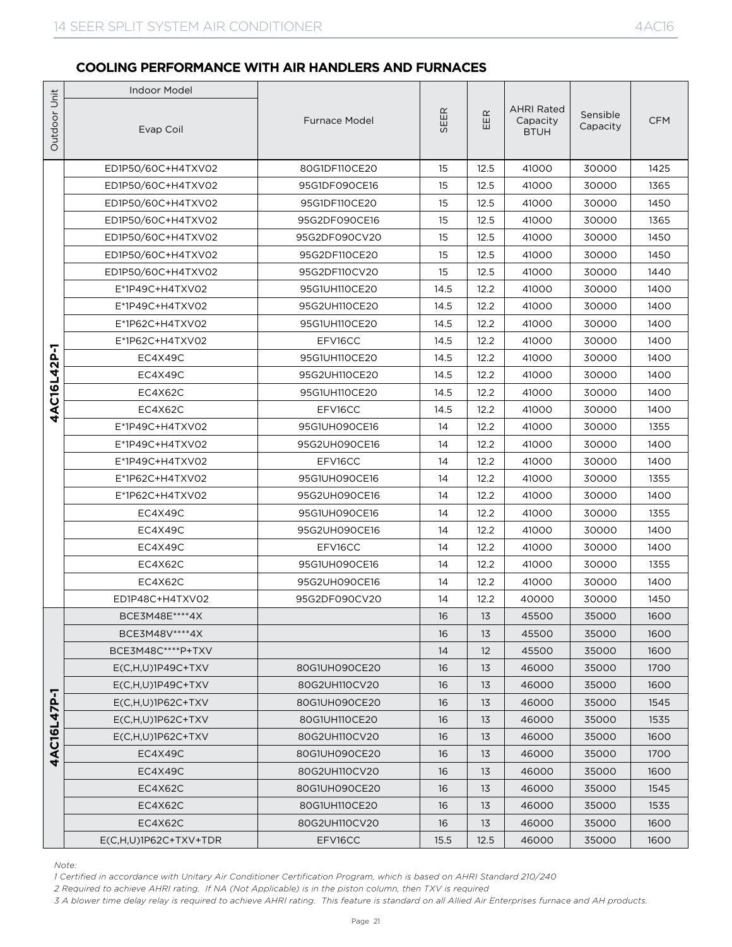|                   | <b>Indoor Model</b>                                                                                                                                                                                                                                                                                                                                                                          |                          |          |              |                                              |                      |              |  |  |
|-------------------|----------------------------------------------------------------------------------------------------------------------------------------------------------------------------------------------------------------------------------------------------------------------------------------------------------------------------------------------------------------------------------------------|--------------------------|----------|--------------|----------------------------------------------|----------------------|--------------|--|--|
| Outdoor Unit      | Evap Coil                                                                                                                                                                                                                                                                                                                                                                                    | <b>Furnace Model</b>     | SEER     | EER          | <b>AHRI Rated</b><br>Capacity<br><b>BTUH</b> | Sensible<br>Capacity | <b>CFM</b>   |  |  |
|                   | ED1P50/60C+H4TXV02                                                                                                                                                                                                                                                                                                                                                                           | 80G1DF110CE20            | 15       | 12.5         | 41000                                        | 30000                | 1425         |  |  |
|                   | ED1P50/60C+H4TXV02                                                                                                                                                                                                                                                                                                                                                                           | 95G1DF090CE16            | 15       | 12.5         | 41000                                        | 30000                | 1365         |  |  |
|                   | ED1P50/60C+H4TXV02                                                                                                                                                                                                                                                                                                                                                                           | 95G1DF110CE20            | 15       | 12.5         | 41000                                        | 30000                | 1450         |  |  |
|                   | ED1P50/60C+H4TXV02                                                                                                                                                                                                                                                                                                                                                                           | 95G2DF090CE16            | 15       | 12.5         | 41000                                        | 30000                | 1365         |  |  |
|                   | ED1P50/60C+H4TXV02                                                                                                                                                                                                                                                                                                                                                                           | 95G2DF090CV20            | 15       | 12.5         | 41000                                        | 30000                | 1450         |  |  |
|                   | ED1P50/60C+H4TXV02                                                                                                                                                                                                                                                                                                                                                                           | 95G2DF110CE20            | 15       | 12.5         | 41000                                        | 30000                | 1450         |  |  |
|                   | ED1P50/60C+H4TXV02                                                                                                                                                                                                                                                                                                                                                                           | 95G2DF110CV20            | 15       | 12.5         | 41000                                        | 30000                | 1440         |  |  |
|                   | E*1P49C+H4TXV02                                                                                                                                                                                                                                                                                                                                                                              | 95G1UH110CE20            | 14.5     | 12.2         | 41000                                        | 30000                | 1400         |  |  |
|                   | E*1P49C+H4TXV02                                                                                                                                                                                                                                                                                                                                                                              | 95G2UH110CE20            | 14.5     | 12.2         | 41000                                        | 30000                | 1400         |  |  |
|                   | E*1P62C+H4TXV02                                                                                                                                                                                                                                                                                                                                                                              | 95G1UH110CE20            | 14.5     | 12.2         | 41000                                        | 30000                | 1400         |  |  |
|                   | E*1P62C+H4TXV02                                                                                                                                                                                                                                                                                                                                                                              | EFV16CC                  | 14.5     | 12.2         | 41000                                        | 30000                | 1400         |  |  |
| AC16L42P-1        | EC4X49C                                                                                                                                                                                                                                                                                                                                                                                      | 95G1UH110CE20            | 14.5     | 12.2         | 41000                                        | 30000                | 1400         |  |  |
|                   | EC4X49C                                                                                                                                                                                                                                                                                                                                                                                      | 95G2UH110CE20            | 14.5     | 12.2         | 41000                                        | 30000                | 1400         |  |  |
|                   | EC4X62C                                                                                                                                                                                                                                                                                                                                                                                      | 95G1UH110CE20            | 14.5     | 12.2         | 41000                                        | 30000                | 1400         |  |  |
| 4                 | EC4X62C                                                                                                                                                                                                                                                                                                                                                                                      | EFV16CC                  | 14.5     | 12.2         | 41000                                        | 30000                | 1400         |  |  |
|                   | E*1P49C+H4TXV02                                                                                                                                                                                                                                                                                                                                                                              | 95G1UH090CE16            | 14       | 12.2         | 41000                                        | 30000                | 1355         |  |  |
|                   | E*1P49C+H4TXV02                                                                                                                                                                                                                                                                                                                                                                              | 95G2UH090CE16            | 14<br>14 | 12.2<br>12.2 | 41000                                        | 30000                | 1400         |  |  |
|                   | E*1P49C+H4TXV02<br>E*1P62C+H4TXV02                                                                                                                                                                                                                                                                                                                                                           | EFV16CC<br>95G1UH090CE16 | 14       | 12.2         | 41000<br>41000                               | 30000<br>30000       | 1400<br>1355 |  |  |
|                   | E*1P62C+H4TXV02                                                                                                                                                                                                                                                                                                                                                                              | 95G2UH090CE16            | 14       | 12.2         | 41000                                        | 30000                | 1400         |  |  |
|                   | EC4X49C                                                                                                                                                                                                                                                                                                                                                                                      | 95G1UH090CE16            | 14       | 12.2         | 41000                                        | 30000                | 1355         |  |  |
|                   | EC4X49C                                                                                                                                                                                                                                                                                                                                                                                      | 95G2UH090CE16            | 14       | 12.2         | 41000                                        | 30000                | 1400         |  |  |
|                   | EC4X49C                                                                                                                                                                                                                                                                                                                                                                                      | EFV16CC                  | 14       | 12.2         | 41000                                        | 30000                | 1400         |  |  |
|                   | EC4X62C                                                                                                                                                                                                                                                                                                                                                                                      | 95G1UH090CE16            | 14       | 12.2         | 41000                                        | 30000                | 1355         |  |  |
|                   | EC4X62C                                                                                                                                                                                                                                                                                                                                                                                      | 95G2UH090CE16            | 14       | 12.2         | 41000                                        | 30000                | 1400         |  |  |
|                   | ED1P48C+H4TXV02                                                                                                                                                                                                                                                                                                                                                                              | 95G2DF090CV20            | 14       | 12.2         | 40000                                        | 30000                | 1450         |  |  |
|                   | BCE3M48E **** 4X                                                                                                                                                                                                                                                                                                                                                                             |                          | 16       | 13           | 45500                                        | 35000                | 1600         |  |  |
|                   | BCE3M48V **** 4X                                                                                                                                                                                                                                                                                                                                                                             |                          | 16       | 13           | 45500                                        | 35000                | 1600         |  |  |
|                   | BCE3M48C****P+TXV                                                                                                                                                                                                                                                                                                                                                                            |                          | 14       | 12           | 45500                                        | 35000                | 1600         |  |  |
|                   | $E(C,H,U)1P49C+TXV$                                                                                                                                                                                                                                                                                                                                                                          | 80G1UH090CE20            | 16       | 13           | 46000                                        | 35000                | 1700         |  |  |
|                   | $E(C,H,U)1P49C+TXV$                                                                                                                                                                                                                                                                                                                                                                          | 80G2UH110CV20            | 16       | 13           | 46000                                        | 35000                | 1600         |  |  |
| <b>AC16L47P-1</b> | $E(C,H,U)1P62C+TXV$                                                                                                                                                                                                                                                                                                                                                                          | 80G1UH090CE20            | 16       | 13           | 46000                                        | 35000                | 1545         |  |  |
|                   | $E(C,H,U)1P62C+TXV$                                                                                                                                                                                                                                                                                                                                                                          | 80G1UH110CE20            | 16       | 13           | 46000                                        | 35000                | 1535         |  |  |
|                   | $E(C,H,U)1P62C+TXV$                                                                                                                                                                                                                                                                                                                                                                          | 80G2UH110CV20            | 16       | 13           | 46000                                        | 35000                | 1600         |  |  |
| 4                 | EC4X49C                                                                                                                                                                                                                                                                                                                                                                                      | 80G1UH090CE20            | 16       | 13           | 46000                                        | 35000                | 1700         |  |  |
|                   | EC4X49C                                                                                                                                                                                                                                                                                                                                                                                      | 80G2UH110CV20            | 16       | 13           | 46000                                        | 35000                | 1600         |  |  |
|                   | EC4X62C                                                                                                                                                                                                                                                                                                                                                                                      | 80G1UH090CE20            | 16       | 13           | 46000                                        | 35000                | 1545         |  |  |
|                   | EC4X62C                                                                                                                                                                                                                                                                                                                                                                                      | 80G1UH110CE20            | 16       | 13           | 46000                                        | 35000                | 1535         |  |  |
|                   | EC4X62C                                                                                                                                                                                                                                                                                                                                                                                      | 80G2UH110CV20            | 16       | 13           | 46000                                        | 35000                | 1600         |  |  |
|                   | $E(C,H,U)$ 1P62C+TXV+TDR                                                                                                                                                                                                                                                                                                                                                                     | EFV16CC                  | 15.5     | 12.5         | 46000                                        | 35000                | 1600         |  |  |
|                   | Note:<br>1 Certified in accordance with Unitary Air Conditioner Certification Program, which is based on AHRI Standard 210/240<br>2 Required to achieve AHRI rating. If NA (Not Applicable) is in the piston column, then TXV is required<br>3 A blower time delay relay is required to achieve AHRI rating. This feature is standard on all Allied Air Enterprises furnace and AH products. |                          |          |              |                                              |                      |              |  |  |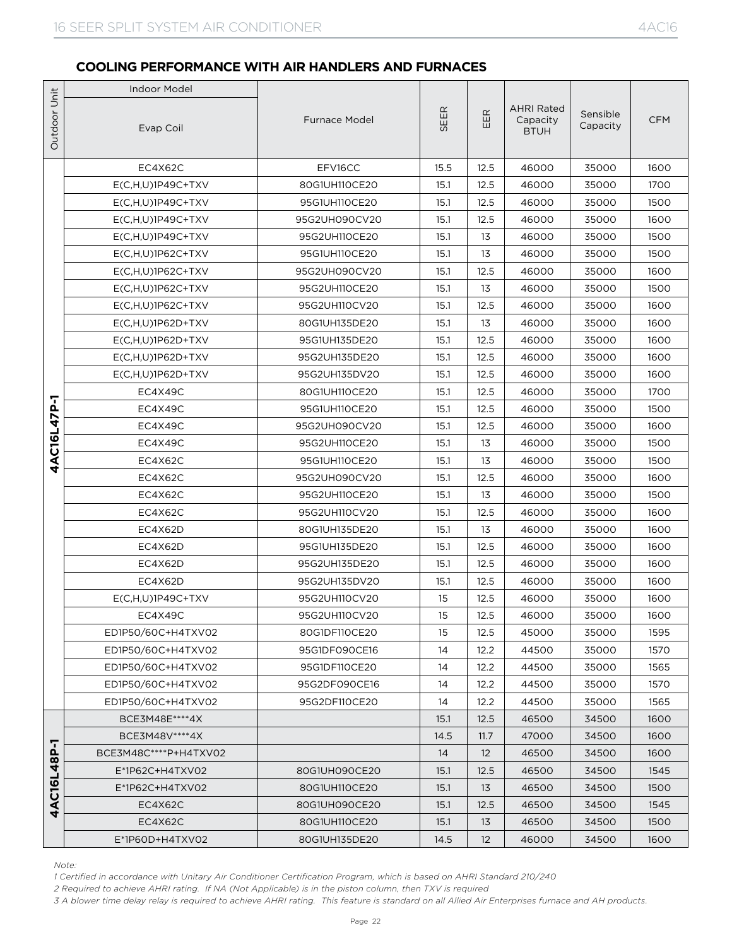|              | <b>Indoor Model</b>                                                                                                                                                                                                                                                                                                                                                                          |                                |              |                   |                                              |                      |              |
|--------------|----------------------------------------------------------------------------------------------------------------------------------------------------------------------------------------------------------------------------------------------------------------------------------------------------------------------------------------------------------------------------------------------|--------------------------------|--------------|-------------------|----------------------------------------------|----------------------|--------------|
| Outdoor Unit | Evap Coil                                                                                                                                                                                                                                                                                                                                                                                    | <b>Furnace Model</b>           | SEER         | $\mathbb{E}$<br>ш | <b>AHRI Rated</b><br>Capacity<br><b>BTUH</b> | Sensible<br>Capacity | <b>CFM</b>   |
|              | EC4X62C                                                                                                                                                                                                                                                                                                                                                                                      | EFV16CC                        | 15.5         | 12.5              | 46000                                        | 35000                | 1600         |
|              | $E(C,H,U)1P49C+TXV$                                                                                                                                                                                                                                                                                                                                                                          | 80G1UH110CE20                  | 15.1         | 12.5              | 46000                                        | 35000                | 1700         |
|              | $E(C,H,U)$ 1P49C+TXV                                                                                                                                                                                                                                                                                                                                                                         | 95G1UH110CE20                  | 15.1         | 12.5              | 46000                                        | 35000                | 1500         |
|              | $E(C,H,U)1P49C+TXV$                                                                                                                                                                                                                                                                                                                                                                          | 95G2UH090CV20                  | 15.1         | 12.5              | 46000                                        | 35000                | 1600         |
|              | $E(C,H,U)1P49C+TXV$                                                                                                                                                                                                                                                                                                                                                                          | 95G2UH110CE20                  | 15.1         | 13                | 46000                                        | 35000                | 1500         |
|              | $E(C,H,U)$ 1P62C+TXV                                                                                                                                                                                                                                                                                                                                                                         | 95G1UH110CE20                  | 15.1         | 13                | 46000                                        | 35000                | 1500         |
|              | $E(C,H,U)1P62C+TXV$                                                                                                                                                                                                                                                                                                                                                                          | 95G2UH090CV20                  | 15.1         | 12.5              | 46000                                        | 35000                | 1600         |
|              | $E(C,H,U)1P62C+TXV$                                                                                                                                                                                                                                                                                                                                                                          | 95G2UH110CE20                  | 15.1         | 13                | 46000                                        | 35000                | 1500         |
|              | $E(C,H,U)1P62C+TXV$                                                                                                                                                                                                                                                                                                                                                                          | 95G2UH110CV20                  | 15.1         | 12.5              | 46000                                        | 35000                | 1600         |
|              | $E(C,H,U)1P62D+TXV$                                                                                                                                                                                                                                                                                                                                                                          | 80G1UH135DE20                  | 15.1         | 13                | 46000                                        | 35000                | 1600         |
|              | $E(C,H,U)1P62D+TXV$                                                                                                                                                                                                                                                                                                                                                                          | 95G1UH135DE20                  | 15.1         | 12.5              | 46000                                        | 35000                | 1600         |
|              | $E(C,H,U)1P62D+TXV$                                                                                                                                                                                                                                                                                                                                                                          | 95G2UH135DE20                  | 15.1         | 12.5              | 46000                                        | 35000                | 1600         |
|              | $E(C,H,U)1P62D+TXV$                                                                                                                                                                                                                                                                                                                                                                          | 95G2UH135DV20                  | 15.1         | 12.5              | 46000                                        | 35000                | 1600         |
|              | EC4X49C                                                                                                                                                                                                                                                                                                                                                                                      | 80G1UH110CE20                  | 15.1         | 12.5              | 46000                                        | 35000                | 1700         |
|              | EC4X49C                                                                                                                                                                                                                                                                                                                                                                                      | 95G1UH110CE20                  | 15.1         | 12.5              | 46000                                        | 35000                | 1500         |
|              | EC4X49C                                                                                                                                                                                                                                                                                                                                                                                      | 95G2UH090CV20                  | 15.1         | 12.5              | 46000                                        | 35000                | 1600         |
| 4AC16L47P-1  | EC4X49C                                                                                                                                                                                                                                                                                                                                                                                      | 95G2UH110CE20                  | 15.1         | 13                | 46000                                        | 35000                | 1500         |
|              | EC4X62C                                                                                                                                                                                                                                                                                                                                                                                      | 95G1UH110CE20                  | 15.1         | 13                | 46000                                        | 35000                | 1500         |
|              | EC4X62C<br>EC4X62C                                                                                                                                                                                                                                                                                                                                                                           | 95G2UH090CV20<br>95G2UH110CE20 | 15.1<br>15.1 | 12.5<br>13        | 46000<br>46000                               | 35000<br>35000       | 1600<br>1500 |
|              | EC4X62C                                                                                                                                                                                                                                                                                                                                                                                      | 95G2UH110CV20                  | 15.1         | 12.5              | 46000                                        | 35000                | 1600         |
|              | EC4X62D                                                                                                                                                                                                                                                                                                                                                                                      | 80G1UH135DE20                  | 15.1         | 13                | 46000                                        | 35000                | 1600         |
|              | EC4X62D                                                                                                                                                                                                                                                                                                                                                                                      | 95G1UH135DE20                  | 15.1         | 12.5              | 46000                                        | 35000                | 1600         |
|              | EC4X62D                                                                                                                                                                                                                                                                                                                                                                                      | 95G2UH135DE20                  | 15.1         | 12.5              | 46000                                        | 35000                | 1600         |
|              | EC4X62D                                                                                                                                                                                                                                                                                                                                                                                      | 95G2UH135DV20                  | 15.1         | 12.5              | 46000                                        | 35000                | 1600         |
|              | $E(C,H,U)1P49C+TXV$                                                                                                                                                                                                                                                                                                                                                                          | 95G2UH110CV20                  | 15           | 12.5              | 46000                                        | 35000                | 1600         |
|              | EC4X49C                                                                                                                                                                                                                                                                                                                                                                                      | 95G2UH110CV20                  | 15           | 12.5              | 46000                                        | 35000                | 1600         |
|              | ED1P50/60C+H4TXV02                                                                                                                                                                                                                                                                                                                                                                           | 80G1DF110CE20                  | 15           | 12.5              | 45000                                        | 35000                | 1595         |
|              | ED1P50/60C+H4TXV02                                                                                                                                                                                                                                                                                                                                                                           | 95G1DF090CE16                  | 14           | 12.2              | 44500                                        | 35000                | 1570         |
|              | ED1P50/60C+H4TXV02                                                                                                                                                                                                                                                                                                                                                                           | 95G1DF110CE20                  | 14           | 12.2              | 44500                                        | 35000                | 1565         |
|              | ED1P50/60C+H4TXV02                                                                                                                                                                                                                                                                                                                                                                           | 95G2DF090CE16                  | 14           | 12.2              | 44500                                        | 35000                | 1570         |
|              | ED1P50/60C+H4TXV02                                                                                                                                                                                                                                                                                                                                                                           | 95G2DF110CE20                  | 14           | 12.2              | 44500                                        | 35000                | 1565         |
|              | BCE3M48E **** 4X                                                                                                                                                                                                                                                                                                                                                                             |                                | 15.1         | 12.5              | 46500                                        | 34500                | 1600         |
|              | BCE3M48V **** 4X                                                                                                                                                                                                                                                                                                                                                                             |                                | 14.5         | 11.7              | 47000                                        | 34500                | 1600         |
|              | BCE3M48C****P+H4TXV02                                                                                                                                                                                                                                                                                                                                                                        |                                | 14           | 12                | 46500                                        | 34500                | 1600         |
|              | E*1P62C+H4TXV02                                                                                                                                                                                                                                                                                                                                                                              | 80G1UH090CE20                  | 15.1         | 12.5              | 46500                                        | 34500                | 1545         |
| 4AC16L48P-1  | E*1P62C+H4TXV02                                                                                                                                                                                                                                                                                                                                                                              | 80G1UH110CE20                  | 15.1         | 13                | 46500                                        | 34500                | 1500         |
|              | EC4X62C                                                                                                                                                                                                                                                                                                                                                                                      | 80G1UH090CE20                  | 15.1         | 12.5              | 46500                                        | 34500                | 1545         |
|              | EC4X62C                                                                                                                                                                                                                                                                                                                                                                                      | 80G1UH110CE20                  | 15.1         | 13                | 46500                                        | 34500                | 1500         |
|              | E*1P60D+H4TXV02                                                                                                                                                                                                                                                                                                                                                                              | 80G1UH135DE20                  | 14.5         | 12                | 46000                                        | 34500                | 1600         |
|              | Note:<br>1 Certified in accordance with Unitary Air Conditioner Certification Program, which is based on AHRI Standard 210/240<br>2 Required to achieve AHRI rating. If NA (Not Applicable) is in the piston column, then TXV is required<br>3 A blower time delay relay is required to achieve AHRI rating. This feature is standard on all Allied Air Enterprises furnace and AH products. |                                |              |                   |                                              |                      |              |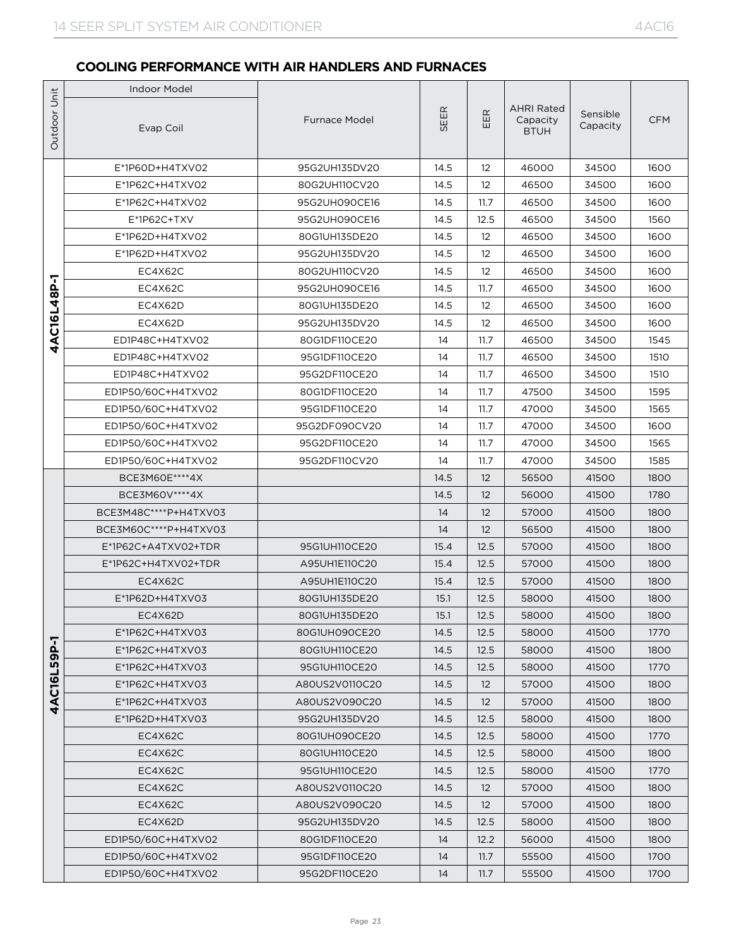|                   | <b>Indoor Model</b>   |                      |      |                   |                                              |                      |            |
|-------------------|-----------------------|----------------------|------|-------------------|----------------------------------------------|----------------------|------------|
| Unit<br>Outdoor   | Evap Coil             | <b>Furnace Model</b> | SEER | EER               | <b>AHRI Rated</b><br>Capacity<br><b>BTUH</b> | Sensible<br>Capacity | <b>CFM</b> |
|                   | E*1P60D+H4TXV02       | 95G2UH135DV20        | 14.5 | $12 \overline{ }$ | 46000                                        | 34500                | 1600       |
|                   | E*1P62C+H4TXV02       | 80G2UH110CV20        | 14.5 | $12 \overline{ }$ | 46500                                        | 34500                | 1600       |
|                   | E*1P62C+H4TXV02       | 95G2UH090CE16        | 14.5 | 11.7              | 46500                                        | 34500                | 1600       |
|                   | E*1P62C+TXV           | 95G2UH090CE16        | 14.5 | 12.5              | 46500                                        | 34500                | 1560       |
|                   | E*1P62D+H4TXV02       | 80G1UH135DE20        | 14.5 | 12                | 46500                                        | 34500                | 1600       |
|                   | E*1P62D+H4TXV02       | 95G2UH135DV20        | 14.5 | 12                | 46500                                        | 34500                | 1600       |
|                   | EC4X62C               | 80G2UH110CV20        | 14.5 | 12                | 46500                                        | 34500                | 1600       |
| 7                 | EC4X62C               | 95G2UH090CE16        | 14.5 | 11.7              | 46500                                        | 34500                | 1600       |
| 4AC16L48P         | EC4X62D               | 80G1UH135DE20        | 14.5 | 12                | 46500                                        | 34500                | 1600       |
|                   | EC4X62D               | 95G2UH135DV20        | 14.5 | $12 \overline{ }$ | 46500                                        | 34500                | 1600       |
|                   | ED1P48C+H4TXV02       | 80G1DF110CE20        | 14   | 11.7              | 46500                                        | 34500                | 1545       |
|                   | ED1P48C+H4TXV02       | 95G1DF110CE20        | 14   | 11.7              | 46500                                        | 34500                | 1510       |
|                   | ED1P48C+H4TXV02       | 95G2DF110CE20        | 14   | 11.7              | 46500                                        | 34500                | 1510       |
|                   | ED1P50/60C+H4TXV02    | 80G1DF110CE20        | 14   | 11.7              | 47500                                        | 34500                | 1595       |
|                   | ED1P50/60C+H4TXV02    | 95G1DF110CE20        | 14   | 11.7              | 47000                                        | 34500                | 1565       |
|                   | ED1P50/60C+H4TXV02    | 95G2DF090CV20        | 14   | 11.7              | 47000                                        | 34500                | 1600       |
|                   | ED1P50/60C+H4TXV02    | 95G2DF110CE20        | 14   | 11.7              | 47000                                        | 34500                | 1565       |
|                   | ED1P50/60C+H4TXV02    | 95G2DF110CV20        | 14   | 11.7              | 47000                                        | 34500                | 1585       |
|                   | BCE3M60E **** 4X      |                      | 14.5 | 12                | 56500                                        | 41500                | 1800       |
|                   | BCE3M60V **** 4X      |                      | 14.5 | 12                | 56000                                        | 41500                | 1780       |
|                   | BCE3M48C****P+H4TXV03 |                      | 14   | 12                | 57000                                        | 41500                | 1800       |
|                   | BCE3M60C****P+H4TXV03 |                      | 14   | 12                | 56500                                        | 41500                | 1800       |
|                   | E*1P62C+A4TXV02+TDR   | 95G1UH110CE20        | 15.4 | 12.5              | 57000                                        | 41500                | 1800       |
|                   | E*1P62C+H4TXV02+TDR   | A95UH1E110C20        | 15.4 | 12.5              | 57000                                        | 41500                | 1800       |
|                   | EC4X62C               | A95UH1E110C20        | 15.4 | 12.5              | 57000                                        | 41500                | 1800       |
|                   | E*1P62D+H4TXV03       | 80G1UH135DE20        | 15.1 | 12.5              | 58000                                        | 41500                | 1800       |
|                   | EC4X62D               | 80G1UH135DE20        | 15.1 | 12.5              | 58000                                        | 41500                | 1800       |
|                   | E*1P62C+H4TXV03       | 80G1UH090CE20        | 14.5 | 12.5              | 58000                                        | 41500                | 1770       |
|                   | E*1P62C+H4TXV03       | 80G1UH110CE20        | 14.5 | 12.5              | 58000                                        | 41500                | 1800       |
| <b>AC16L59P-1</b> | E*1P62C+H4TXV03       | 95G1UH110CE20        | 14.5 | 12.5              | 58000                                        | 41500                | 1770       |
|                   | E*1P62C+H4TXV03       | A80US2V0110C20       | 14.5 | 12 <sup>2</sup>   | 57000                                        | 41500                | 1800       |
| 4                 | E*1P62C+H4TXV03       | A80US2V090C20        | 14.5 | 12                | 57000                                        | 41500                | 1800       |
|                   | E*1P62D+H4TXV03       | 95G2UH135DV20        | 14.5 | 12.5              | 58000                                        | 41500                | 1800       |
|                   | EC4X62C               | 80G1UH090CE20        | 14.5 | 12.5              | 58000                                        | 41500                | 1770       |
|                   | EC4X62C               | 80G1UH110CE20        | 14.5 | 12.5              | 58000                                        | 41500                | 1800       |
|                   | EC4X62C               | 95G1UH110CE20        | 14.5 | 12.5              | 58000                                        | 41500                | 1770       |
|                   | EC4X62C               | A80US2V0110C20       | 14.5 | 12                | 57000                                        | 41500                | 1800       |
|                   | EC4X62C               | A80US2V090C20        | 14.5 | 12                | 57000                                        | 41500                | 1800       |
|                   | EC4X62D               | 95G2UH135DV20        | 14.5 | 12.5              | 58000                                        | 41500                | 1800       |
|                   | ED1P50/60C+H4TXV02    | 80G1DF110CE20        | 14   | 12.2              | 56000                                        | 41500                | 1800       |
|                   | ED1P50/60C+H4TXV02    | 95G1DF110CE20        | 14   | 11.7              | 55500                                        | 41500                | 1700       |
|                   | ED1P50/60C+H4TXV02    | 95G2DF110CE20        | 14   | 11.7              | 55500                                        | 41500                | 1700       |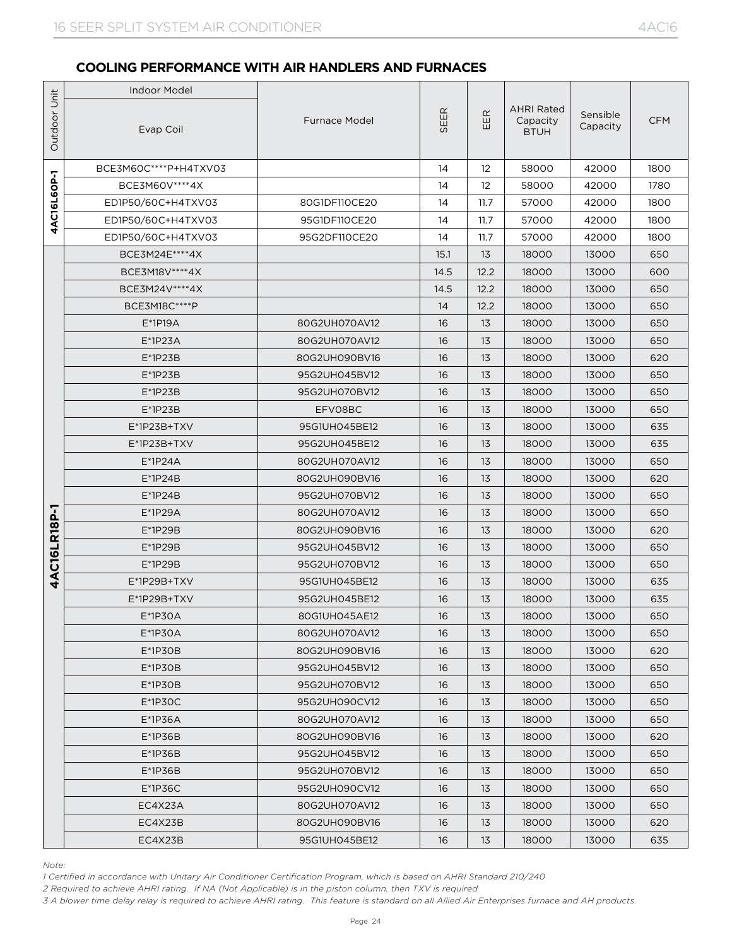|              | <b>Indoor Model</b>   |                      |      |                   |                                              |                      |            |
|--------------|-----------------------|----------------------|------|-------------------|----------------------------------------------|----------------------|------------|
| Outdoor Unit | Evap Coil             | <b>Furnace Model</b> | SEER | EER               | <b>AHRI Rated</b><br>Capacity<br><b>BTUH</b> | Sensible<br>Capacity | <b>CFM</b> |
|              | BCE3M60C****P+H4TXV03 |                      | 14   | $12 \overline{ }$ | 58000                                        | 42000                | 1800       |
| 4AC16L6OP-1  | BCE3M60V **** 4X      |                      | 14   | $12 \overline{ }$ | 58000                                        | 42000                | 1780       |
|              | ED1P50/60C+H4TXV03    | 80G1DF110CE20        | 14   | 11.7              | 57000                                        | 42000                | 1800       |
|              | ED1P50/60C+H4TXV03    | 95G1DF110CE20        | 14   | 11.7              | 57000                                        | 42000                | 1800       |
|              | ED1P50/60C+H4TXV03    | 95G2DF110CE20        | 14   | 11.7              | 57000                                        | 42000                | 1800       |
|              | BCE3M24E****4X        |                      | 15.1 | 13                | 18000                                        | 13000                | 650        |
|              | BCE3M18V **** 4X      |                      | 14.5 | 12.2              | 18000                                        | 13000                | 600        |
|              | BCE3M24V****4X        |                      | 14.5 | 12.2              | 18000                                        | 13000                | 650        |
|              | BCE3M18C****P         |                      | 14   | 12.2              | 18000                                        | 13000                | 650        |
|              | $E*1P19A$             | 80G2UH070AV12        | 16   | 13                | 18000                                        | 13000                | 650        |
|              | $E^*$ 1P23A           | 80G2UH070AV12        | 16   | 13                | 18000                                        | 13000                | 650        |
|              | $E^*$ 1P23B           | 80G2UH090BV16        | 16   | 13                | 18000                                        | 13000                | 620        |
|              | $E^*$ 1P23B           | 95G2UH045BV12        | 16   | 13                | 18000                                        | 13000                | 650        |
|              | $E^*$ 1P23B           | 95G2UH070BV12        | 16   | 13                | 18000                                        | 13000                | 650        |
|              | $E^*$ 1P23B           | EFV08BC              | 16   | 13                | 18000                                        | 13000                | 650        |
|              | $E^*$ 1P23B+TXV       | 95G1UH045BE12        | 16   | 13                | 18000                                        | 13000                | 635        |
|              | E*1P23B+TXV           | 95G2UH045BE12        | 16   | 13                | 18000                                        | 13000                | 635        |
|              | $E^*1P24A$            | 80G2UH070AV12        | 16   | 13                | 18000                                        | 13000                | 650        |
|              | $E^*$ 1P24B           | 80G2UH090BV16        | 16   | 13                | 18000                                        | 13000                | 620        |
|              | $E^*$ 1P24B           | 95G2UH070BV12        | 16   | 13                | 18000                                        | 13000                | 650        |
| AC16LR18P-1  | E*1P29A               | 80G2UH070AV12        | 16   | 13                | 18000                                        | 13000                | 650        |
|              | $E*1P29B$             | 80G2UH090BV16        | 16   | 13                | 18000                                        | 13000                | 620        |
|              | $E*1P29B$             | 95G2UH045BV12        | 16   | 13                | 18000                                        | 13000                | 650        |
|              | $E*1P29B$             | 95G2UH070BV12        | 16   | 13                | 18000                                        | 13000                | 650        |
| 4            | E*1P29B+TXV           | 95G1UH045BE12        | 16   | 13                | 18000                                        | 13000                | 635        |
|              | E*1P29B+TXV           | 95G2UH045BE12        | 16   | 13                | 18000                                        | 13000                | 635        |
|              | E*1P30A               | 80G1UH045AE12        | 16   | 13                | 18000                                        | 13000                | 650        |
|              | $E*1P3OA$             | 80G2UH070AV12        | 16   | 13                | 18000                                        | 13000                | 650        |
|              | $E*1P3OB$             | 80G2UH090BV16        | 16   | 13                | 18000                                        | 13000                | 620        |
|              | $E*1P3OB$             | 95G2UH045BV12        | 16   | 13                | 18000                                        | 13000                | 650        |
|              | $E^*$ 1P30B           | 95G2UH070BV12        | 16   | 13                | 18000                                        | 13000                | 650        |
|              | $E*1P3OC$             | 95G2UH090CV12        | 16   | 13                | 18000                                        | 13000                | 650        |
|              | $E*1P36A$             | 80G2UH070AV12        | 16   | 13                | 18000                                        | 13000                | 650        |
|              | $E*1P36B$             | 80G2UH090BV16        | 16   | 13                | 18000                                        | 13000                | 620        |
|              | $E*1P36B$             | 95G2UH045BV12        | 16   | 13                | 18000                                        | 13000                | 650        |
|              | $E^*$ 1P36B           | 95G2UH070BV12        | 16   | 13                | 18000                                        | 13000                | 650        |
|              | $E*1P36C$             | 95G2UH090CV12        | 16   | 13                | 18000                                        | 13000                | 650        |
|              | EC4X23A               | 80G2UH070AV12        | 16   | 13                | 18000                                        | 13000                | 650        |
|              | EC4X23B               | 80G2UH090BV16        | 16   | 13                | 18000                                        | 13000                | 620        |
|              | EC4X23B               | 95G1UH045BE12        | 16   | 13                | 18000                                        | 13000                | 635        |

*Note:*

*1 Certified in accordance with Unitary Air Conditioner Certification Program, which is based on AHRI Standard 210/240*

*2 Required to achieve AHRI rating. If NA (Not Applicable) is in the piston column, then TXV is required*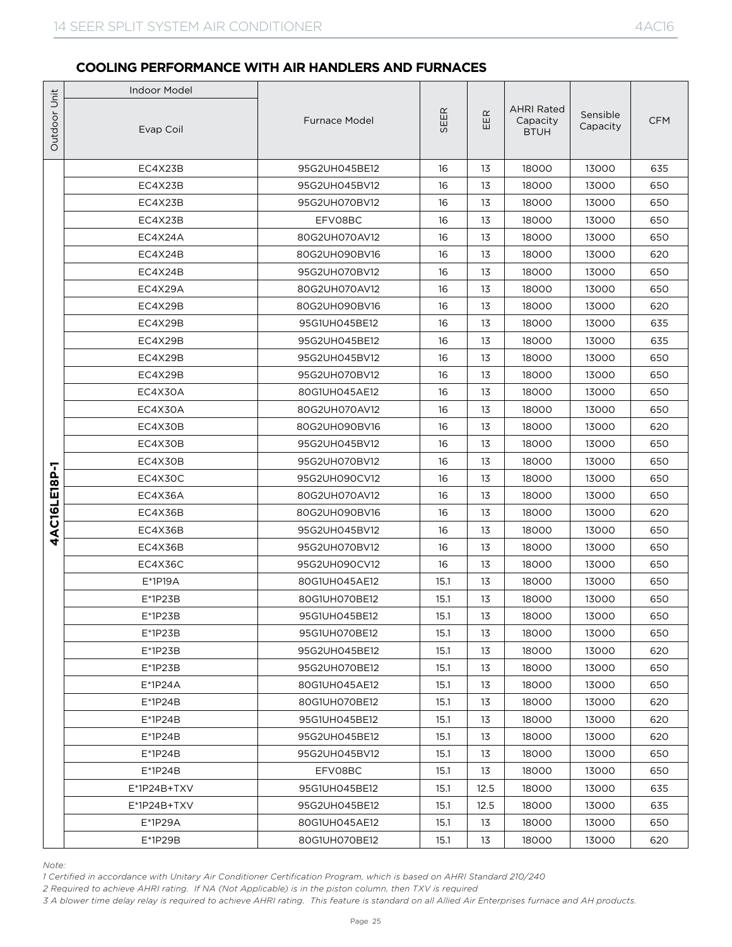|                                  | <b>Indoor Model</b>                                                                                                                                                                                                                                                                                                                                                                 |                      |      |      |                                              |                      |            |
|----------------------------------|-------------------------------------------------------------------------------------------------------------------------------------------------------------------------------------------------------------------------------------------------------------------------------------------------------------------------------------------------------------------------------------|----------------------|------|------|----------------------------------------------|----------------------|------------|
|                                  | Evap Coil                                                                                                                                                                                                                                                                                                                                                                           | <b>Furnace Model</b> | SEER | EER  | <b>AHRI Rated</b><br>Capacity<br><b>BTUH</b> | Sensible<br>Capacity | <b>CFM</b> |
|                                  | EC4X23B                                                                                                                                                                                                                                                                                                                                                                             | 95G2UH045BE12        | 16   | 13   | 18000                                        | 13000                | 635        |
| Outdoor Unit<br>AC16LE18P-1<br>4 | EC4X23B                                                                                                                                                                                                                                                                                                                                                                             | 95G2UH045BV12        | 16   | 13   | 18000                                        | 13000                | 650        |
|                                  | EC4X23B                                                                                                                                                                                                                                                                                                                                                                             | 95G2UH070BV12        | 16   | 13   | 18000                                        | 13000                | 650        |
|                                  | EC4X23B                                                                                                                                                                                                                                                                                                                                                                             | EFV08BC              | 16   | 13   | 18000                                        | 13000                | 650        |
|                                  | EC4X24A                                                                                                                                                                                                                                                                                                                                                                             | 80G2UH070AV12        | 16   | 13   | 18000                                        | 13000                | 650        |
|                                  | EC4X24B                                                                                                                                                                                                                                                                                                                                                                             | 80G2UH090BV16        | 16   | 13   | 18000                                        | 13000                | 620        |
|                                  | EC4X24B                                                                                                                                                                                                                                                                                                                                                                             | 95G2UH070BV12        | 16   | 13   | 18000                                        | 13000                | 650        |
|                                  | EC4X29A                                                                                                                                                                                                                                                                                                                                                                             | 80G2UH070AV12        | 16   | 13   | 18000                                        | 13000                | 650        |
|                                  | EC4X29B                                                                                                                                                                                                                                                                                                                                                                             | 80G2UH090BV16        | 16   | 13   | 18000                                        | 13000                | 620        |
|                                  | EC4X29B                                                                                                                                                                                                                                                                                                                                                                             | 95G1UH045BE12        | 16   | 13   | 18000                                        | 13000                | 635        |
|                                  | EC4X29B                                                                                                                                                                                                                                                                                                                                                                             | 95G2UH045BE12        | 16   | 13   | 18000                                        | 13000                | 635        |
|                                  | EC4X29B                                                                                                                                                                                                                                                                                                                                                                             | 95G2UH045BV12        | 16   | 13   | 18000                                        | 13000                | 650        |
|                                  | EC4X29B                                                                                                                                                                                                                                                                                                                                                                             | 95G2UH070BV12        | 16   | 13   | 18000                                        | 13000                | 650        |
|                                  | EC4X30A                                                                                                                                                                                                                                                                                                                                                                             | 80G1UH045AE12        | 16   | 13   | 18000                                        | 13000                | 650        |
|                                  | EC4X30A                                                                                                                                                                                                                                                                                                                                                                             | 80G2UH070AV12        | 16   | 13   | 18000                                        | 13000                | 650        |
|                                  | EC4X30B                                                                                                                                                                                                                                                                                                                                                                             | 80G2UH090BV16        | 16   | 13   | 18000                                        | 13000                | 620        |
|                                  | EC4X30B                                                                                                                                                                                                                                                                                                                                                                             | 95G2UH045BV12        | 16   | 13   | 18000                                        | 13000                | 650        |
|                                  | EC4X30B                                                                                                                                                                                                                                                                                                                                                                             | 95G2UH070BV12        | 16   | 13   | 18000                                        | 13000                | 650        |
|                                  | EC4X30C                                                                                                                                                                                                                                                                                                                                                                             | 95G2UH090CV12        | 16   | 13   | 18000                                        | 13000                | 650        |
|                                  | EC4X36A                                                                                                                                                                                                                                                                                                                                                                             | 80G2UH070AV12        | 16   | 13   | 18000                                        | 13000                | 650        |
|                                  | EC4X36B                                                                                                                                                                                                                                                                                                                                                                             | 80G2UH090BV16        | 16   | 13   | 18000                                        | 13000                | 620        |
|                                  | EC4X36B                                                                                                                                                                                                                                                                                                                                                                             | 95G2UH045BV12        | 16   | 13   | 18000                                        | 13000                | 650        |
|                                  | EC4X36B                                                                                                                                                                                                                                                                                                                                                                             | 95G2UH070BV12        | 16   | 13   | 18000                                        | 13000                | 650        |
|                                  | EC4X36C                                                                                                                                                                                                                                                                                                                                                                             | 95G2UH090CV12        | 16   | 13   | 18000                                        | 13000                | 650        |
|                                  | $E*1P19A$                                                                                                                                                                                                                                                                                                                                                                           | 80G1UH045AE12        | 15.1 | 13   | 18000                                        | 13000                | 650        |
|                                  | $E*1P23B$                                                                                                                                                                                                                                                                                                                                                                           | 80G1UH070BE12        | 15.1 | 13   | 18000                                        | 13000                | 650        |
|                                  | E*1P23B                                                                                                                                                                                                                                                                                                                                                                             | 95G1UH045BE12        | 15.1 | 13   | 18000                                        | 13000                | 650        |
|                                  | $E^*$ 1P23B                                                                                                                                                                                                                                                                                                                                                                         | 95G1UH070BE12        | 15.1 | 13   | 18000                                        | 13000                | 650        |
|                                  | $E*1P23B$                                                                                                                                                                                                                                                                                                                                                                           | 95G2UH045BE12        | 15.1 | 13   | 18000                                        | 13000                | 620        |
|                                  | $E*1P23B$                                                                                                                                                                                                                                                                                                                                                                           | 95G2UH070BE12        | 15.1 | 13   | 18000                                        | 13000                | 650        |
|                                  | $E^*$ 1P24A                                                                                                                                                                                                                                                                                                                                                                         | 80G1UH045AE12        | 15.1 | 13   | 18000                                        | 13000                | 650        |
|                                  | $E^*$ 1P24B                                                                                                                                                                                                                                                                                                                                                                         | 80G1UH070BE12        | 15.1 | 13   | 18000                                        | 13000                | 620        |
|                                  | $E^*$ 1P24B                                                                                                                                                                                                                                                                                                                                                                         | 95G1UH045BE12        | 15.1 | 13   | 18000                                        | 13000                | 620        |
|                                  | $E^*$ 1P24B                                                                                                                                                                                                                                                                                                                                                                         | 95G2UH045BE12        | 15.1 | 13   | 18000                                        | 13000                | 620        |
|                                  | $E^*$ 1P24B                                                                                                                                                                                                                                                                                                                                                                         | 95G2UH045BV12        | 15.1 | 13   | 18000                                        | 13000                | 650        |
|                                  | $E*1P24B$                                                                                                                                                                                                                                                                                                                                                                           | EFV08BC              | 15.1 | 13   | 18000                                        | 13000                | 650        |
|                                  | E*1P24B+TXV                                                                                                                                                                                                                                                                                                                                                                         | 95G1UH045BE12        | 15.1 | 12.5 | 18000                                        | 13000                | 635        |
|                                  | E*1P24B+TXV                                                                                                                                                                                                                                                                                                                                                                         | 95G2UH045BE12        | 15.1 | 12.5 | 18000                                        | 13000                | 635        |
|                                  | E*1P29A                                                                                                                                                                                                                                                                                                                                                                             | 80G1UH045AE12        | 15.1 | 13   | 18000                                        | 13000                | 650        |
|                                  | E*1P29B                                                                                                                                                                                                                                                                                                                                                                             | 80G1UH070BE12        | 15.1 | 13   | 18000                                        | 13000                | 620        |
| Note:                            | 1 Certified in accordance with Unitary Air Conditioner Certification Program, which is based on AHRI Standard 210/240<br>2 Required to achieve AHRI rating. If NA (Not Applicable) is in the piston column, then TXV is required<br>3 A blower time delay relay is required to achieve AHRI rating. This feature is standard on all Allied Air Enterprises furnace and AH products. |                      |      |      |                                              |                      |            |

*Note:*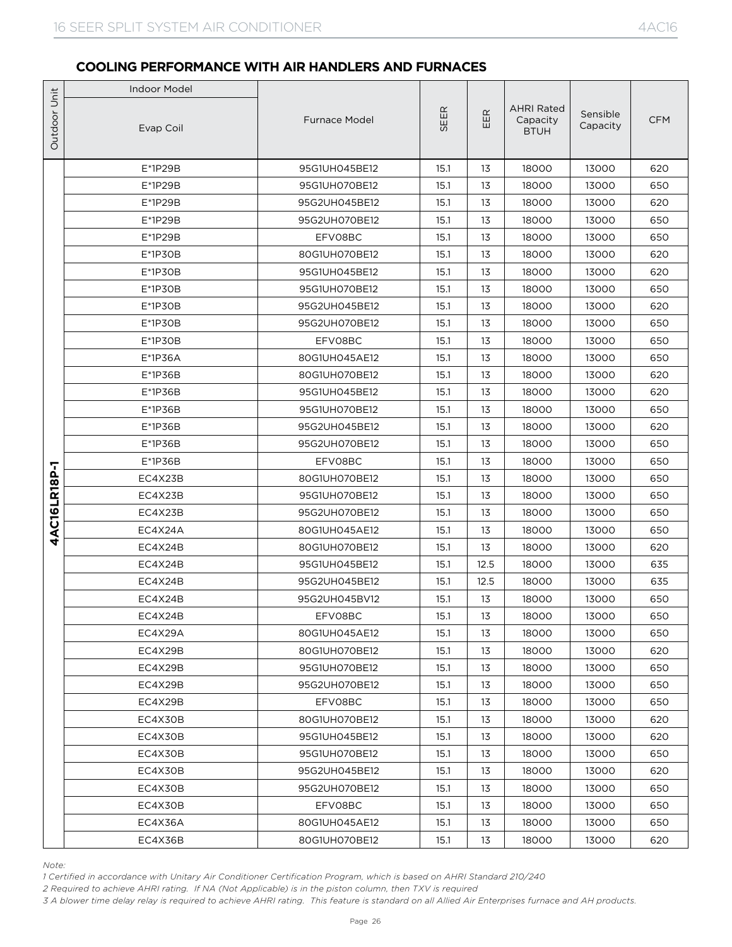|              | <b>Indoor Model</b> |                      |      |      |                                              |                      |            |
|--------------|---------------------|----------------------|------|------|----------------------------------------------|----------------------|------------|
| Outdoor Unit | Evap Coil           | <b>Furnace Model</b> | SEER | EER  | <b>AHRI Rated</b><br>Capacity<br><b>BTUH</b> | Sensible<br>Capacity | <b>CFM</b> |
|              | E*1P29B             | 95G1UH045BE12        | 15.1 | 13   | 18000                                        | 13000                | 620        |
|              | E*1P29B             | 95G1UH070BE12        | 15.1 | 13   | 18000                                        | 13000                | 650        |
|              | E*1P29B             | 95G2UH045BE12        | 15.1 | 13   | 18000                                        | 13000                | 620        |
|              | E*1P29B             | 95G2UH070BE12        | 15.1 | 13   | 18000                                        | 13000                | 650        |
|              | E*1P29B             | EFV08BC              | 15.1 | 13   | 18000                                        | 13000                | 650        |
|              | $E*1P3OB$           | 80G1UH070BE12        | 15.1 | 13   | 18000                                        | 13000                | 620        |
|              | $E*1P3OB$           | 95G1UH045BE12        | 15.1 | 13   | 18000                                        | 13000                | 620        |
|              | $E*1P3OB$           | 95G1UH070BE12        | 15.1 | 13   | 18000                                        | 13000                | 650        |
|              | $E*1P3OB$           | 95G2UH045BE12        | 15.1 | 13   | 18000                                        | 13000                | 620        |
|              | $E*1P3OB$           | 95G2UH070BE12        | 15.1 | 13   | 18000                                        | 13000                | 650        |
|              | $E*1P3OB$           | EFV08BC              | 15.1 | 13   | 18000                                        | 13000                | 650        |
|              | E*1P36A             | 80G1UH045AE12        | 15.1 | 13   | 18000                                        | 13000                | 650        |
|              | E*1P36B             | 80G1UH070BE12        | 15.1 | 13   | 18000                                        | 13000                | 620        |
|              | E*1P36B             | 95G1UH045BE12        | 15.1 | 13   | 18000                                        | 13000                | 620        |
|              | $E*1P36B$           | 95G1UH070BE12        | 15.1 | 13   | 18000                                        | 13000                | 650        |
|              | $E*1P36B$           | 95G2UH045BE12        | 15.1 | 13   | 18000                                        | 13000                | 620        |
|              | E*1P36B             | 95G2UH070BE12        | 15.1 | 13   | 18000                                        | 13000                | 650        |
|              | E*1P36B             | EFV08BC              | 15.1 | 13   | 18000                                        | 13000                | 650        |
| 4AC16LR18P-1 | EC4X23B             | 80G1UH070BE12        | 15.1 | 13   | 18000                                        | 13000                | 650        |
|              | EC4X23B             | 95G1UH070BE12        | 15.1 | 13   | 18000                                        | 13000                | 650        |
|              | EC4X23B             | 95G2UH070BE12        | 15.1 | 13   | 18000                                        | 13000                | 650        |
|              | EC4X24A             | 80G1UH045AE12        | 15.1 | 13   | 18000                                        | 13000                | 650        |
|              | EC4X24B             | 80G1UH070BE12        | 15.1 | 13   | 18000                                        | 13000                | 620        |
|              | EC4X24B             | 95G1UH045BE12        | 15.1 | 12.5 | 18000                                        | 13000                | 635        |
|              | EC4X24B             | 95G2UH045BE12        | 15.1 | 12.5 | 18000                                        | 13000                | 635        |
|              | EC4X24B             | 95G2UH045BV12        | 15.1 | 13   | 18000                                        | 13000                | 650        |
|              | EC4X24B             | EFV08BC              | 15.1 | 13   | 18000                                        | 13000                | 650        |
|              | EC4X29A             | 80G1UH045AE12        | 15.1 | 13   | 18000                                        | 13000                | 650        |
|              | EC4X29B             | 80G1UH070BE12        | 15.1 | 13   | 18000                                        | 13000                | 620        |
|              | EC4X29B             | 95G1UH070BE12        | 15.1 | 13   | 18000                                        | 13000                | 650        |
|              | EC4X29B             | 95G2UH070BE12        | 15.1 | 13   | 18000                                        | 13000                | 650        |
|              | EC4X29B             | EFV08BC              | 15.1 | 13   | 18000                                        | 13000                | 650        |
|              | EC4X30B             | 80G1UH070BE12        | 15.1 | 13   | 18000                                        | 13000                | 620        |
|              | EC4X30B             | 95G1UH045BE12        | 15.1 | 13   | 18000                                        | 13000                | 620        |
|              | EC4X30B             | 95G1UH070BE12        | 15.1 | 13   | 18000                                        | 13000                | 650        |
|              | EC4X30B             | 95G2UH045BE12        | 15.1 | 13   | 18000                                        | 13000                | 620        |
|              | EC4X30B             | 95G2UH070BE12        | 15.1 | 13   | 18000                                        | 13000                | 650        |
|              | EC4X30B             | EFV08BC              | 15.1 | 13   | 18000                                        | 13000                | 650        |
|              | EC4X36A             | 80G1UH045AE12        | 15.1 | 13   | 18000                                        | 13000                | 650        |
|              | EC4X36B             | 80G1UH070BE12        | 15.1 | 13   | 18000                                        | 13000                | 620        |

*Note:*

*1 Certified in accordance with Unitary Air Conditioner Certification Program, which is based on AHRI Standard 210/240*

*2 Required to achieve AHRI rating. If NA (Not Applicable) is in the piston column, then TXV is required*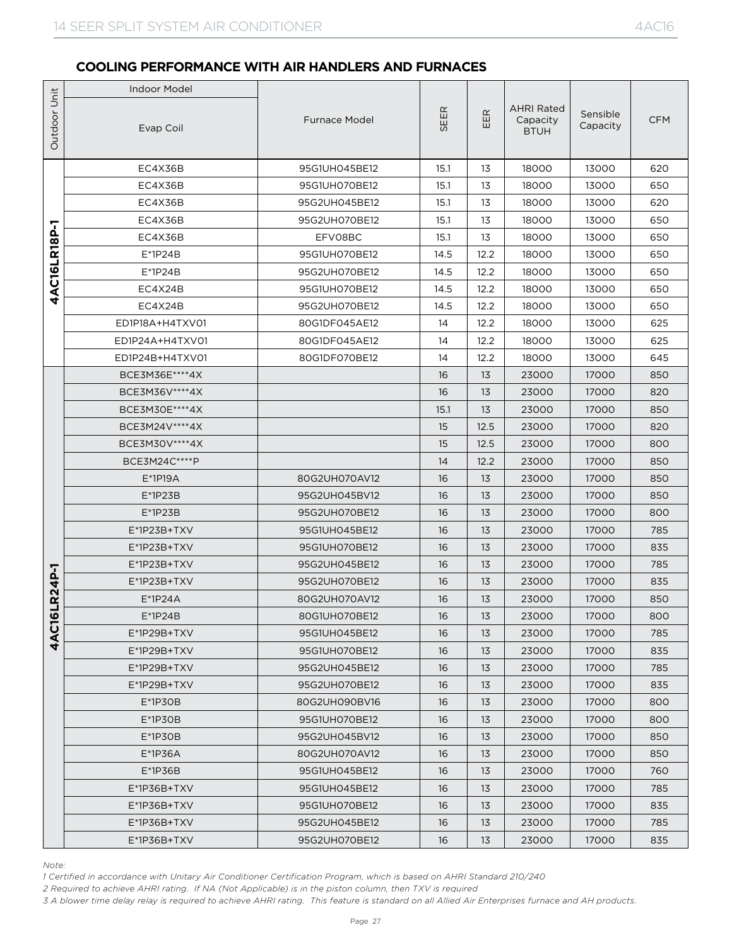|              | <b>Indoor Model</b>                                                                                                                                                                                                                                                                                                                                                                 |                                |          |          |                                              |                      |            |
|--------------|-------------------------------------------------------------------------------------------------------------------------------------------------------------------------------------------------------------------------------------------------------------------------------------------------------------------------------------------------------------------------------------|--------------------------------|----------|----------|----------------------------------------------|----------------------|------------|
| Outdoor Unit | Evap Coil                                                                                                                                                                                                                                                                                                                                                                           | <b>Furnace Model</b>           | SEER     | E<br>Ш   | <b>AHRI Rated</b><br>Capacity<br><b>BTUH</b> | Sensible<br>Capacity | <b>CFM</b> |
|              | EC4X36B                                                                                                                                                                                                                                                                                                                                                                             | 95G1UH045BE12                  | 15.1     | 13       | 18000                                        | 13000                | 620        |
|              | EC4X36B                                                                                                                                                                                                                                                                                                                                                                             | 95G1UH070BE12                  | 15.1     | 13       | 18000                                        | 13000                | 650        |
|              | EC4X36B                                                                                                                                                                                                                                                                                                                                                                             | 95G2UH045BE12                  | 15.1     | 13       | 18000                                        | 13000                | 620        |
| 7            | EC4X36B                                                                                                                                                                                                                                                                                                                                                                             | 95G2UH070BE12                  | 15.1     | 13       | 18000                                        | 13000                | 650        |
| 4AC16LR18P   | EC4X36B                                                                                                                                                                                                                                                                                                                                                                             | EFV08BC                        | 15.1     | 13       | 18000                                        | 13000                | 650        |
|              | $E^*$ 1P24B                                                                                                                                                                                                                                                                                                                                                                         | 95G1UH070BE12                  | 14.5     | 12.2     | 18000                                        | 13000                | 650        |
|              | $E^*$ 1P24B                                                                                                                                                                                                                                                                                                                                                                         | 95G2UH070BE12                  | 14.5     | 12.2     | 18000                                        | 13000                | 650        |
|              | EC4X24B                                                                                                                                                                                                                                                                                                                                                                             | 95G1UH070BE12                  | 14.5     | 12.2     | 18000                                        | 13000                | 650        |
|              | EC4X24B                                                                                                                                                                                                                                                                                                                                                                             | 95G2UH070BE12                  | 14.5     | 12.2     | 18000                                        | 13000                | 650        |
|              | ED1P18A+H4TXV01                                                                                                                                                                                                                                                                                                                                                                     | 80G1DF045AE12                  | 14       | 12.2     | 18000                                        | 13000                | 625        |
|              | ED1P24A+H4TXV01                                                                                                                                                                                                                                                                                                                                                                     | 80G1DF045AE12                  | 14       | 12.2     | 18000                                        | 13000                | 625        |
|              | ED1P24B+H4TXV01                                                                                                                                                                                                                                                                                                                                                                     | 80G1DF070BE12                  | 14       | 12.2     | 18000                                        | 13000                | 645        |
|              | BCE3M36E****4X                                                                                                                                                                                                                                                                                                                                                                      |                                | 16       | 13       | 23000                                        | 17000                | 850        |
|              | BCE3M36V****4X                                                                                                                                                                                                                                                                                                                                                                      |                                | 16       | 13       | 23000                                        | 17000                | 820        |
|              | BCE3M30E **** 4X                                                                                                                                                                                                                                                                                                                                                                    |                                | 15.1     | 13       | 23000                                        | 17000                | 850        |
|              | BCE3M24V****4X                                                                                                                                                                                                                                                                                                                                                                      |                                | 15       | 12.5     | 23000                                        | 17000                | 820        |
|              | BCE3M30V **** 4X                                                                                                                                                                                                                                                                                                                                                                    |                                | 15       | 12.5     | 23000                                        | 17000                | 800        |
|              | BCE3M24C****P                                                                                                                                                                                                                                                                                                                                                                       |                                | 14       | 12.2     | 23000                                        | 17000                | 850        |
|              | $E*1P19A$                                                                                                                                                                                                                                                                                                                                                                           | 80G2UH070AV12                  | 16       | 13       | 23000                                        | 17000                | 850        |
|              | $E*1P23B$                                                                                                                                                                                                                                                                                                                                                                           | 95G2UH045BV12                  | 16       | 13       | 23000                                        | 17000                | 850        |
|              | $E*1P23B$                                                                                                                                                                                                                                                                                                                                                                           | 95G2UH070BE12                  | 16       | 13       | 23000                                        | 17000                | 800        |
|              | $E^*$ 1P23B+TXV                                                                                                                                                                                                                                                                                                                                                                     | 95G1UH045BE12                  | 16       | 13       | 23000                                        | 17000                | 785        |
|              | $E^*$ 1P23B+TXV                                                                                                                                                                                                                                                                                                                                                                     | 95G1UH070BE12                  | 16       | 13       | 23000                                        | 17000                | 835        |
|              | $E^*$ 1P23B+TXV                                                                                                                                                                                                                                                                                                                                                                     | 95G2UH045BE12                  | 16       | 13       | 23000                                        | 17000                | 785        |
| 6LR24P-1     | $E^*$ 1P23B+TXV                                                                                                                                                                                                                                                                                                                                                                     | 95G2UH070BE12                  | 16       | 13       | 23000                                        | 17000                | 835        |
|              | $E^*$ 1P24A                                                                                                                                                                                                                                                                                                                                                                         | 80G2UH070AV12                  | 16       | 13       | 23000<br>23000                               | 17000                | 850        |
|              | $E^*$ 1P24B                                                                                                                                                                                                                                                                                                                                                                         | 80G1UH070BE12                  | 16       | 13       |                                              | 17000                | 800        |
| <b>4AC1</b>  | $E^*$ 1P29B+TXV<br>$E^*$ 1P29B+TXV                                                                                                                                                                                                                                                                                                                                                  | 95G1UH045BE12                  | 16       | 13       | 23000                                        | 17000                | 785        |
|              |                                                                                                                                                                                                                                                                                                                                                                                     | 95G1UH070BE12<br>95G2UH045BE12 | 16       | 13<br>13 | 23000<br>23000                               | 17000<br>17000       | 835<br>785 |
|              | $E^*$ 1P29B+TXV                                                                                                                                                                                                                                                                                                                                                                     | 95G2UH070BE12                  | 16<br>16 | 13       |                                              | 17000                | 835        |
|              | $E^*$ 1P29B+TXV<br>$E*1P3OB$                                                                                                                                                                                                                                                                                                                                                        | 80G2UH090BV16                  | 16       | 13       | 23000<br>23000                               | 17000                | 800        |
|              | $E^*$ 1P30B                                                                                                                                                                                                                                                                                                                                                                         | 95G1UH070BE12                  | 16       | 13       | 23000                                        | 17000                | 800        |
|              | $E*1P3OB$                                                                                                                                                                                                                                                                                                                                                                           | 95G2UH045BV12                  | 16       | 13       | 23000                                        | 17000                | 850        |
|              | $E*1P36A$                                                                                                                                                                                                                                                                                                                                                                           | 80G2UH070AV12                  | 16       | 13       | 23000                                        | 17000                | 850        |
|              | $E^*$ 1P36B                                                                                                                                                                                                                                                                                                                                                                         | 95G1UH045BE12                  | 16       | 13       | 23000                                        | 17000                | 760        |
|              | E*1P36B+TXV                                                                                                                                                                                                                                                                                                                                                                         | 95G1UH045BE12                  | 16       | 13       | 23000                                        | 17000                | 785        |
|              | E*1P36B+TXV                                                                                                                                                                                                                                                                                                                                                                         | 95G1UH070BE12                  | 16       | 13       | 23000                                        | 17000                | 835        |
|              | E*1P36B+TXV                                                                                                                                                                                                                                                                                                                                                                         | 95G2UH045BE12                  | 16       | 13       | 23000                                        | 17000                | 785        |
|              | $E^*$ 1P36B+TXV                                                                                                                                                                                                                                                                                                                                                                     | 95G2UH070BE12                  | 16       | 13       | 23000                                        | 17000                | 835        |
|              |                                                                                                                                                                                                                                                                                                                                                                                     |                                |          |          |                                              |                      |            |
| Note:        | 1 Certified in accordance with Unitary Air Conditioner Certification Program, which is based on AHRI Standard 210/240<br>2 Required to achieve AHRI rating. If NA (Not Applicable) is in the piston column, then TXV is required<br>3 A blower time delay relay is required to achieve AHRI rating. This feature is standard on all Allied Air Enterprises furnace and AH products. |                                |          |          |                                              |                      |            |

*Note:*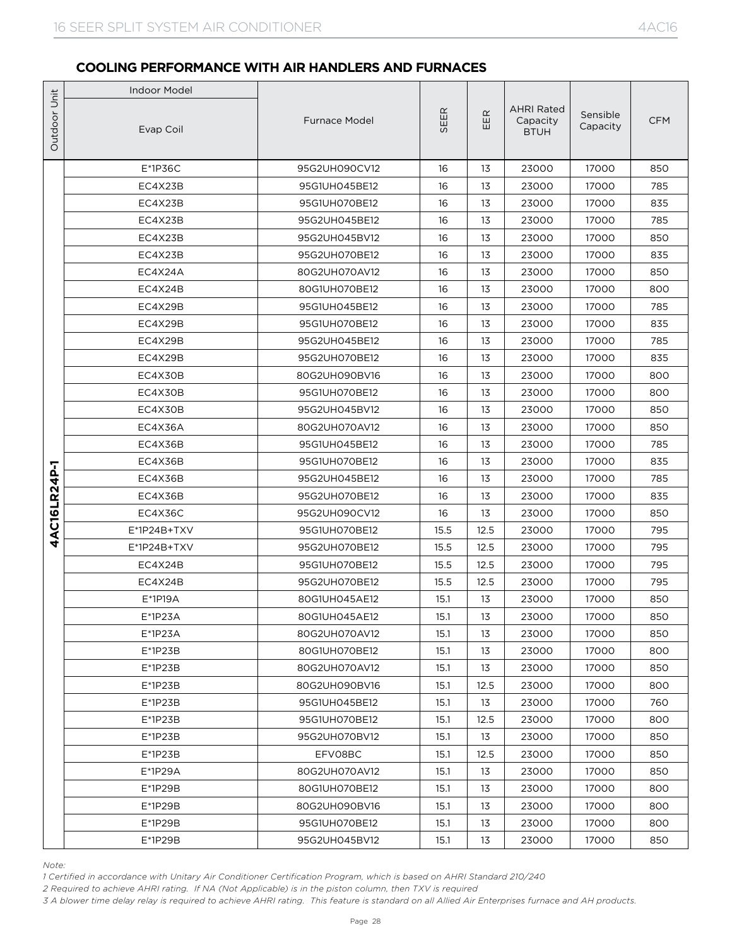|                              | <b>Indoor Model</b>                                                                                                                                                                                                                                                                                                                                                                 |                      |      |      |                                              |                      |            |
|------------------------------|-------------------------------------------------------------------------------------------------------------------------------------------------------------------------------------------------------------------------------------------------------------------------------------------------------------------------------------------------------------------------------------|----------------------|------|------|----------------------------------------------|----------------------|------------|
|                              | Evap Coil                                                                                                                                                                                                                                                                                                                                                                           | <b>Furnace Model</b> | SEER | EER  | <b>AHRI Rated</b><br>Capacity<br><b>BTUH</b> | Sensible<br>Capacity | <b>CFM</b> |
|                              | $E*1P36C$                                                                                                                                                                                                                                                                                                                                                                           | 95G2UH090CV12        | 16   | 13   | 23000                                        | 17000                | 850        |
| Outdoor Unit<br>4AC16LR24P-1 | EC4X23B                                                                                                                                                                                                                                                                                                                                                                             | 95G1UH045BE12        | 16   | 13   | 23000                                        | 17000                | 785        |
|                              | EC4X23B                                                                                                                                                                                                                                                                                                                                                                             | 95G1UH070BE12        | 16   | 13   | 23000                                        | 17000                | 835        |
|                              | EC4X23B                                                                                                                                                                                                                                                                                                                                                                             | 95G2UH045BE12        | 16   | 13   | 23000                                        | 17000                | 785        |
|                              | EC4X23B                                                                                                                                                                                                                                                                                                                                                                             | 95G2UH045BV12        | 16   | 13   | 23000                                        | 17000                | 850        |
|                              | EC4X23B                                                                                                                                                                                                                                                                                                                                                                             | 95G2UH070BE12        | 16   | 13   | 23000                                        | 17000                | 835        |
|                              | EC4X24A                                                                                                                                                                                                                                                                                                                                                                             | 80G2UH070AV12        | 16   | 13   | 23000                                        | 17000                | 850        |
|                              | EC4X24B                                                                                                                                                                                                                                                                                                                                                                             | 80G1UH070BE12        | 16   | 13   | 23000                                        | 17000                | 800        |
|                              | EC4X29B                                                                                                                                                                                                                                                                                                                                                                             | 95G1UH045BE12        | 16   | 13   | 23000                                        | 17000                | 785        |
|                              | EC4X29B                                                                                                                                                                                                                                                                                                                                                                             | 95G1UH070BE12        | 16   | 13   | 23000                                        | 17000                | 835        |
|                              | EC4X29B                                                                                                                                                                                                                                                                                                                                                                             | 95G2UH045BE12        | 16   | 13   | 23000                                        | 17000                | 785        |
|                              | EC4X29B                                                                                                                                                                                                                                                                                                                                                                             | 95G2UH070BE12        | 16   | 13   | 23000                                        | 17000                | 835        |
|                              | EC4X30B                                                                                                                                                                                                                                                                                                                                                                             | 80G2UH090BV16        | 16   | 13   | 23000                                        | 17000                | 800        |
|                              | EC4X30B                                                                                                                                                                                                                                                                                                                                                                             | 95G1UH070BE12        | 16   | 13   | 23000                                        | 17000                | 800        |
|                              | EC4X30B                                                                                                                                                                                                                                                                                                                                                                             | 95G2UH045BV12        | 16   | 13   | 23000                                        | 17000                | 850        |
|                              | EC4X36A                                                                                                                                                                                                                                                                                                                                                                             | 80G2UH070AV12        | 16   | 13   | 23000                                        | 17000                | 850        |
|                              | EC4X36B                                                                                                                                                                                                                                                                                                                                                                             | 95G1UH045BE12        | 16   | 13   | 23000                                        | 17000                | 785        |
|                              | EC4X36B                                                                                                                                                                                                                                                                                                                                                                             | 95G1UH070BE12        | 16   | 13   | 23000                                        | 17000                | 835        |
|                              | EC4X36B                                                                                                                                                                                                                                                                                                                                                                             | 95G2UH045BE12        | 16   | 13   | 23000                                        | 17000                | 785        |
|                              | EC4X36B                                                                                                                                                                                                                                                                                                                                                                             | 95G2UH070BE12        | 16   | 13   | 23000                                        | 17000                | 835        |
|                              | EC4X36C                                                                                                                                                                                                                                                                                                                                                                             | 95G2UH090CV12        | 16   | 13   | 23000                                        | 17000                | 850        |
|                              | E*1P24B+TXV                                                                                                                                                                                                                                                                                                                                                                         | 95G1UH070BE12        | 15.5 | 12.5 | 23000                                        | 17000                | 795        |
|                              | E*1P24B+TXV                                                                                                                                                                                                                                                                                                                                                                         | 95G2UH070BE12        | 15.5 | 12.5 | 23000                                        | 17000                | 795        |
|                              | EC4X24B                                                                                                                                                                                                                                                                                                                                                                             | 95G1UH070BE12        | 15.5 | 12.5 | 23000                                        | 17000                | 795        |
|                              | EC4X24B                                                                                                                                                                                                                                                                                                                                                                             | 95G2UH070BE12        | 15.5 | 12.5 | 23000                                        | 17000                | 795        |
|                              | E*1P19A                                                                                                                                                                                                                                                                                                                                                                             | 80G1UH045AE12        | 15.1 | 13   | 23000                                        | 17000                | 850        |
|                              | $E^*$ 1P23A                                                                                                                                                                                                                                                                                                                                                                         | 80G1UH045AE12        | 15.1 | 13   | 23000                                        | 17000                | 850        |
|                              | $E^*$ 1P23A                                                                                                                                                                                                                                                                                                                                                                         | 80G2UH070AV12        | 15.1 | 13   | 23000                                        | 17000                | 850        |
|                              | $E*1P23B$                                                                                                                                                                                                                                                                                                                                                                           | 80G1UH070BE12        | 15.1 | 13   | 23000                                        | 17000                | 800        |
|                              | $E^*$ 1P23B                                                                                                                                                                                                                                                                                                                                                                         | 80G2UH070AV12        | 15.1 | 13   | 23000                                        | 17000                | 850        |
|                              | $E^*$ 1P23B                                                                                                                                                                                                                                                                                                                                                                         | 80G2UH090BV16        | 15.1 | 12.5 | 23000                                        | 17000                | 800        |
|                              | $E*1P23B$                                                                                                                                                                                                                                                                                                                                                                           | 95G1UH045BE12        | 15.1 | 13   | 23000                                        | 17000                | 760        |
|                              | $E^*$ 1P23B                                                                                                                                                                                                                                                                                                                                                                         | 95G1UH070BE12        | 15.1 | 12.5 | 23000                                        | 17000                | 800        |
|                              | E*1P23B                                                                                                                                                                                                                                                                                                                                                                             | 95G2UH070BV12        | 15.1 | 13   | 23000                                        | 17000                | 850        |
|                              | E*1P23B                                                                                                                                                                                                                                                                                                                                                                             | EFV08BC              | 15.1 | 12.5 | 23000                                        | 17000                | 850        |
|                              | E*1P29A                                                                                                                                                                                                                                                                                                                                                                             | 80G2UH070AV12        | 15.1 | 13   | 23000                                        | 17000                | 850        |
|                              | E*1P29B                                                                                                                                                                                                                                                                                                                                                                             | 80G1UH070BE12        | 15.1 | 13   | 23000                                        | 17000                | 800        |
|                              | $E^*$ 1P29B                                                                                                                                                                                                                                                                                                                                                                         | 80G2UH090BV16        | 15.1 | 13   | 23000                                        | 17000                | 800        |
|                              | E*1P29B                                                                                                                                                                                                                                                                                                                                                                             | 95G1UH070BE12        | 15.1 | 13   | 23000                                        | 17000                | 800        |
|                              | $E*1P29B$                                                                                                                                                                                                                                                                                                                                                                           | 95G2UH045BV12        | 15.1 | 13   | 23000                                        | 17000                | 850        |
| Note:                        | 1 Certified in accordance with Unitary Air Conditioner Certification Program, which is based on AHRI Standard 210/240<br>2 Required to achieve AHRI rating. If NA (Not Applicable) is in the piston column, then TXV is required<br>3 A blower time delay relay is required to achieve AHRI rating. This feature is standard on all Allied Air Enterprises furnace and AH products. |                      |      |      |                                              |                      |            |

*Note:*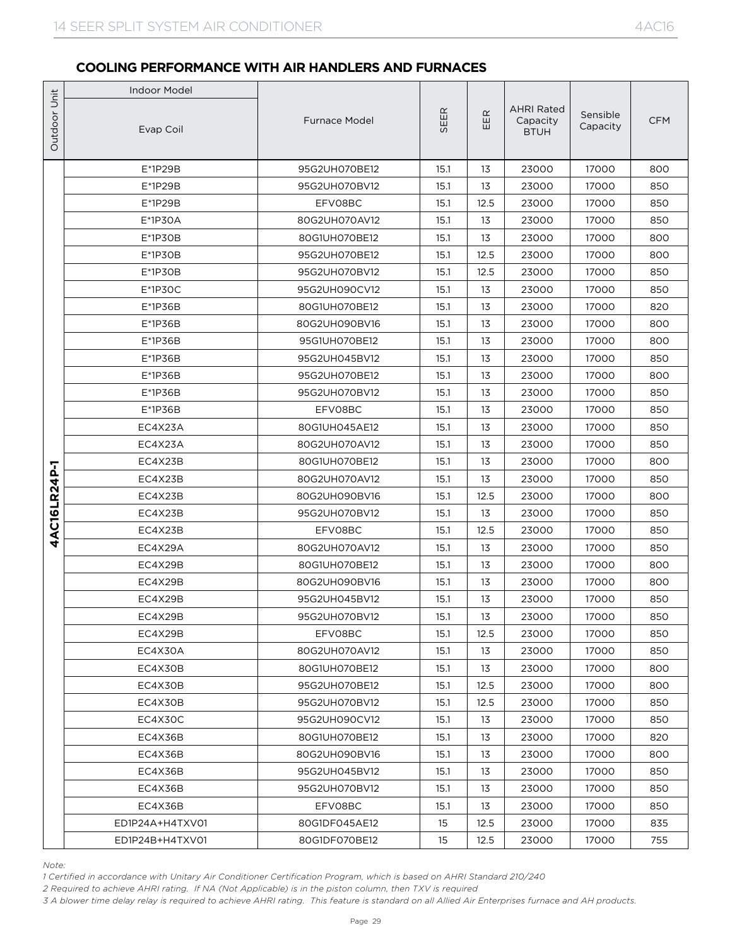|                              | <b>Indoor Model</b>                                                                                                                                                                                                                                                                                                                                                                 |                                |              |          |                                              |                      |            |
|------------------------------|-------------------------------------------------------------------------------------------------------------------------------------------------------------------------------------------------------------------------------------------------------------------------------------------------------------------------------------------------------------------------------------|--------------------------------|--------------|----------|----------------------------------------------|----------------------|------------|
|                              | Evap Coil                                                                                                                                                                                                                                                                                                                                                                           | <b>Furnace Model</b>           | SEER         | EER      | <b>AHRI Rated</b><br>Capacity<br><b>BTUH</b> | Sensible<br>Capacity | <b>CFM</b> |
|                              | $E^*$ 1P29B                                                                                                                                                                                                                                                                                                                                                                         | 95G2UH070BE12                  | 15.1         | 13       | 23000                                        | 17000                | 800        |
| Outdoor Unit<br>4AC16LR24P-1 | E*1P29B                                                                                                                                                                                                                                                                                                                                                                             | 95G2UH070BV12                  | 15.1         | 13       | 23000                                        | 17000                | 850        |
|                              | $E*1P29B$                                                                                                                                                                                                                                                                                                                                                                           | EFV08BC                        | 15.1         | 12.5     | 23000                                        | 17000                | 850        |
|                              | E*1P30A                                                                                                                                                                                                                                                                                                                                                                             | 80G2UH070AV12                  | 15.1         | 13       | 23000                                        | 17000                | 850        |
|                              | $E^*$ 1P30B                                                                                                                                                                                                                                                                                                                                                                         | 80G1UH070BE12                  | 15.1         | 13       | 23000                                        | 17000                | 800        |
|                              | $E*1P3OB$                                                                                                                                                                                                                                                                                                                                                                           | 95G2UH070BE12                  | 15.1         | 12.5     | 23000                                        | 17000                | 800        |
|                              | $E*1P3OB$                                                                                                                                                                                                                                                                                                                                                                           | 95G2UH070BV12                  | 15.1         | 12.5     | 23000                                        | 17000                | 850        |
|                              | $E*1P3OC$                                                                                                                                                                                                                                                                                                                                                                           | 95G2UH090CV12                  | 15.1         | 13       | 23000                                        | 17000                | 850        |
|                              | E*1P36B                                                                                                                                                                                                                                                                                                                                                                             | 80G1UH070BE12                  | 15.1         | 13       | 23000                                        | 17000                | 820        |
|                              | $E^*$ 1P36B                                                                                                                                                                                                                                                                                                                                                                         | 80G2UH090BV16                  | 15.1         | 13       | 23000                                        | 17000                | 800        |
|                              | E*1P36B                                                                                                                                                                                                                                                                                                                                                                             | 95G1UH070BE12                  | 15.1         | 13       | 23000                                        | 17000                | 800        |
|                              | $E*1P36B$                                                                                                                                                                                                                                                                                                                                                                           | 95G2UH045BV12                  | 15.1         | 13       | 23000                                        | 17000                | 850        |
|                              | E*1P36B                                                                                                                                                                                                                                                                                                                                                                             | 95G2UH070BE12                  | 15.1         | 13       | 23000                                        | 17000                | 800        |
|                              | E*1P36B                                                                                                                                                                                                                                                                                                                                                                             | 95G2UH070BV12                  | 15.1         | 13       | 23000                                        | 17000                | 850        |
|                              | $E*1P36B$                                                                                                                                                                                                                                                                                                                                                                           | EFV08BC                        | 15.1         | 13       | 23000                                        | 17000                | 850        |
|                              | EC4X23A                                                                                                                                                                                                                                                                                                                                                                             | 80G1UH045AE12                  | 15.1         | 13       | 23000                                        | 17000                | 850        |
|                              | EC4X23A                                                                                                                                                                                                                                                                                                                                                                             | 80G2UH070AV12                  | 15.1         | 13<br>13 | 23000                                        | 17000                | 850<br>800 |
|                              | EC4X23B<br>EC4X23B                                                                                                                                                                                                                                                                                                                                                                  | 80G1UH070BE12<br>80G2UH070AV12 | 15.1<br>15.1 | 13       | 23000<br>23000                               | 17000<br>17000       | 850        |
|                              | EC4X23B                                                                                                                                                                                                                                                                                                                                                                             | 80G2UH090BV16                  | 15.1         | 12.5     | 23000                                        | 17000                | 800        |
|                              | EC4X23B                                                                                                                                                                                                                                                                                                                                                                             | 95G2UH070BV12                  | 15.1         | 13       | 23000                                        | 17000                | 850        |
|                              | EC4X23B                                                                                                                                                                                                                                                                                                                                                                             | EFV08BC                        | 15.1         | 12.5     | 23000                                        | 17000                | 850        |
|                              | EC4X29A                                                                                                                                                                                                                                                                                                                                                                             | 80G2UH070AV12                  | 15.1         | 13       | 23000                                        | 17000                | 850        |
|                              | EC4X29B                                                                                                                                                                                                                                                                                                                                                                             | 80G1UH070BE12                  | 15.1         | 13       | 23000                                        | 17000                | 800        |
|                              | EC4X29B                                                                                                                                                                                                                                                                                                                                                                             | 80G2UH090BV16                  | 15.1         | 13       | 23000                                        | 17000                | 800        |
|                              | EC4X29B                                                                                                                                                                                                                                                                                                                                                                             | 95G2UH045BV12                  | 15.1         | 13       | 23000                                        | 17000                | 850        |
|                              | EC4X29B                                                                                                                                                                                                                                                                                                                                                                             | 95G2UH070BV12                  | 15.1         | 13       | 23000                                        | 17000                | 850        |
|                              | EC4X29B                                                                                                                                                                                                                                                                                                                                                                             | EFV08BC                        | 15.1         | 12.5     | 23000                                        | 17000                | 850        |
|                              | EC4X30A                                                                                                                                                                                                                                                                                                                                                                             | 80G2UH070AV12                  | 15.1         | 13       | 23000                                        | 17000                | 850        |
|                              | EC4X30B                                                                                                                                                                                                                                                                                                                                                                             | 80G1UH070BE12                  | 15.1         | 13       | 23000                                        | 17000                | 800        |
|                              | EC4X30B                                                                                                                                                                                                                                                                                                                                                                             | 95G2UH070BE12                  | 15.1         | 12.5     | 23000                                        | 17000                | 800        |
|                              | EC4X30B                                                                                                                                                                                                                                                                                                                                                                             | 95G2UH070BV12                  | 15.1         | 12.5     | 23000                                        | 17000                | 850        |
|                              | EC4X30C                                                                                                                                                                                                                                                                                                                                                                             | 95G2UH090CV12                  | 15.1         | 13       | 23000                                        | 17000                | 850        |
|                              | EC4X36B                                                                                                                                                                                                                                                                                                                                                                             | 80G1UH070BE12                  | 15.1         | 13       | 23000                                        | 17000                | 820        |
|                              | EC4X36B                                                                                                                                                                                                                                                                                                                                                                             | 80G2UH090BV16                  | 15.1         | 13       | 23000                                        | 17000                | 800        |
|                              | EC4X36B                                                                                                                                                                                                                                                                                                                                                                             | 95G2UH045BV12                  | 15.1         | 13       | 23000                                        | 17000                | 850        |
|                              | EC4X36B                                                                                                                                                                                                                                                                                                                                                                             | 95G2UH070BV12                  | 15.1         | 13       | 23000                                        | 17000                | 850        |
|                              | EC4X36B                                                                                                                                                                                                                                                                                                                                                                             | EFV08BC                        | 15.1         | 13       | 23000                                        | 17000                | 850        |
|                              | ED1P24A+H4TXV01                                                                                                                                                                                                                                                                                                                                                                     | 80G1DF045AE12                  | 15           | 12.5     | 23000                                        | 17000                | 835        |
|                              | ED1P24B+H4TXV01                                                                                                                                                                                                                                                                                                                                                                     | 80G1DF070BE12                  | 15           | 12.5     | 23000                                        | 17000                | 755        |
| Note:                        | 1 Certified in accordance with Unitary Air Conditioner Certification Program, which is based on AHRI Standard 210/240<br>2 Required to achieve AHRI rating. If NA (Not Applicable) is in the piston column, then TXV is required<br>3 A blower time delay relay is required to achieve AHRI rating. This feature is standard on all Allied Air Enterprises furnace and AH products. |                                |              |          |                                              |                      |            |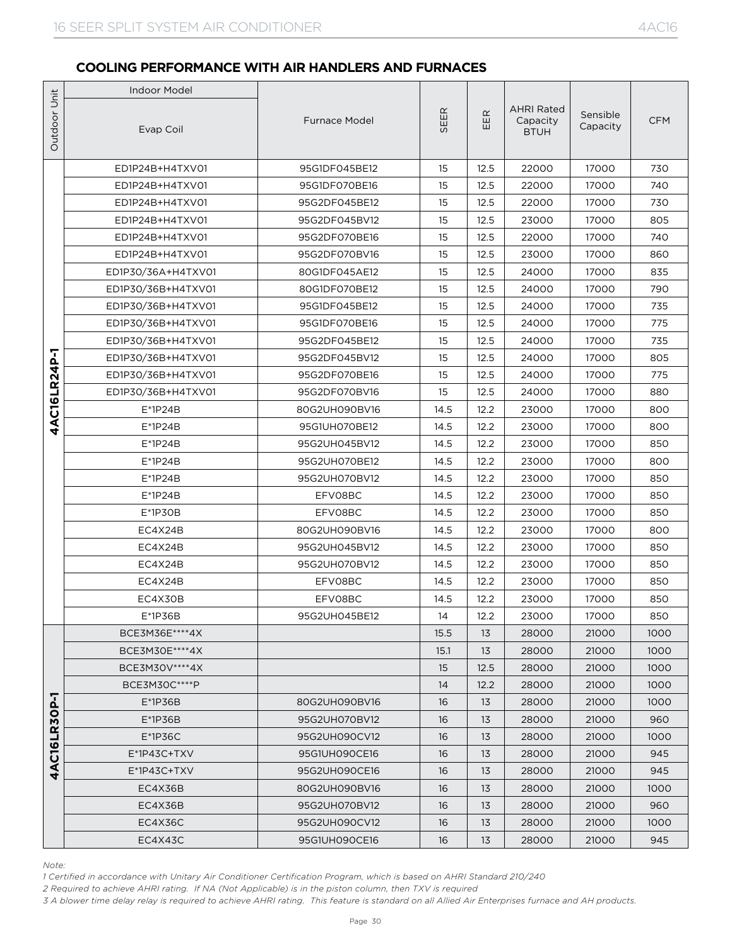|              | <b>Indoor Model</b>                                                                                                                                                                                                                                                                                                                                                                 |                      |      |      |                                              |                      |            |
|--------------|-------------------------------------------------------------------------------------------------------------------------------------------------------------------------------------------------------------------------------------------------------------------------------------------------------------------------------------------------------------------------------------|----------------------|------|------|----------------------------------------------|----------------------|------------|
| Outdoor Unit | Evap Coil                                                                                                                                                                                                                                                                                                                                                                           | <b>Furnace Model</b> | SEER | EER  | <b>AHRI Rated</b><br>Capacity<br><b>BTUH</b> | Sensible<br>Capacity | <b>CFM</b> |
|              | ED1P24B+H4TXV01                                                                                                                                                                                                                                                                                                                                                                     | 95G1DF045BE12        | 15   | 12.5 | 22000                                        | 17000                | 730        |
|              | ED1P24B+H4TXV01                                                                                                                                                                                                                                                                                                                                                                     | 95G1DF070BE16        | 15   | 12.5 | 22000                                        | 17000                | 740        |
|              | ED1P24B+H4TXV01                                                                                                                                                                                                                                                                                                                                                                     | 95G2DF045BE12        | 15   | 12.5 | 22000                                        | 17000                | 730        |
|              | ED1P24B+H4TXV01                                                                                                                                                                                                                                                                                                                                                                     | 95G2DF045BV12        | 15   | 12.5 | 23000                                        | 17000                | 805        |
|              | ED1P24B+H4TXV01                                                                                                                                                                                                                                                                                                                                                                     | 95G2DF070BE16        | 15   | 12.5 | 22000                                        | 17000                | 740        |
|              | ED1P24B+H4TXV01                                                                                                                                                                                                                                                                                                                                                                     | 95G2DF070BV16        | 15   | 12.5 | 23000                                        | 17000                | 860        |
|              | ED1P30/36A+H4TXV01                                                                                                                                                                                                                                                                                                                                                                  | 80G1DF045AE12        | 15   | 12.5 | 24000                                        | 17000                | 835        |
|              | ED1P30/36B+H4TXV01                                                                                                                                                                                                                                                                                                                                                                  | 80G1DF070BE12        | 15   | 12.5 | 24000                                        | 17000                | 790        |
|              | ED1P30/36B+H4TXV01                                                                                                                                                                                                                                                                                                                                                                  | 95G1DF045BE12        | 15   | 12.5 | 24000                                        | 17000                | 735        |
|              | ED1P30/36B+H4TXV01                                                                                                                                                                                                                                                                                                                                                                  | 95G1DF070BE16        | 15   | 12.5 | 24000                                        | 17000                | 775        |
|              | ED1P30/36B+H4TXV01                                                                                                                                                                                                                                                                                                                                                                  | 95G2DF045BE12        | 15   | 12.5 | 24000                                        | 17000                | 735        |
| 4AC16LR24P-1 | ED1P30/36B+H4TXV01                                                                                                                                                                                                                                                                                                                                                                  | 95G2DF045BV12        | 15   | 12.5 | 24000                                        | 17000                | 805        |
|              | ED1P30/36B+H4TXV01                                                                                                                                                                                                                                                                                                                                                                  | 95G2DF070BE16        | 15   | 12.5 | 24000                                        | 17000                | 775        |
|              | ED1P30/36B+H4TXV01                                                                                                                                                                                                                                                                                                                                                                  | 95G2DF070BV16        | 15   | 12.5 | 24000                                        | 17000                | 880        |
|              | $E^*$ 1P24B                                                                                                                                                                                                                                                                                                                                                                         | 80G2UH090BV16        | 14.5 | 12.2 | 23000                                        | 17000                | 800        |
|              | $E^*$ 1P24B                                                                                                                                                                                                                                                                                                                                                                         | 95G1UH070BE12        | 14.5 | 12.2 | 23000                                        | 17000                | 800        |
|              | $E^*$ 1P24B                                                                                                                                                                                                                                                                                                                                                                         | 95G2UH045BV12        | 14.5 | 12.2 | 23000                                        | 17000                | 850        |
|              | $E^*$ 1P24B                                                                                                                                                                                                                                                                                                                                                                         | 95G2UH070BE12        | 14.5 | 12.2 | 23000                                        | 17000                | 800        |
|              | $E^*$ 1P24B                                                                                                                                                                                                                                                                                                                                                                         | 95G2UH070BV12        | 14.5 | 12.2 | 23000                                        | 17000                | 850        |
|              | $E^*$ 1P24B                                                                                                                                                                                                                                                                                                                                                                         | EFV08BC              | 14.5 | 12.2 | 23000                                        | 17000                | 850        |
|              | $E*1P3OB$                                                                                                                                                                                                                                                                                                                                                                           | EFV08BC              | 14.5 | 12.2 | 23000                                        | 17000                | 850        |
|              | EC4X24B                                                                                                                                                                                                                                                                                                                                                                             | 80G2UH090BV16        | 14.5 | 12.2 | 23000                                        | 17000                | 800        |
|              | EC4X24B                                                                                                                                                                                                                                                                                                                                                                             | 95G2UH045BV12        | 14.5 | 12.2 | 23000                                        | 17000                | 850        |
|              | EC4X24B                                                                                                                                                                                                                                                                                                                                                                             | 95G2UH070BV12        | 14.5 | 12.2 | 23000                                        | 17000                | 850        |
|              | EC4X24B                                                                                                                                                                                                                                                                                                                                                                             | EFV08BC              | 14.5 | 12.2 | 23000                                        | 17000                | 850        |
|              | EC4X30B                                                                                                                                                                                                                                                                                                                                                                             | EFV08BC              | 14.5 | 12.2 | 23000                                        | 17000                | 850        |
|              | E*1P36B                                                                                                                                                                                                                                                                                                                                                                             | 95G2UH045BE12        | 14   | 12.2 | 23000                                        | 17000                | 850        |
|              | BCE3M36E **** 4X                                                                                                                                                                                                                                                                                                                                                                    |                      | 15.5 | 13   | 28000                                        | 21000                | 1000       |
|              | BCE3M30E **** 4X                                                                                                                                                                                                                                                                                                                                                                    |                      | 15.1 | 13   | 28000                                        | 21000                | 1000       |
|              | BCE3M30V****4X                                                                                                                                                                                                                                                                                                                                                                      |                      | 15   | 12.5 | 28000                                        | 21000                | 1000       |
|              | BCE3M30C **** P                                                                                                                                                                                                                                                                                                                                                                     |                      | 14   | 12.2 | 28000                                        | 21000                | 1000       |
|              | $E*1P36B$                                                                                                                                                                                                                                                                                                                                                                           | 80G2UH090BV16        | 16   | 13   | 28000                                        | 21000                | 1000       |
|              | $E^*$ 1P36B                                                                                                                                                                                                                                                                                                                                                                         | 95G2UH070BV12        | 16   | 13   | 28000                                        | 21000                | 960        |
| 4AC16LR30P   | $E*1P36C$                                                                                                                                                                                                                                                                                                                                                                           | 95G2UH090CV12        | 16   | 13   | 28000                                        | 21000                | 1000       |
|              | $E^*$ 1P43C+TXV                                                                                                                                                                                                                                                                                                                                                                     | 95G1UH090CE16        | 16   | 13   | 28000                                        | 21000                | 945        |
|              | $E^*$ 1P43C+TXV                                                                                                                                                                                                                                                                                                                                                                     | 95G2UH090CE16        | 16   | 13   | 28000                                        | 21000                | 945        |
|              | EC4X36B                                                                                                                                                                                                                                                                                                                                                                             | 80G2UH090BV16        | 16   | 13   | 28000                                        | 21000                | 1000       |
|              | EC4X36B                                                                                                                                                                                                                                                                                                                                                                             | 95G2UH070BV12        | 16   | 13   | 28000                                        | 21000                | 960        |
|              | EC4X36C                                                                                                                                                                                                                                                                                                                                                                             | 95G2UH090CV12        | 16   | 13   | 28000                                        | 21000                | 1000       |
|              | EC4X43C                                                                                                                                                                                                                                                                                                                                                                             | 95G1UH090CE16        | 16   | 13   | 28000                                        | 21000                | 945        |
| Note:        | 1 Certified in accordance with Unitary Air Conditioner Certification Program, which is based on AHRI Standard 210/240<br>2 Required to achieve AHRI rating. If NA (Not Applicable) is in the piston column, then TXV is required<br>3 A blower time delay relay is required to achieve AHRI rating. This feature is standard on all Allied Air Enterprises furnace and AH products. |                      |      |      |                                              |                      |            |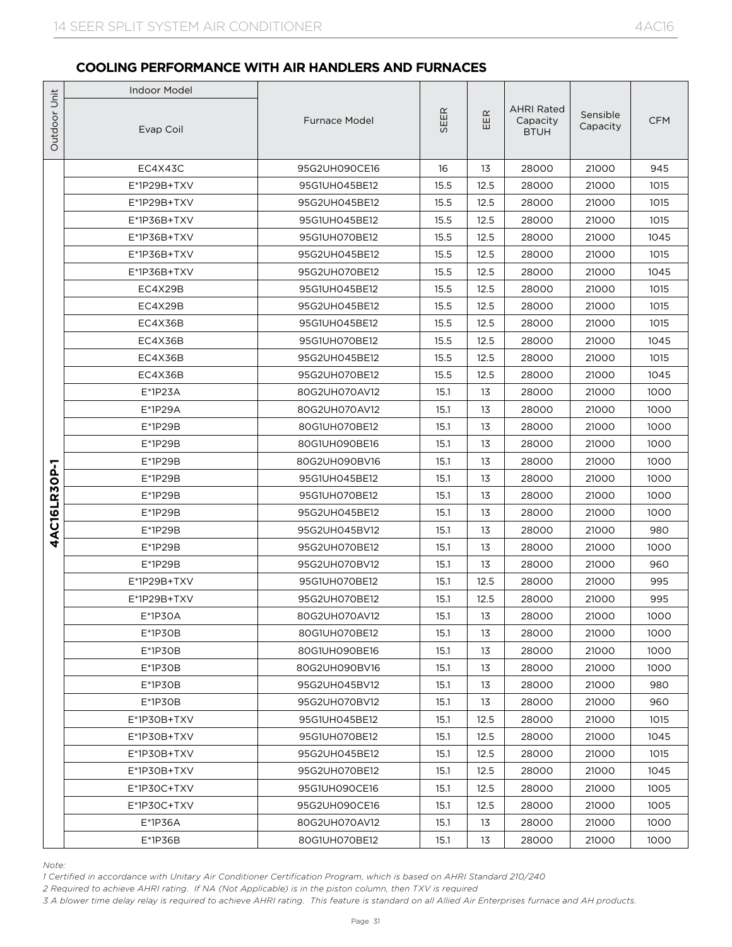|                                  | <b>Indoor Model</b>                                                                                                                                                                                                                                                                                                                                                                 |                                |              |          |                                              |                      |             |
|----------------------------------|-------------------------------------------------------------------------------------------------------------------------------------------------------------------------------------------------------------------------------------------------------------------------------------------------------------------------------------------------------------------------------------|--------------------------------|--------------|----------|----------------------------------------------|----------------------|-------------|
|                                  | Evap Coil                                                                                                                                                                                                                                                                                                                                                                           | <b>Furnace Model</b>           | SEER         | EER      | <b>AHRI Rated</b><br>Capacity<br><b>BTUH</b> | Sensible<br>Capacity | <b>CFM</b>  |
|                                  | EC4X43C                                                                                                                                                                                                                                                                                                                                                                             | 95G2UH090CE16                  | 16           | 13       | 28000                                        | 21000                | 945         |
| Outdoor Unit<br>AC16LR30P-1<br>Ā | E*1P29B+TXV                                                                                                                                                                                                                                                                                                                                                                         | 95G1UH045BE12                  | 15.5         | 12.5     | 28000                                        | 21000                | 1015        |
|                                  | E*1P29B+TXV                                                                                                                                                                                                                                                                                                                                                                         | 95G2UH045BE12                  | 15.5         | 12.5     | 28000                                        | 21000                | 1015        |
|                                  | E*1P36B+TXV                                                                                                                                                                                                                                                                                                                                                                         | 95G1UH045BE12                  | 15.5         | 12.5     | 28000                                        | 21000                | 1015        |
|                                  | $E^*$ 1P36B+TXV                                                                                                                                                                                                                                                                                                                                                                     | 95G1UH070BE12                  | 15.5         | 12.5     | 28000                                        | 21000                | 1045        |
|                                  | E*1P36B+TXV                                                                                                                                                                                                                                                                                                                                                                         | 95G2UH045BE12                  | 15.5         | 12.5     | 28000                                        | 21000                | 1015        |
|                                  | E*1P36B+TXV                                                                                                                                                                                                                                                                                                                                                                         | 95G2UH070BE12                  | 15.5         | 12.5     | 28000                                        | 21000                | 1045        |
|                                  | EC4X29B                                                                                                                                                                                                                                                                                                                                                                             | 95G1UH045BE12                  | 15.5         | 12.5     | 28000                                        | 21000                | 1015        |
|                                  | EC4X29B                                                                                                                                                                                                                                                                                                                                                                             | 95G2UH045BE12                  | 15.5         | 12.5     | 28000                                        | 21000                | 1015        |
|                                  | EC4X36B                                                                                                                                                                                                                                                                                                                                                                             | 95G1UH045BE12                  | 15.5         | 12.5     | 28000                                        | 21000                | 1015        |
|                                  | EC4X36B                                                                                                                                                                                                                                                                                                                                                                             | 95G1UH070BE12                  | 15.5         | 12.5     | 28000                                        | 21000                | 1045        |
|                                  | EC4X36B                                                                                                                                                                                                                                                                                                                                                                             | 95G2UH045BE12                  | 15.5         | 12.5     | 28000                                        | 21000                | 1015        |
|                                  | EC4X36B                                                                                                                                                                                                                                                                                                                                                                             | 95G2UH070BE12                  | 15.5         | 12.5     | 28000                                        | 21000                | 1045        |
|                                  | $E^*$ 1P23A                                                                                                                                                                                                                                                                                                                                                                         | 80G2UH070AV12                  | 15.1         | 13       | 28000                                        | 21000                | 1000        |
|                                  | E*1P29A                                                                                                                                                                                                                                                                                                                                                                             | 80G2UH070AV12                  | 15.1         | 13       | 28000                                        | 21000                | 1000        |
|                                  | E*1P29B                                                                                                                                                                                                                                                                                                                                                                             | 80G1UH070BE12                  | 15.1         | 13       | 28000                                        | 21000                | 1000        |
|                                  | E*1P29B                                                                                                                                                                                                                                                                                                                                                                             | 80G1UH090BE16                  | 15.1         | 13       | 28000                                        | 21000                | 1000        |
|                                  | E*1P29B                                                                                                                                                                                                                                                                                                                                                                             | 80G2UH090BV16                  | 15.1         | 13       | 28000                                        | 21000                | 1000        |
|                                  | E*1P29B                                                                                                                                                                                                                                                                                                                                                                             | 95G1UH045BE12                  | 15.1         | 13       | 28000                                        | 21000                | 1000        |
|                                  | E*1P29B                                                                                                                                                                                                                                                                                                                                                                             | 95G1UH070BE12                  | 15.1         | 13       | 28000                                        | 21000                | 1000        |
|                                  | E*1P29B                                                                                                                                                                                                                                                                                                                                                                             | 95G2UH045BE12                  | 15.1         | 13       | 28000                                        | 21000                | 1000        |
|                                  | E*1P29B                                                                                                                                                                                                                                                                                                                                                                             | 95G2UH045BV12                  | 15.1         | 13       | 28000                                        | 21000                | 980         |
|                                  | E*1P29B                                                                                                                                                                                                                                                                                                                                                                             | 95G2UH070BE12                  | 15.1         | 13       | 28000                                        | 21000                | 1000        |
|                                  | E*1P29B                                                                                                                                                                                                                                                                                                                                                                             | 95G2UH070BV12                  | 15.1         | 13       | 28000                                        | 21000                | 960         |
|                                  | E*1P29B+TXV                                                                                                                                                                                                                                                                                                                                                                         | 95G1UH070BE12                  | 15.1         | 12.5     | 28000                                        | 21000                | 995         |
|                                  | $E^*$ 1P29B+TXV                                                                                                                                                                                                                                                                                                                                                                     | 95G2UH070BE12                  | 15.1         | 12.5     | 28000                                        | 21000                | 995         |
|                                  | E*1P30A                                                                                                                                                                                                                                                                                                                                                                             | 80G2UH070AV12                  | 15.1         | 13       | 28000                                        | 21000                | 1000        |
|                                  | $E*1P3OB$                                                                                                                                                                                                                                                                                                                                                                           | 80G1UH070BE12                  | 15.1         | 13       | 28000                                        | 21000                | 1000        |
|                                  | $E*1P3OB$                                                                                                                                                                                                                                                                                                                                                                           | 80G1UH090BE16                  | 15.1         | 13<br>13 | 28000                                        | 21000                | 1000        |
|                                  | $E^*$ 1P30B<br>$E^*$ 1P30B                                                                                                                                                                                                                                                                                                                                                          | 80G2UH090BV16                  | 15.1<br>15.1 | 13       | 28000<br>28000                               | 21000<br>21000       | 1000<br>980 |
|                                  | $E^*$ 1P30B                                                                                                                                                                                                                                                                                                                                                                         | 95G2UH045BV12<br>95G2UH070BV12 | 15.1         | 13       | 28000                                        | 21000                | 960         |
|                                  | E*1P30B+TXV                                                                                                                                                                                                                                                                                                                                                                         | 95G1UH045BE12                  | 15.1         | 12.5     | 28000                                        | 21000                | 1015        |
|                                  | E*1P30B+TXV                                                                                                                                                                                                                                                                                                                                                                         | 95G1UH070BE12                  | 15.1         | 12.5     | 28000                                        | 21000                | 1045        |
|                                  | E*1P30B+TXV                                                                                                                                                                                                                                                                                                                                                                         | 95G2UH045BE12                  | 15.1         | 12.5     | 28000                                        | 21000                | 1015        |
|                                  | $E^*$ 1P30B+TXV                                                                                                                                                                                                                                                                                                                                                                     | 95G2UH070BE12                  | 15.1         | 12.5     | 28000                                        | 21000                | 1045        |
|                                  | E*1P30C+TXV                                                                                                                                                                                                                                                                                                                                                                         | 95G1UH090CE16                  | 15.1         | 12.5     | 28000                                        | 21000                | 1005        |
|                                  | E*1P30C+TXV                                                                                                                                                                                                                                                                                                                                                                         | 95G2UH090CE16                  | 15.1         | 12.5     | 28000                                        | 21000                | 1005        |
|                                  | E*1P36A                                                                                                                                                                                                                                                                                                                                                                             | 80G2UH070AV12                  | 15.1         | 13       | 28000                                        | 21000                | 1000        |
|                                  | $E^*$ 1P36B                                                                                                                                                                                                                                                                                                                                                                         | 80G1UH070BE12                  | 15.1         | 13       | 28000                                        | 21000                | 1000        |
|                                  |                                                                                                                                                                                                                                                                                                                                                                                     |                                |              |          |                                              |                      |             |
| Note:                            | 1 Certified in accordance with Unitary Air Conditioner Certification Program, which is based on AHRI Standard 210/240<br>2 Required to achieve AHRI rating. If NA (Not Applicable) is in the piston column, then TXV is required<br>3 A blower time delay relay is required to achieve AHRI rating. This feature is standard on all Allied Air Enterprises furnace and AH products. |                                |              |          |                                              |                      |             |

*Note:*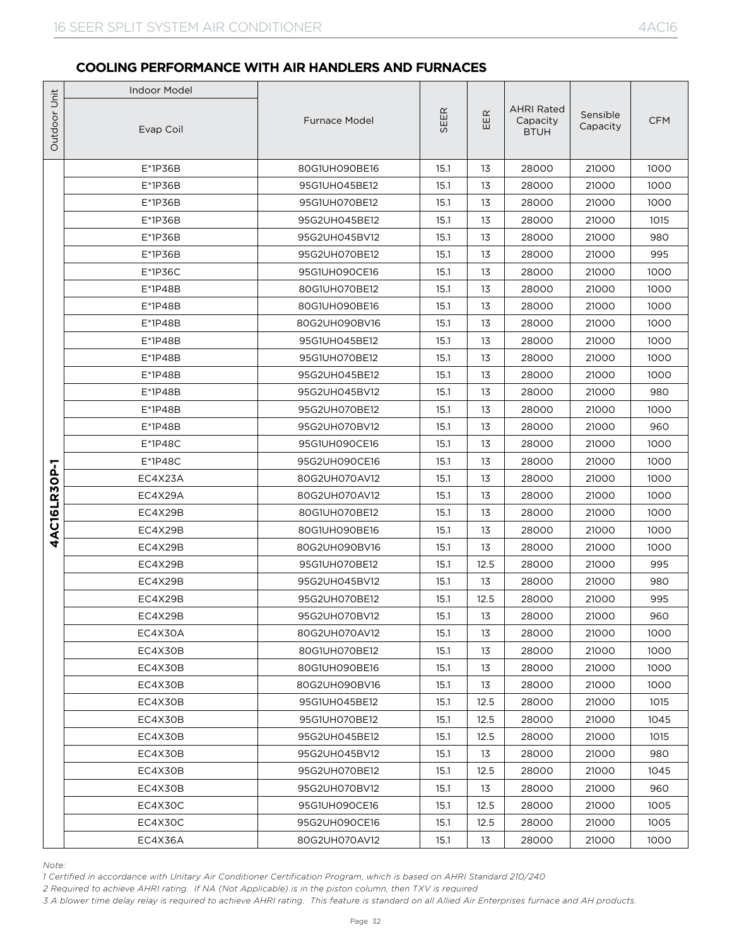|                                  | <b>Indoor Model</b>                                                                                                                                                                                                                                                                                                                                                                 |                                |              |          |                                              |                      |             |
|----------------------------------|-------------------------------------------------------------------------------------------------------------------------------------------------------------------------------------------------------------------------------------------------------------------------------------------------------------------------------------------------------------------------------------|--------------------------------|--------------|----------|----------------------------------------------|----------------------|-------------|
|                                  | Evap Coil                                                                                                                                                                                                                                                                                                                                                                           | <b>Furnace Model</b>           | SEER         | EER      | <b>AHRI Rated</b><br>Capacity<br><b>BTUH</b> | Sensible<br>Capacity | <b>CFM</b>  |
|                                  | E*1P36B                                                                                                                                                                                                                                                                                                                                                                             | 80G1UH090BE16                  | 15.1         | 13       | 28000                                        | 21000                | 1000        |
| Outdoor Unit<br>AC16LR30P-1<br>Ā | E*1P36B                                                                                                                                                                                                                                                                                                                                                                             | 95G1UH045BE12                  | 15.1         | 13       | 28000                                        | 21000                | 1000        |
|                                  | E*1P36B                                                                                                                                                                                                                                                                                                                                                                             | 95G1UH070BE12                  | 15.1         | 13       | 28000                                        | 21000                | 1000        |
|                                  | E*1P36B                                                                                                                                                                                                                                                                                                                                                                             | 95G2UH045BE12                  | 15.1         | 13       | 28000                                        | 21000                | 1015        |
|                                  | E*1P36B                                                                                                                                                                                                                                                                                                                                                                             | 95G2UH045BV12                  | 15.1         | 13       | 28000                                        | 21000                | 980         |
|                                  | E*1P36B                                                                                                                                                                                                                                                                                                                                                                             | 95G2UH070BE12                  | 15.1         | 13       | 28000                                        | 21000                | 995         |
|                                  | E*1P36C                                                                                                                                                                                                                                                                                                                                                                             | 95G1UH090CE16                  | 15.1         | 13       | 28000                                        | 21000                | 1000        |
|                                  | E*1P48B                                                                                                                                                                                                                                                                                                                                                                             | 80G1UH070BE12                  | 15.1         | 13       | 28000                                        | 21000                | 1000        |
|                                  | E*1P48B                                                                                                                                                                                                                                                                                                                                                                             | 80G1UH090BE16                  | 15.1         | 13       | 28000                                        | 21000                | 1000        |
|                                  | E*1P48B                                                                                                                                                                                                                                                                                                                                                                             | 80G2UH090BV16                  | 15.1         | 13       | 28000                                        | 21000                | 1000        |
|                                  | E*1P48B                                                                                                                                                                                                                                                                                                                                                                             | 95G1UH045BE12                  | 15.1         | 13       | 28000                                        | 21000                | 1000        |
|                                  | E*1P48B                                                                                                                                                                                                                                                                                                                                                                             | 95G1UH070BE12                  | 15.1         | 13       | 28000                                        | 21000                | 1000        |
|                                  | E*1P48B                                                                                                                                                                                                                                                                                                                                                                             | 95G2UH045BE12                  | 15.1         | 13       | 28000                                        | 21000                | 1000        |
|                                  | $E*1P48B$<br>E*1P48B                                                                                                                                                                                                                                                                                                                                                                | 95G2UH045BV12<br>95G2UH070BE12 | 15.1<br>15.1 | 13<br>13 | 28000<br>28000                               | 21000<br>21000       | 980<br>1000 |
|                                  | E*1P48B                                                                                                                                                                                                                                                                                                                                                                             | 95G2UH070BV12                  | 15.1         | 13       | 28000                                        | 21000                | 960         |
|                                  | E*1P48C                                                                                                                                                                                                                                                                                                                                                                             | 95G1UH090CE16                  | 15.1         | 13       | 28000                                        | 21000                | 1000        |
|                                  | $E*1P48C$                                                                                                                                                                                                                                                                                                                                                                           | 95G2UH090CE16                  | 15.1         | 13       | 28000                                        | 21000                | 1000        |
|                                  | EC4X23A                                                                                                                                                                                                                                                                                                                                                                             | 80G2UH070AV12                  | 15.1         | 13       | 28000                                        | 21000                | 1000        |
|                                  | EC4X29A                                                                                                                                                                                                                                                                                                                                                                             | 80G2UH070AV12                  | 15.1         | 13       | 28000                                        | 21000                | 1000        |
|                                  | EC4X29B                                                                                                                                                                                                                                                                                                                                                                             | 80G1UH070BE12                  | 15.1         | 13       | 28000                                        | 21000                | 1000        |
|                                  | EC4X29B                                                                                                                                                                                                                                                                                                                                                                             | 80G1UH090BE16                  | 15.1         | 13       | 28000                                        | 21000                | 1000        |
|                                  | EC4X29B                                                                                                                                                                                                                                                                                                                                                                             | 80G2UH090BV16                  | 15.1         | 13       | 28000                                        | 21000                | 1000        |
|                                  | EC4X29B                                                                                                                                                                                                                                                                                                                                                                             | 95G1UH070BE12                  | 15.1         | 12.5     | 28000                                        | 21000                | 995         |
|                                  | EC4X29B                                                                                                                                                                                                                                                                                                                                                                             | 95G2UH045BV12                  | 15.1         | 13       | 28000                                        | 21000                | 980         |
|                                  | EC4X29B                                                                                                                                                                                                                                                                                                                                                                             | 95G2UH070BE12                  | 15.1         | 12.5     | 28000                                        | 21000                | 995         |
|                                  | EC4X29B                                                                                                                                                                                                                                                                                                                                                                             | 95G2UH070BV12                  | 15.1         | 13       | 28000                                        | 21000                | 960         |
|                                  | EC4X30A                                                                                                                                                                                                                                                                                                                                                                             | 80G2UH070AV12                  | 15.1         | 13       | 28000                                        | 21000                | 1000        |
|                                  | EC4X30B                                                                                                                                                                                                                                                                                                                                                                             | 80G1UH070BE12                  | 15.1         | 13       | 28000                                        | 21000                | 1000        |
|                                  | EC4X30B                                                                                                                                                                                                                                                                                                                                                                             | 80G1UH090BE16                  | 15.1         | 13       | 28000                                        | 21000                | 1000        |
|                                  | EC4X30B                                                                                                                                                                                                                                                                                                                                                                             | 80G2UH090BV16                  | 15.1         | 13       | 28000                                        | 21000                | 1000        |
|                                  | EC4X30B                                                                                                                                                                                                                                                                                                                                                                             | 95G1UH045BE12                  | 15.1         | 12.5     | 28000                                        | 21000                | 1015        |
|                                  | EC4X30B                                                                                                                                                                                                                                                                                                                                                                             | 95G1UH070BE12                  | 15.1         | 12.5     | 28000                                        | 21000                | 1045        |
|                                  | EC4X30B                                                                                                                                                                                                                                                                                                                                                                             | 95G2UH045BE12                  | 15.1         | 12.5     | 28000                                        | 21000                | 1015        |
|                                  | EC4X30B                                                                                                                                                                                                                                                                                                                                                                             | 95G2UH045BV12                  | 15.1         | 13       | 28000                                        | 21000                | 980         |
|                                  | EC4X30B                                                                                                                                                                                                                                                                                                                                                                             | 95G2UH070BE12                  | 15.1         | 12.5     | 28000                                        | 21000                | 1045        |
|                                  | EC4X30B                                                                                                                                                                                                                                                                                                                                                                             | 95G2UH070BV12                  | 15.1         | 13       | 28000                                        | 21000                | 960         |
|                                  | EC4X30C                                                                                                                                                                                                                                                                                                                                                                             | 95G1UH090CE16                  | 15.1         | 12.5     | 28000                                        | 21000                | 1005        |
|                                  | EC4X30C                                                                                                                                                                                                                                                                                                                                                                             | 95G2UH090CE16                  | 15.1         | 12.5     | 28000                                        | 21000                | 1005        |
|                                  | EC4X36A                                                                                                                                                                                                                                                                                                                                                                             | 80G2UH070AV12                  | 15.1         | 13       | 28000                                        | 21000                | 1000        |
| Note:                            | 1 Certified in accordance with Unitary Air Conditioner Certification Program, which is based on AHRI Standard 210/240<br>2 Required to achieve AHRI rating. If NA (Not Applicable) is in the piston column, then TXV is required<br>3 A blower time delay relay is required to achieve AHRI rating. This feature is standard on all Allied Air Enterprises furnace and AH products. |                                |              |          |                                              |                      |             |

*Note:*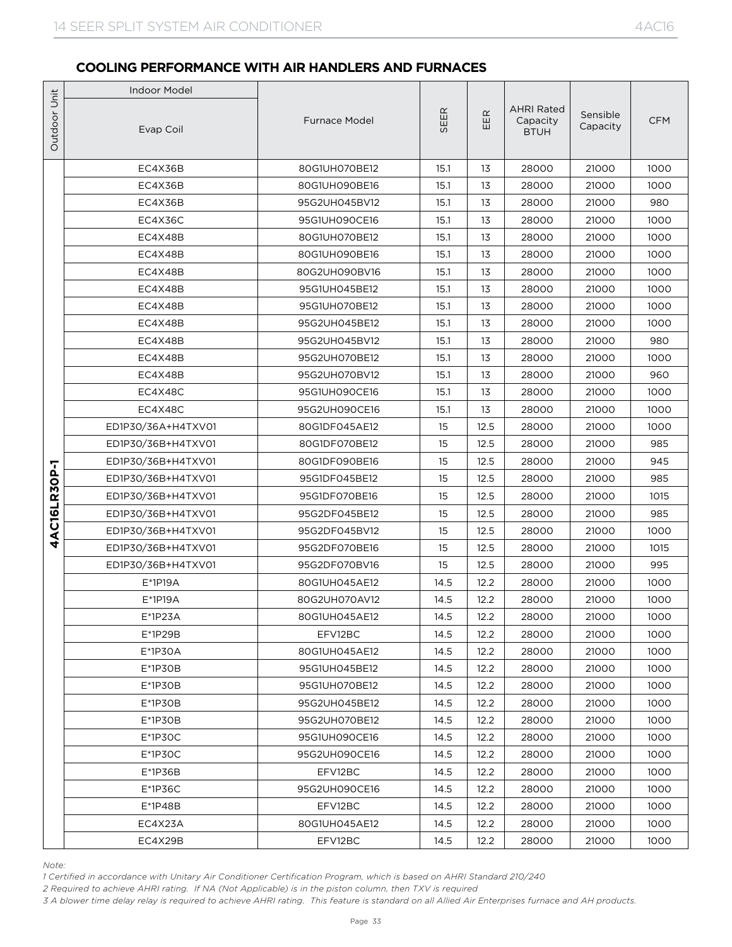|                                  | <b>Indoor Model</b>                                                                                                                                                                                                                                                                                                                                                                 |                                |          |              |                                              |                      |             |
|----------------------------------|-------------------------------------------------------------------------------------------------------------------------------------------------------------------------------------------------------------------------------------------------------------------------------------------------------------------------------------------------------------------------------------|--------------------------------|----------|--------------|----------------------------------------------|----------------------|-------------|
|                                  | Evap Coil                                                                                                                                                                                                                                                                                                                                                                           | <b>Furnace Model</b>           | SEER     | EER          | <b>AHRI Rated</b><br>Capacity<br><b>BTUH</b> | Sensible<br>Capacity | <b>CFM</b>  |
|                                  | EC4X36B                                                                                                                                                                                                                                                                                                                                                                             | 80G1UH070BE12                  | 15.1     | 13           | 28000                                        | 21000                | 1000        |
| Outdoor Unit<br>AC16LR30P-1<br>4 | EC4X36B                                                                                                                                                                                                                                                                                                                                                                             | 80G1UH090BE16                  | 15.1     | 13           | 28000                                        | 21000                | 1000        |
|                                  | EC4X36B                                                                                                                                                                                                                                                                                                                                                                             | 95G2UH045BV12                  | 15.1     | 13           | 28000                                        | 21000                | 980         |
|                                  | EC4X36C                                                                                                                                                                                                                                                                                                                                                                             | 95G1UH090CE16                  | 15.1     | 13           | 28000                                        | 21000                | 1000        |
|                                  | EC4X48B                                                                                                                                                                                                                                                                                                                                                                             | 80G1UH070BE12                  | 15.1     | 13           | 28000                                        | 21000                | 1000        |
|                                  | EC4X48B                                                                                                                                                                                                                                                                                                                                                                             | 80G1UH090BE16                  | 15.1     | 13           | 28000                                        | 21000                | 1000        |
|                                  | EC4X48B                                                                                                                                                                                                                                                                                                                                                                             | 80G2UH090BV16                  | 15.1     | 13           | 28000                                        | 21000                | 1000        |
|                                  | EC4X48B                                                                                                                                                                                                                                                                                                                                                                             | 95G1UH045BE12                  | 15.1     | 13           | 28000                                        | 21000                | 1000        |
|                                  | EC4X48B                                                                                                                                                                                                                                                                                                                                                                             | 95G1UH070BE12                  | 15.1     | 13           | 28000                                        | 21000                | 1000        |
|                                  | EC4X48B                                                                                                                                                                                                                                                                                                                                                                             | 95G2UH045BE12                  | 15.1     | 13           | 28000                                        | 21000                | 1000        |
|                                  | EC4X48B                                                                                                                                                                                                                                                                                                                                                                             | 95G2UH045BV12                  | 15.1     | 13           | 28000                                        | 21000                | 980         |
|                                  | EC4X48B                                                                                                                                                                                                                                                                                                                                                                             | 95G2UH070BE12                  | 15.1     | 13           | 28000                                        | 21000                | 1000        |
|                                  | EC4X48B                                                                                                                                                                                                                                                                                                                                                                             | 95G2UH070BV12                  | 15.1     | 13           | 28000                                        | 21000                | 960         |
|                                  | EC4X48C                                                                                                                                                                                                                                                                                                                                                                             | 95G1UH090CE16                  | 15.1     | 13           | 28000                                        | 21000                | 1000        |
|                                  | EC4X48C                                                                                                                                                                                                                                                                                                                                                                             | 95G2UH090CE16                  | 15.1     | 13           | 28000                                        | 21000                | 1000        |
|                                  | ED1P30/36A+H4TXV01                                                                                                                                                                                                                                                                                                                                                                  | 80G1DF045AE12                  | 15       | 12.5         | 28000                                        | 21000                | 1000        |
|                                  | ED1P30/36B+H4TXV01                                                                                                                                                                                                                                                                                                                                                                  | 80G1DF070BE12                  | 15       | 12.5         | 28000                                        | 21000                | 985         |
|                                  | ED1P30/36B+H4TXV01                                                                                                                                                                                                                                                                                                                                                                  | 80G1DF090BE16                  | 15       | 12.5<br>12.5 | 28000                                        | 21000                | 945<br>985  |
|                                  | ED1P30/36B+H4TXV01                                                                                                                                                                                                                                                                                                                                                                  | 95G1DF045BE12                  | 15       |              | 28000                                        | 21000                |             |
|                                  | ED1P30/36B+H4TXV01<br>ED1P30/36B+H4TXV01                                                                                                                                                                                                                                                                                                                                            | 95G1DF070BE16<br>95G2DF045BE12 | 15<br>15 | 12.5<br>12.5 | 28000<br>28000                               | 21000<br>21000       | 1015<br>985 |
|                                  | ED1P30/36B+H4TXV01                                                                                                                                                                                                                                                                                                                                                                  | 95G2DF045BV12                  | 15       | 12.5         | 28000                                        | 21000                | 1000        |
|                                  | ED1P30/36B+H4TXV01                                                                                                                                                                                                                                                                                                                                                                  | 95G2DF070BE16                  | 15       | 12.5         | 28000                                        | 21000                | 1015        |
|                                  | ED1P30/36B+H4TXV01                                                                                                                                                                                                                                                                                                                                                                  | 95G2DF070BV16                  | 15       | 12.5         | 28000                                        | 21000                | 995         |
|                                  | $E*1P19A$                                                                                                                                                                                                                                                                                                                                                                           | 80G1UH045AE12                  | 14.5     | 12.2         | 28000                                        | 21000                | 1000        |
|                                  | $E*1P19A$                                                                                                                                                                                                                                                                                                                                                                           | 80G2UH070AV12                  | 14.5     | 12.2         | 28000                                        | 21000                | 1000        |
|                                  | E*1P23A                                                                                                                                                                                                                                                                                                                                                                             | 80G1UH045AE12                  | 14.5     | 12.2         | 28000                                        | 21000                | 1000        |
|                                  | $E^*$ 1P29B                                                                                                                                                                                                                                                                                                                                                                         | EFV12BC                        | 14.5     | 12.2         | 28000                                        | 21000                | 1000        |
|                                  | E*1P30A                                                                                                                                                                                                                                                                                                                                                                             | 80G1UH045AE12                  | 14.5     | 12.2         | 28000                                        | 21000                | 1000        |
|                                  | $E^*$ 1P30B                                                                                                                                                                                                                                                                                                                                                                         | 95G1UH045BE12                  | 14.5     | 12.2         | 28000                                        | 21000                | 1000        |
|                                  | $E*1P3OB$                                                                                                                                                                                                                                                                                                                                                                           | 95G1UH070BE12                  | 14.5     | 12.2         | 28000                                        | 21000                | 1000        |
|                                  | $E*1P3OB$                                                                                                                                                                                                                                                                                                                                                                           | 95G2UH045BE12                  | 14.5     | 12.2         | 28000                                        | 21000                | 1000        |
|                                  | $E^*$ 1P30B                                                                                                                                                                                                                                                                                                                                                                         | 95G2UH070BE12                  | 14.5     | 12.2         | 28000                                        | 21000                | 1000        |
|                                  | $E*1P3OC$                                                                                                                                                                                                                                                                                                                                                                           | 95G1UH090CE16                  | 14.5     | 12.2         | 28000                                        | 21000                | 1000        |
|                                  | $E^*$ 1P30C                                                                                                                                                                                                                                                                                                                                                                         | 95G2UH090CE16                  | 14.5     | 12.2         | 28000                                        | 21000                | 1000        |
|                                  | E*1P36B                                                                                                                                                                                                                                                                                                                                                                             | EFV12BC                        | 14.5     | 12.2         | 28000                                        | 21000                | 1000        |
|                                  | E*1P36C                                                                                                                                                                                                                                                                                                                                                                             | 95G2UH090CE16                  | 14.5     | 12.2         | 28000                                        | 21000                | 1000        |
|                                  | E*1P48B                                                                                                                                                                                                                                                                                                                                                                             | EFV12BC                        | 14.5     | 12.2         | 28000                                        | 21000                | 1000        |
|                                  | EC4X23A                                                                                                                                                                                                                                                                                                                                                                             | 80G1UH045AE12                  | 14.5     | 12.2         | 28000                                        | 21000                | 1000        |
|                                  | EC4X29B                                                                                                                                                                                                                                                                                                                                                                             | EFV12BC                        | 14.5     | 12.2         | 28000                                        | 21000                | 1000        |
| Note:                            | 1 Certified in accordance with Unitary Air Conditioner Certification Program, which is based on AHRI Standard 210/240<br>2 Required to achieve AHRI rating. If NA (Not Applicable) is in the piston column, then TXV is required<br>3 A blower time delay relay is required to achieve AHRI rating. This feature is standard on all Allied Air Enterprises furnace and AH products. |                                |          |              |                                              |                      |             |

*Note:*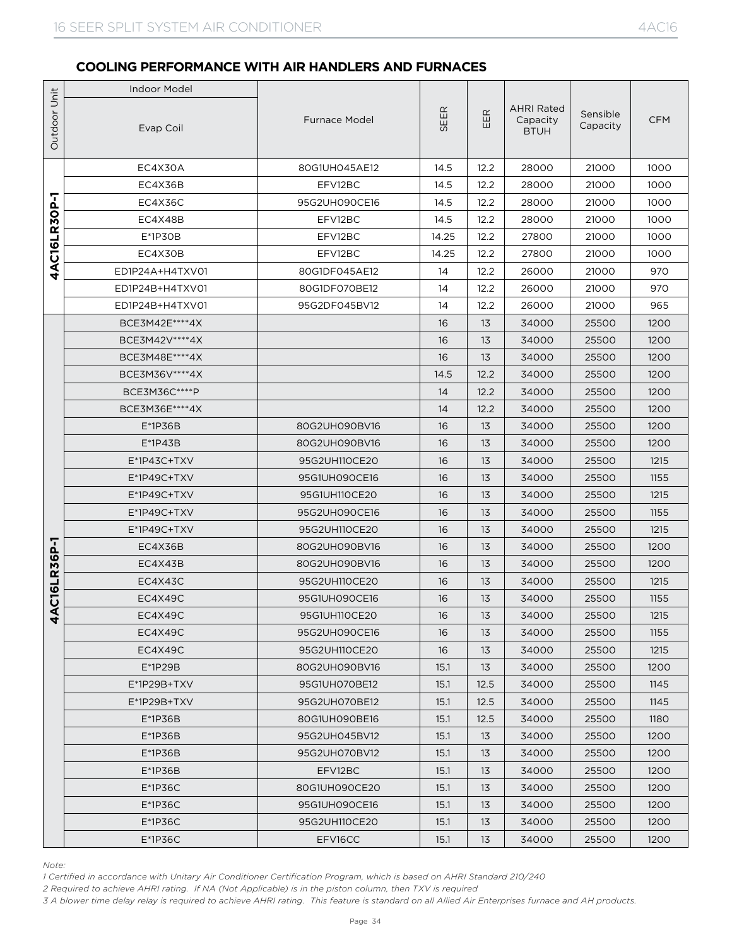|                        | <b>Indoor Model</b>                                                                                                                                                                                                                                                                                                                                                                 |               |       |            |                                              |                      |            |
|------------------------|-------------------------------------------------------------------------------------------------------------------------------------------------------------------------------------------------------------------------------------------------------------------------------------------------------------------------------------------------------------------------------------|---------------|-------|------------|----------------------------------------------|----------------------|------------|
| Outdoor Unit           | Evap Coil                                                                                                                                                                                                                                                                                                                                                                           | Furnace Model | SEER  | $E$ R<br>ш | <b>AHRI Rated</b><br>Capacity<br><b>BTUH</b> | Sensible<br>Capacity | <b>CFM</b> |
|                        | EC4X30A                                                                                                                                                                                                                                                                                                                                                                             | 80G1UH045AE12 | 14.5  | 12.2       | 28000                                        | 21000                | 1000       |
|                        | EC4X36B                                                                                                                                                                                                                                                                                                                                                                             | EFV12BC       | 14.5  | 12.2       | 28000                                        | 21000                | 1000       |
| 7                      | EC4X36C                                                                                                                                                                                                                                                                                                                                                                             | 95G2UH090CE16 | 14.5  | 12.2       | 28000                                        | 21000                | 1000       |
| AC16LR30P              | EC4X48B                                                                                                                                                                                                                                                                                                                                                                             | EFV12BC       | 14.5  | 12.2       | 28000                                        | 21000                | 1000       |
|                        | $E^*$ 1P30B                                                                                                                                                                                                                                                                                                                                                                         | EFV12BC       | 14.25 | 12.2       | 27800                                        | 21000                | 1000       |
|                        | EC4X30B                                                                                                                                                                                                                                                                                                                                                                             | EFV12BC       | 14.25 | 12.2       | 27800                                        | 21000                | 1000       |
| 4                      | ED1P24A+H4TXV01                                                                                                                                                                                                                                                                                                                                                                     | 80G1DF045AE12 | 14    | 12.2       | 26000                                        | 21000                | 970        |
|                        | ED1P24B+H4TXV01                                                                                                                                                                                                                                                                                                                                                                     | 80G1DF070BE12 | 14    | 12.2       | 26000                                        | 21000                | 970        |
|                        | ED1P24B+H4TXV01                                                                                                                                                                                                                                                                                                                                                                     | 95G2DF045BV12 | 14    | 12.2       | 26000                                        | 21000                | 965        |
|                        | BCE3M42E****4X                                                                                                                                                                                                                                                                                                                                                                      |               | 16    | 13         | 34000                                        | 25500                | 1200       |
|                        | BCE3M42V **** 4X                                                                                                                                                                                                                                                                                                                                                                    |               | 16    | 13         | 34000                                        | 25500                | 1200       |
|                        | BCE3M48E****4X                                                                                                                                                                                                                                                                                                                                                                      |               | 16    | 13         | 34000                                        | 25500                | 1200       |
|                        | BCE3M36V****4X                                                                                                                                                                                                                                                                                                                                                                      |               | 14.5  | 12.2       | 34000                                        | 25500                | 1200       |
|                        | BCE3M36C****P                                                                                                                                                                                                                                                                                                                                                                       |               | 14    | 12.2       | 34000                                        | 25500                | 1200       |
|                        | BCE3M36E****4X                                                                                                                                                                                                                                                                                                                                                                      |               | 14    | 12.2       | 34000                                        | 25500                | 1200       |
|                        | $E*1P36B$                                                                                                                                                                                                                                                                                                                                                                           | 80G2UH090BV16 | 16    | 13         | 34000                                        | 25500                | 1200       |
|                        | $E^*$ 1P43B                                                                                                                                                                                                                                                                                                                                                                         | 80G2UH090BV16 | 16    | 13         | 34000                                        | 25500                | 1200       |
|                        | $E^*$ 1P43C+TXV                                                                                                                                                                                                                                                                                                                                                                     | 95G2UH110CE20 | 16    | 13         | 34000                                        | 25500                | 1215       |
|                        | E*1P49C+TXV                                                                                                                                                                                                                                                                                                                                                                         | 95G1UH090CE16 | 16    | 13         | 34000                                        | 25500                | 1155       |
|                        | $E^*$ 1P49C+TXV                                                                                                                                                                                                                                                                                                                                                                     | 95G1UH110CE20 | 16    | 13         | 34000                                        | 25500                | 1215       |
|                        | E*1P49C+TXV                                                                                                                                                                                                                                                                                                                                                                         | 95G2UH090CE16 | 16    | 13         | 34000                                        | 25500                | 1155       |
|                        | E*1P49C+TXV                                                                                                                                                                                                                                                                                                                                                                         | 95G2UH110CE20 | 16    | 13         | 34000                                        | 25500                | 1215       |
| 6P-1<br>R <sub>3</sub> | EC4X36B                                                                                                                                                                                                                                                                                                                                                                             | 80G2UH090BV16 | 16    | 13         | 34000                                        | 25500                | 1200       |
|                        | EC4X43B                                                                                                                                                                                                                                                                                                                                                                             | 80G2UH090BV16 | 16    | 13         | 34000                                        | 25500                | 1200       |
| <b>LISLI</b>           | EC4X43C                                                                                                                                                                                                                                                                                                                                                                             | 95G2UH110CE20 | 16    | 13         | 34000                                        | 25500                | 1215       |
|                        | EC4X49C                                                                                                                                                                                                                                                                                                                                                                             | 95G1UH090CE16 | 16    | 13         | 34000                                        | 25500                | 1155       |
| ∢<br>4                 | EC4X49C                                                                                                                                                                                                                                                                                                                                                                             | 95G1UH110CE20 | 16    | 13         | 34000                                        | 25500                | 1215       |
|                        | EC4X49C                                                                                                                                                                                                                                                                                                                                                                             | 95G2UH090CE16 | 16    | 13         | 34000                                        | 25500                | 1155       |
|                        | EC4X49C                                                                                                                                                                                                                                                                                                                                                                             | 95G2UH110CE20 | 16    | 13         | 34000                                        | 25500                | 1215       |
|                        | $E*1P29B$                                                                                                                                                                                                                                                                                                                                                                           | 80G2UH090BV16 | 15.1  | 13         | 34000                                        | 25500                | 1200       |
|                        | $E^*$ 1P29B+TXV                                                                                                                                                                                                                                                                                                                                                                     | 95G1UH070BE12 | 15.1  | 12.5       | 34000                                        | 25500                | 1145       |
|                        | E*1P29B+TXV                                                                                                                                                                                                                                                                                                                                                                         | 95G2UH070BE12 | 15.1  | 12.5       | 34000                                        | 25500                | 1145       |
|                        | $E*1P36B$                                                                                                                                                                                                                                                                                                                                                                           | 80G1UH090BE16 | 15.1  | 12.5       | 34000                                        | 25500                | 1180       |
|                        | $E*1P36B$                                                                                                                                                                                                                                                                                                                                                                           | 95G2UH045BV12 | 15.1  | 13         | 34000                                        | 25500                | 1200       |
|                        | $E*1P36B$                                                                                                                                                                                                                                                                                                                                                                           | 95G2UH070BV12 | 15.1  | 13         | 34000                                        | 25500                | 1200       |
|                        | $E^*$ 1P36B                                                                                                                                                                                                                                                                                                                                                                         | EFV12BC       | 15.1  | 13         | 34000                                        | 25500                | 1200       |
|                        | $E*1P36C$                                                                                                                                                                                                                                                                                                                                                                           | 80G1UH090CE20 | 15.1  | 13         | 34000                                        | 25500                | 1200       |
|                        | $E^*$ 1P36C                                                                                                                                                                                                                                                                                                                                                                         | 95G1UH090CE16 | 15.1  | 13         | 34000                                        | 25500                | 1200       |
|                        | $E*1P36C$                                                                                                                                                                                                                                                                                                                                                                           | 95G2UH110CE20 | 15.1  | 13         | 34000                                        | 25500                | 1200       |
|                        | $E^*$ 1P36C                                                                                                                                                                                                                                                                                                                                                                         | EFV16CC       | 15.1  | 13         | 34000                                        | 25500                | 1200       |
| Note:                  | 1 Certified in accordance with Unitary Air Conditioner Certification Program, which is based on AHRI Standard 210/240<br>2 Required to achieve AHRI rating. If NA (Not Applicable) is in the piston column, then TXV is required<br>3 A blower time delay relay is required to achieve AHRI rating. This feature is standard on all Allied Air Enterprises furnace and AH products. |               |       |            |                                              |                      |            |

*Note:*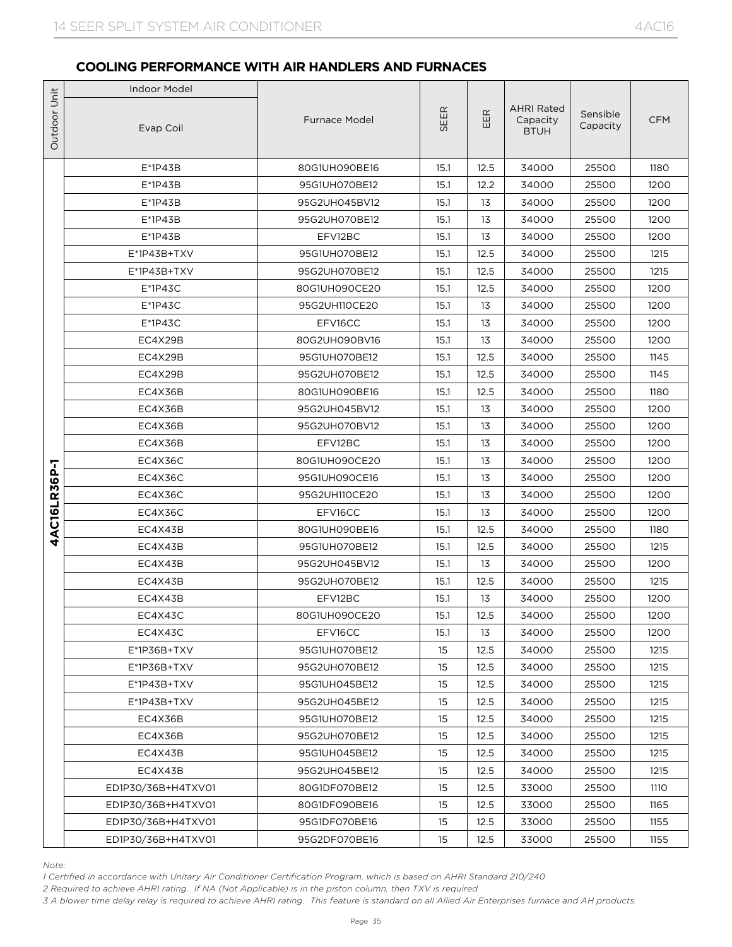|              | <b>Indoor Model</b>                                                                                                                                                                                                                                                                                                                                                                 |                                |              |            |                                              |                      |              |
|--------------|-------------------------------------------------------------------------------------------------------------------------------------------------------------------------------------------------------------------------------------------------------------------------------------------------------------------------------------------------------------------------------------|--------------------------------|--------------|------------|----------------------------------------------|----------------------|--------------|
| Outdoor Unit | Evap Coil                                                                                                                                                                                                                                                                                                                                                                           | <b>Furnace Model</b>           | SEER         | EER        | <b>AHRI Rated</b><br>Capacity<br><b>BTUH</b> | Sensible<br>Capacity | <b>CFM</b>   |
|              | $E^*$ 1P43B                                                                                                                                                                                                                                                                                                                                                                         | 80G1UH090BE16                  | 15.1         | 12.5       | 34000                                        | 25500                | 1180         |
|              | E*1P43B                                                                                                                                                                                                                                                                                                                                                                             | 95G1UH070BE12                  | 15.1         | 12.2       | 34000                                        | 25500                | 1200         |
|              | $E^*$ 1P43B                                                                                                                                                                                                                                                                                                                                                                         | 95G2UH045BV12                  | 15.1         | 13         | 34000                                        | 25500                | 1200         |
|              | $E*1P43B$                                                                                                                                                                                                                                                                                                                                                                           | 95G2UH070BE12                  | 15.1         | 13         | 34000                                        | 25500                | 1200         |
|              | $E^*$ 1P43B                                                                                                                                                                                                                                                                                                                                                                         | EFV12BC                        | 15.1         | 13         | 34000                                        | 25500                | 1200         |
|              | $E^*$ 1P43B+TXV                                                                                                                                                                                                                                                                                                                                                                     | 95G1UH070BE12                  | 15.1         | 12.5       | 34000                                        | 25500                | 1215         |
|              | E*1P43B+TXV                                                                                                                                                                                                                                                                                                                                                                         | 95G2UH070BE12                  | 15.1         | 12.5       | 34000                                        | 25500                | 1215         |
|              | $E*1P43C$                                                                                                                                                                                                                                                                                                                                                                           | 80G1UH090CE20                  | 15.1         | 12.5       | 34000                                        | 25500                | 1200         |
|              | $E*1P43C$                                                                                                                                                                                                                                                                                                                                                                           | 95G2UH110CE20                  | 15.1         | 13         | 34000                                        | 25500                | 1200         |
|              | $E*1P43C$                                                                                                                                                                                                                                                                                                                                                                           | EFV16CC                        | 15.1         | 13         | 34000                                        | 25500                | 1200         |
|              | EC4X29B                                                                                                                                                                                                                                                                                                                                                                             | 80G2UH090BV16                  | 15.1         | 13         | 34000                                        | 25500                | 1200         |
|              | EC4X29B                                                                                                                                                                                                                                                                                                                                                                             | 95G1UH070BE12                  | 15.1         | 12.5       | 34000                                        | 25500                | 1145         |
|              | EC4X29B                                                                                                                                                                                                                                                                                                                                                                             | 95G2UH070BE12                  | 15.1         | 12.5       | 34000                                        | 25500                | 1145         |
|              | EC4X36B                                                                                                                                                                                                                                                                                                                                                                             | 80G1UH090BE16                  | 15.1         | 12.5       | 34000                                        | 25500                | 1180         |
|              | EC4X36B                                                                                                                                                                                                                                                                                                                                                                             | 95G2UH045BV12                  | 15.1         | 13         | 34000                                        | 25500                | 1200         |
|              | EC4X36B                                                                                                                                                                                                                                                                                                                                                                             | 95G2UH070BV12                  | 15.1         | 13         | 34000                                        | 25500                | 1200         |
|              | EC4X36B                                                                                                                                                                                                                                                                                                                                                                             | EFV12BC                        | 15.1         | 13         | 34000                                        | 25500                | 1200         |
|              | EC4X36C                                                                                                                                                                                                                                                                                                                                                                             | 80G1UH090CE20                  | 15.1         | 13         | 34000                                        | 25500                | 1200         |
|              | EC4X36C                                                                                                                                                                                                                                                                                                                                                                             | 95G1UH090CE16                  | 15.1         | 13         | 34000                                        | 25500                | 1200         |
|              | EC4X36C                                                                                                                                                                                                                                                                                                                                                                             | 95G2UH110CE20                  | 15.1         | 13         | 34000                                        | 25500                | 1200         |
| AC16LR36P-1  | EC4X36C                                                                                                                                                                                                                                                                                                                                                                             | EFV16CC                        | 15.1         | 13         | 34000                                        | 25500                | 1200         |
| 4            | EC4X43B                                                                                                                                                                                                                                                                                                                                                                             | 80G1UH090BE16<br>95G1UH070BE12 | 15.1         | 12.5       | 34000                                        | 25500                | 1180         |
|              | EC4X43B                                                                                                                                                                                                                                                                                                                                                                             |                                | 15.1         | 12.5       | 34000                                        | 25500                | 1215         |
|              | EC4X43B                                                                                                                                                                                                                                                                                                                                                                             | 95G2UH045BV12                  | 15.1         | 13         | 34000                                        | 25500                | 1200         |
|              | EC4X43B<br>EC4X43B                                                                                                                                                                                                                                                                                                                                                                  | 95G2UH070BE12<br>EFV12BC       | 15.1<br>15.1 | 12.5<br>13 | 34000<br>34000                               | 25500<br>25500       | 1215<br>1200 |
|              | EC4X43C                                                                                                                                                                                                                                                                                                                                                                             | 80G1UH090CE20                  | 15.1         | 12.5       | 34000                                        | 25500                | 1200         |
|              | EC4X43C                                                                                                                                                                                                                                                                                                                                                                             | EFV16CC                        | 15.1         | 13         | 34000                                        | 25500                | 1200         |
|              | E*1P36B+TXV                                                                                                                                                                                                                                                                                                                                                                         | 95G1UH070BE12                  | 15           | 12.5       | 34000                                        | 25500                | 1215         |
|              | $E^*$ 1P36B+TXV                                                                                                                                                                                                                                                                                                                                                                     | 95G2UH070BE12                  | 15           | 12.5       | 34000                                        | 25500                | 1215         |
|              | $E^*$ 1P43B+TXV                                                                                                                                                                                                                                                                                                                                                                     | 95G1UH045BE12                  | 15           | 12.5       | 34000                                        | 25500                | 1215         |
|              | $E^*$ 1P43B+TXV                                                                                                                                                                                                                                                                                                                                                                     | 95G2UH045BE12                  | 15           | 12.5       | 34000                                        | 25500                | 1215         |
|              | EC4X36B                                                                                                                                                                                                                                                                                                                                                                             | 95G1UH070BE12                  | 15           | 12.5       | 34000                                        | 25500                | 1215         |
|              | EC4X36B                                                                                                                                                                                                                                                                                                                                                                             | 95G2UH070BE12                  | 15           | 12.5       | 34000                                        | 25500                | 1215         |
|              | EC4X43B                                                                                                                                                                                                                                                                                                                                                                             | 95G1UH045BE12                  | 15           | 12.5       | 34000                                        | 25500                | 1215         |
|              | EC4X43B                                                                                                                                                                                                                                                                                                                                                                             | 95G2UH045BE12                  | 15           | 12.5       | 34000                                        | 25500                | 1215         |
|              | ED1P30/36B+H4TXV01                                                                                                                                                                                                                                                                                                                                                                  | 80G1DF070BE12                  | 15           | 12.5       | 33000                                        | 25500                | <b>1110</b>  |
|              | ED1P30/36B+H4TXV01                                                                                                                                                                                                                                                                                                                                                                  | 80G1DF090BE16                  | 15           | 12.5       | 33000                                        | 25500                | 1165         |
|              | ED1P30/36B+H4TXV01                                                                                                                                                                                                                                                                                                                                                                  | 95G1DF070BE16                  | 15           | 12.5       | 33000                                        | 25500                | 1155         |
|              | ED1P30/36B+H4TXV01                                                                                                                                                                                                                                                                                                                                                                  | 95G2DF070BE16                  | 15           | 12.5       | 33000                                        | 25500                | 1155         |
| Note:        | 1 Certified in accordance with Unitary Air Conditioner Certification Program, which is based on AHRI Standard 210/240<br>2 Required to achieve AHRI rating. If NA (Not Applicable) is in the piston column, then TXV is required<br>3 A blower time delay relay is required to achieve AHRI rating. This feature is standard on all Allied Air Enterprises furnace and AH products. |                                |              |            |                                              |                      |              |

*Note:*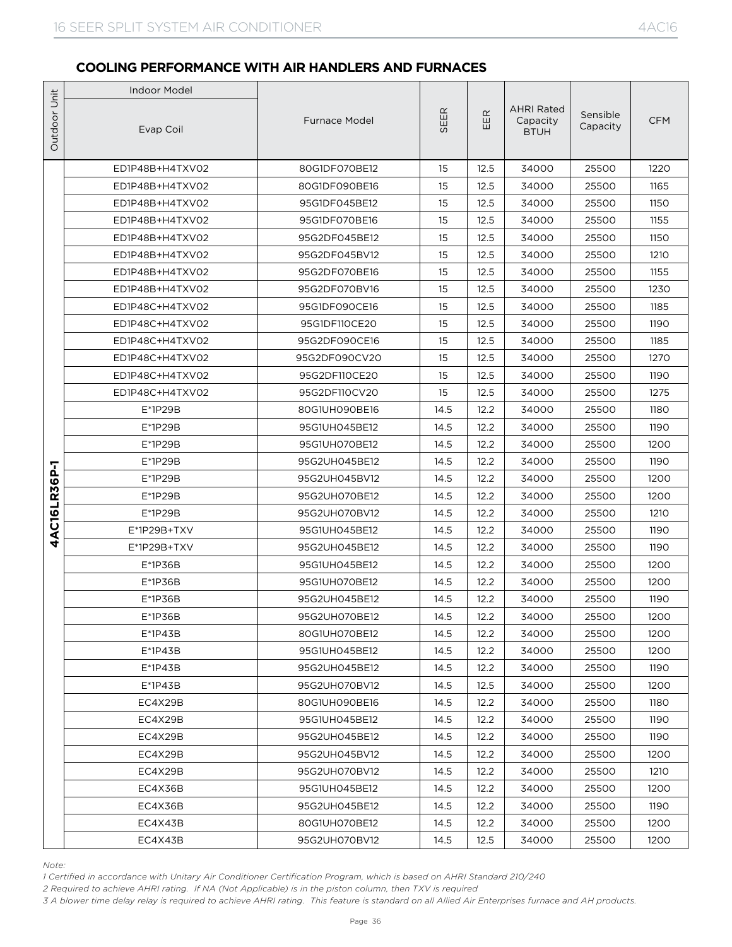|              | <b>Indoor Model</b>                                                                                                                             |                                |              |                |                                              |                      |              |
|--------------|-------------------------------------------------------------------------------------------------------------------------------------------------|--------------------------------|--------------|----------------|----------------------------------------------|----------------------|--------------|
| Outdoor Unit | Evap Coil                                                                                                                                       | <b>Furnace Model</b>           | E<br>5EI     | $\propto$<br>芷 | <b>AHRI Rated</b><br>Capacity<br><b>BTUH</b> | Sensible<br>Capacity | <b>CFM</b>   |
|              | ED1P48B+H4TXV02                                                                                                                                 | 80G1DF070BE12                  | 15           | 12.5           | 34000                                        | 25500                | 1220         |
|              | ED1P48B+H4TXV02                                                                                                                                 | 80G1DF090BE16                  | 15           | 12.5           | 34000                                        | 25500                | 1165         |
|              | ED1P48B+H4TXV02                                                                                                                                 | 95G1DF045BE12                  | 15           | 12.5           | 34000                                        | 25500                | 1150         |
|              | ED1P48B+H4TXV02                                                                                                                                 | 95G1DF070BE16                  | 15           | 12.5           | 34000                                        | 25500                | 1155         |
|              | ED1P48B+H4TXV02                                                                                                                                 | 95G2DF045BE12                  | 15           | 12.5           | 34000                                        | 25500                | 1150         |
|              | ED1P48B+H4TXV02                                                                                                                                 | 95G2DF045BV12                  | 15           | 12.5           | 34000                                        | 25500                | 1210         |
|              | ED1P48B+H4TXV02                                                                                                                                 | 95G2DF070BE16                  | 15           | 12.5           | 34000                                        | 25500                | 1155         |
|              | ED1P48B+H4TXV02                                                                                                                                 | 95G2DF070BV16                  | 15           | 12.5           | 34000                                        | 25500                | 1230         |
|              | ED1P48C+H4TXV02                                                                                                                                 | 95G1DF090CE16                  | 15           | 12.5           | 34000                                        | 25500                | 1185         |
|              | ED1P48C+H4TXV02                                                                                                                                 | 95G1DF110CE20                  | 15           | 12.5           | 34000                                        | 25500                | 1190         |
|              | ED1P48C+H4TXV02                                                                                                                                 | 95G2DF090CE16                  | 15           | 12.5           | 34000                                        | 25500                | 1185         |
|              | ED1P48C+H4TXV02                                                                                                                                 | 95G2DF090CV20                  | 15           | 12.5           | 34000                                        | 25500                | 1270         |
|              | ED1P48C+H4TXV02                                                                                                                                 | 95G2DF110CE20                  | 15           | 12.5           | 34000                                        | 25500                | 1190         |
|              | ED1P48C+H4TXV02                                                                                                                                 | 95G2DF110CV20                  | 15           | 12.5           | 34000                                        | 25500                | 1275         |
|              | E*1P29B                                                                                                                                         | 80G1UH090BE16                  | 14.5         | 12.2           | 34000                                        | 25500                | 1180         |
|              | E*1P29B                                                                                                                                         | 95G1UH045BE12                  | 14.5         | 12.2           | 34000                                        | 25500                | 1190         |
|              | E*1P29B                                                                                                                                         | 95G1UH070BE12                  | 14.5         | 12.2           | 34000                                        | 25500                | 1200         |
|              | E*1P29B                                                                                                                                         | 95G2UH045BE12                  | 14.5         | 12.2           | 34000                                        | 25500                | 1190         |
|              | E*1P29B                                                                                                                                         | 95G2UH045BV12                  | 14.5         | 12.2           | 34000                                        | 25500                | 1200         |
|              | E*1P29B                                                                                                                                         | 95G2UH070BE12                  | 14.5         | 12.2           | 34000                                        | 25500                | 1200         |
| AC16LR36P-1  | $E^*$ 1P29B                                                                                                                                     | 95G2UH070BV12                  | 14.5         | 12.2           | 34000                                        | 25500                | 1210         |
| 4            | E*1P29B+TXV                                                                                                                                     | 95G1UH045BE12                  | 14.5         | 12.2           | 34000                                        | 25500                | 1190         |
|              | $E^*$ 1P29B+TXV                                                                                                                                 | 95G2UH045BE12                  | 14.5         | 12.2           | 34000                                        | 25500                | 1190         |
|              | E*1P36B                                                                                                                                         | 95G1UH045BE12                  | 14.5         | 12.2           | 34000                                        | 25500                | 1200         |
|              | $E*1P36B$                                                                                                                                       | 95G1UH070BE12<br>95G2UH045BE12 | 14.5         | 12.2           | 34000                                        | 25500                | 1200         |
|              | E*1P36B<br>E*1P36B                                                                                                                              | 95G2UH070BE12                  | 14.5<br>14.5 | 12.2<br>12.2   | 34000<br>34000                               | 25500<br>25500       | 1190<br>1200 |
|              | $E^*$ 1P43B                                                                                                                                     | 80G1UH070BE12                  | 14.5         | 12.2           | 34000                                        | 25500                | 1200         |
|              | $E^*$ 1P43B                                                                                                                                     | 95G1UH045BE12                  | 14.5         | 12.2           | 34000                                        | 25500                | 1200         |
|              | E*1P43B                                                                                                                                         | 95G2UH045BE12                  | 14.5         | 12.2           | 34000                                        | 25500                | 1190         |
|              | E*1P43B                                                                                                                                         | 95G2UH070BV12                  | 14.5         | 12.5           | 34000                                        | 25500                | 1200         |
|              | EC4X29B                                                                                                                                         | 80G1UH090BE16                  | 14.5         | 12.2           | 34000                                        | 25500                | 1180         |
|              | EC4X29B                                                                                                                                         | 95G1UH045BE12                  | 14.5         | 12.2           | 34000                                        | 25500                | 1190         |
|              | EC4X29B                                                                                                                                         | 95G2UH045BE12                  | 14.5         | 12.2           | 34000                                        | 25500                | 1190         |
|              | EC4X29B                                                                                                                                         | 95G2UH045BV12                  | 14.5         | 12.2           | 34000                                        | 25500                | 1200         |
|              | EC4X29B                                                                                                                                         | 95G2UH070BV12                  | 14.5         | 12.2           | 34000                                        | 25500                | 1210         |
|              | EC4X36B                                                                                                                                         | 95G1UH045BE12                  | 14.5         | 12.2           | 34000                                        | 25500                | 1200         |
|              | EC4X36B                                                                                                                                         | 95G2UH045BE12                  | 14.5         | 12.2           | 34000                                        | 25500                | 1190         |
|              | EC4X43B                                                                                                                                         | 80G1UH070BE12                  | 14.5         | 12.2           | 34000                                        | 25500                | 1200         |
|              | EC4X43B                                                                                                                                         | 95G2UH070BV12                  | 14.5         | 12.5           | 34000                                        | 25500                | 1200         |
|              |                                                                                                                                                 |                                |              |                |                                              |                      |              |
| Note:        | 1 Certified in accordance with Unitary Air Conditioner Certification Program, which is based on AHRI Standard 210/240                           |                                |              |                |                                              |                      |              |
|              | 2 Required to achieve AHRI rating. If NA (Not Applicable) is in the piston column, then TXV is required                                         |                                |              |                |                                              |                      |              |
|              | 3 A blower time delay relay is required to achieve AHRI rating. This feature is standard on all Allied Air Enterprises furnace and AH products. |                                |              |                |                                              |                      |              |

*Note:*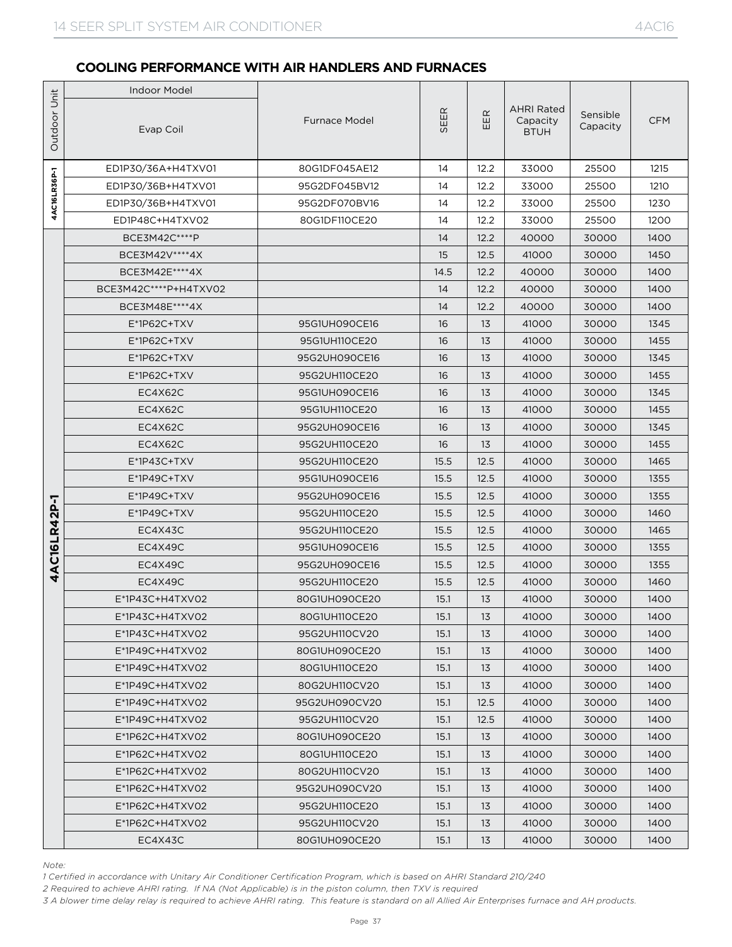|                 | <b>Indoor Model</b>                                                                                                                                                                                                                                                                                                                                                                 |                                |              |              |                                              |                      |              |  |
|-----------------|-------------------------------------------------------------------------------------------------------------------------------------------------------------------------------------------------------------------------------------------------------------------------------------------------------------------------------------------------------------------------------------|--------------------------------|--------------|--------------|----------------------------------------------|----------------------|--------------|--|
| Outdoor Unit    | Evap Coil                                                                                                                                                                                                                                                                                                                                                                           | <b>Furnace Model</b>           | SEER         | EER          | <b>AHRI Rated</b><br>Capacity<br><b>BTUH</b> | Sensible<br>Capacity | <b>CFM</b>   |  |
|                 | ED1P30/36A+H4TXV01                                                                                                                                                                                                                                                                                                                                                                  | 80G1DF045AE12                  | 14           | 12.2         | 33000                                        | 25500                | 1215         |  |
|                 | ED1P30/36B+H4TXV01                                                                                                                                                                                                                                                                                                                                                                  | 95G2DF045BV12                  | 14           | 12.2         | 33000                                        | 25500                | 1210         |  |
| 4AC16LR36P-1    | ED1P30/36B+H4TXV01                                                                                                                                                                                                                                                                                                                                                                  | 95G2DF070BV16                  | 14           | 12.2         | 33000                                        | 25500                | 1230         |  |
|                 | ED1P48C+H4TXV02                                                                                                                                                                                                                                                                                                                                                                     | 80G1DF110CE20                  | 14           | 12.2         | 33000                                        | 25500                | 1200         |  |
|                 | BCE3M42C****P                                                                                                                                                                                                                                                                                                                                                                       |                                | 14           | 12.2         | 40000                                        | 30000                | 1400         |  |
|                 | BCE3M42V****4X                                                                                                                                                                                                                                                                                                                                                                      |                                | 15           | 12.5         | 41000                                        | 30000                | 1450         |  |
|                 | BCE3M42E **** 4X                                                                                                                                                                                                                                                                                                                                                                    |                                | 14.5         | 12.2         | 40000                                        | 30000                | 1400         |  |
|                 | BCE3M42C****P+H4TXV02                                                                                                                                                                                                                                                                                                                                                               |                                | 14           | 12.2         | 40000                                        | 30000                | 1400         |  |
|                 | BCE3M48E **** 4X                                                                                                                                                                                                                                                                                                                                                                    |                                | 14           | 12.2         | 40000                                        | 30000                | 1400         |  |
|                 | $E^*$ 1P62C+TXV                                                                                                                                                                                                                                                                                                                                                                     | 95G1UH090CE16                  | 16           | 13           | 41000                                        | 30000                | 1345         |  |
|                 | E*1P62C+TXV                                                                                                                                                                                                                                                                                                                                                                         | 95G1UH110CE20                  | 16           | 13           | 41000                                        | 30000                | 1455         |  |
|                 | $E^*$ 1P62C+TXV                                                                                                                                                                                                                                                                                                                                                                     | 95G2UH090CE16                  | 16           | 13           | 41000                                        | 30000                | 1345         |  |
| ℸ<br>4AC16LR42P | $E^*$ 1P62C+TXV                                                                                                                                                                                                                                                                                                                                                                     | 95G2UH110CE20                  | 16           | 13           | 41000                                        | 30000                | 1455         |  |
|                 | EC4X62C                                                                                                                                                                                                                                                                                                                                                                             | 95G1UH090CE16                  | 16           | 13           | 41000                                        | 30000                | 1345         |  |
|                 | EC4X62C                                                                                                                                                                                                                                                                                                                                                                             | 95G1UH110CE20                  | 16           | 13           | 41000                                        | 30000                | 1455         |  |
|                 | EC4X62C                                                                                                                                                                                                                                                                                                                                                                             | 95G2UH090CE16                  | 16           | 13           | 41000                                        | 30000                | 1345         |  |
|                 | EC4X62C                                                                                                                                                                                                                                                                                                                                                                             | 95G2UH110CE20                  | 16           | 13           | 41000                                        | 30000                | 1455         |  |
|                 | $E^*$ 1P43C+TXV                                                                                                                                                                                                                                                                                                                                                                     | 95G2UH110CE20                  | 15.5         | 12.5         | 41000                                        | 30000                | 1465         |  |
|                 | E*1P49C+TXV<br>$E^*$ 1P49C+TXV                                                                                                                                                                                                                                                                                                                                                      | 95G1UH090CE16<br>95G2UH090CE16 | 15.5<br>15.5 | 12.5<br>12.5 | 41000<br>41000                               | 30000                | 1355<br>1355 |  |
|                 | E*1P49C+TXV                                                                                                                                                                                                                                                                                                                                                                         | 95G2UH110CE20                  | 15.5         | 12.5         | 41000                                        | 30000<br>30000       | 1460         |  |
|                 | EC4X43C                                                                                                                                                                                                                                                                                                                                                                             | 95G2UH110CE20                  | 15.5         | 12.5         | 41000                                        | 30000                | 1465         |  |
|                 | EC4X49C                                                                                                                                                                                                                                                                                                                                                                             | 95G1UH090CE16                  | 15.5         | 12.5         | 41000                                        | 30000                | 1355         |  |
|                 | EC4X49C                                                                                                                                                                                                                                                                                                                                                                             | 95G2UH090CE16                  | 15.5         | 12.5         | 41000                                        | 30000                | 1355         |  |
|                 | EC4X49C                                                                                                                                                                                                                                                                                                                                                                             | 95G2UH110CE20                  | 15.5         | 12.5         | 41000                                        | 30000                | 1460         |  |
|                 | E*1P43C+H4TXV02                                                                                                                                                                                                                                                                                                                                                                     | 80G1UH090CE20                  | 15.1         | 13           | 41000                                        | 30000                | 1400         |  |
|                 | E*1P43C+H4TXV02                                                                                                                                                                                                                                                                                                                                                                     | 80G1UH110CE20                  | 15.1         | 13           | 41000                                        | 30000                | 1400         |  |
|                 | $E^*$ 1P43C+H4TXV02                                                                                                                                                                                                                                                                                                                                                                 | 95G2UH110CV20                  | 15.1         | 13           | 41000                                        | 30000                | 1400         |  |
|                 | E*1P49C+H4TXV02                                                                                                                                                                                                                                                                                                                                                                     | 80G1UH090CE20                  | 15.1         | 13           | 41000                                        | 30000                | 1400         |  |
|                 | E*1P49C+H4TXV02                                                                                                                                                                                                                                                                                                                                                                     | 80G1UH110CE20                  | 15.1         | 13           | 41000                                        | 30000                | 1400         |  |
|                 | $E^*$ 1P49C+H4TXV02                                                                                                                                                                                                                                                                                                                                                                 | 80G2UH110CV20                  | 15.1         | 13           | 41000                                        | 30000                | 1400         |  |
|                 | $E^*$ 1P49C+H4TXV02                                                                                                                                                                                                                                                                                                                                                                 | 95G2UH090CV20                  | 15.1         | 12.5         | 41000                                        | 30000                | 1400         |  |
|                 | $E^*$ 1P49C+H4TXV02                                                                                                                                                                                                                                                                                                                                                                 | 95G2UH110CV20                  | 15.1         | 12.5         | 41000                                        | 30000                | 1400         |  |
|                 | E*1P62C+H4TXV02                                                                                                                                                                                                                                                                                                                                                                     | 80G1UH090CE20                  | 15.1         | 13           | 41000                                        | 30000                | 1400         |  |
|                 | E*1P62C+H4TXV02                                                                                                                                                                                                                                                                                                                                                                     | 80G1UH110CE20                  | 15.1         | 13           | 41000                                        | 30000                | 1400         |  |
|                 | $E^*$ 1P62C+H4TXV02                                                                                                                                                                                                                                                                                                                                                                 | 80G2UH110CV20                  | 15.1         | 13           | 41000                                        | 30000                | 1400         |  |
|                 | E*1P62C+H4TXV02                                                                                                                                                                                                                                                                                                                                                                     | 95G2UH090CV20                  | 15.1         | 13           | 41000                                        | 30000                | 1400         |  |
|                 | E*1P62C+H4TXV02                                                                                                                                                                                                                                                                                                                                                                     | 95G2UH110CE20                  | 15.1         | 13           | 41000                                        | 30000                | 1400         |  |
|                 | E*1P62C+H4TXV02                                                                                                                                                                                                                                                                                                                                                                     | 95G2UH110CV20                  | 15.1         | 13           | 41000                                        | 30000                | 1400         |  |
|                 | EC4X43C                                                                                                                                                                                                                                                                                                                                                                             | 80G1UH090CE20                  | 15.1         | 13           | 41000                                        | 30000                | 1400         |  |
| Note:           | 1 Certified in accordance with Unitary Air Conditioner Certification Program, which is based on AHRI Standard 210/240<br>2 Required to achieve AHRI rating. If NA (Not Applicable) is in the piston column, then TXV is required<br>3 A blower time delay relay is required to achieve AHRI rating. This feature is standard on all Allied Air Enterprises furnace and AH products. |                                |              |              |                                              |                      |              |  |

*Note:*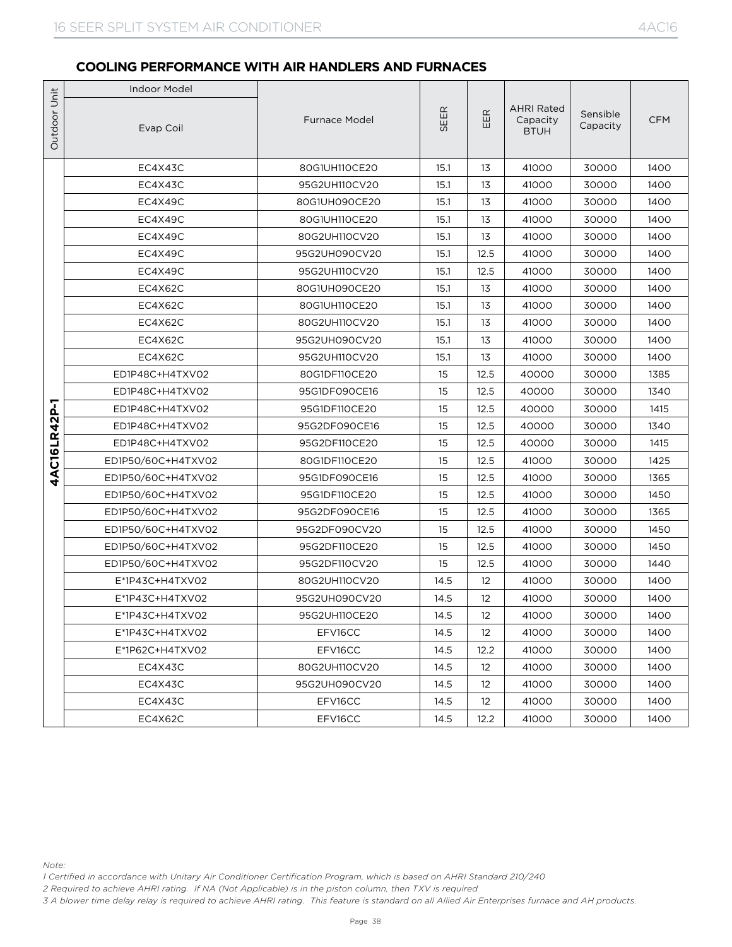|              | <b>Indoor Model</b>                      |                                |          |                   |                                              |                      |              |  |
|--------------|------------------------------------------|--------------------------------|----------|-------------------|----------------------------------------------|----------------------|--------------|--|
| Outdoor Unit | Evap Coil                                | <b>Furnace Model</b>           | SEER     | EER               | <b>AHRI Rated</b><br>Capacity<br><b>BTUH</b> | Sensible<br>Capacity | <b>CFM</b>   |  |
|              | EC4X43C                                  | 80G1UH110CE20                  | 15.1     | 13                | 41000                                        | 30000                | 1400         |  |
|              | EC4X43C                                  | 95G2UH110CV20                  | 15.1     | 13                | 41000                                        | 30000                | 1400         |  |
|              | EC4X49C                                  | 80G1UH090CE20                  | 15.1     | 13                | 41000                                        | 30000                | 1400         |  |
|              | EC4X49C                                  | 80G1UH110CE20                  | 15.1     | 13                | 41000                                        | 30000                | 1400         |  |
|              | EC4X49C                                  | 80G2UH110CV20                  | 15.1     | 13                | 41000                                        | 30000                | 1400         |  |
|              | EC4X49C                                  | 95G2UH090CV20                  | 15.1     | 12.5              | 41000                                        | 30000                | 1400         |  |
|              | EC4X49C                                  | 95G2UH110CV20                  | 15.1     | 12.5              | 41000                                        | 30000                | 1400         |  |
|              | EC4X62C                                  | 80G1UH090CE20                  | 15.1     | 13                | 41000                                        | 30000                | 1400         |  |
|              | EC4X62C                                  | 80G1UH110CE20                  | 15.1     | 13                | 41000                                        | 30000                | 1400         |  |
|              | EC4X62C                                  | 80G2UH110CV20                  | 15.1     | 13                | 41000                                        | 30000                | 1400         |  |
|              | EC4X62C                                  | 95G2UH090CV20                  | 15.1     | 13                | 41000                                        | 30000                | 1400         |  |
|              | EC4X62C                                  | 95G2UH110CV20                  | 15.1     | 13                | 41000                                        | 30000                | 1400         |  |
|              | ED1P48C+H4TXV02                          | 80G1DF110CE20                  | 15       | 12.5              | 40000                                        | 30000                | 1385         |  |
|              | ED1P48C+H4TXV02                          | 95G1DF090CE16                  | 15       | 12.5              | 40000                                        | 30000                | 1340         |  |
|              | ED1P48C+H4TXV02                          | 95G1DF110CE20                  | 15       | 12.5              | 40000                                        | 30000                | 1415         |  |
|              | ED1P48C+H4TXV02                          | 95G2DF090CE16                  | 15       | 12.5              | 40000                                        | 30000                | 1340         |  |
| 4AC16LR42P-1 | ED1P48C+H4TXV02                          | 95G2DF110CE20                  | 15       | 12.5              | 40000                                        | 30000                | 1415         |  |
|              | ED1P50/60C+H4TXV02                       | 80G1DF110CE20                  | 15<br>15 | 12.5              | 41000                                        | 30000                | 1425         |  |
|              | ED1P50/60C+H4TXV02                       | 95G1DF090CE16                  |          | 12.5<br>12.5      | 41000                                        | 30000                | 1365         |  |
|              | ED1P50/60C+H4TXV02<br>ED1P50/60C+H4TXV02 | 95G1DF110CE20<br>95G2DF090CE16 | 15<br>15 | 12.5              | 41000<br>41000                               | 30000<br>30000       | 1450<br>1365 |  |
|              | ED1P50/60C+H4TXV02                       | 95G2DF090CV20                  | 15       | 12.5              | 41000                                        | 30000                | 1450         |  |
|              | ED1P50/60C+H4TXV02                       | 95G2DF110CE20                  | 15       | 12.5              | 41000                                        | 30000                | 1450         |  |
|              | ED1P50/60C+H4TXV02                       | 95G2DF110CV20                  | 15       | 12.5              | 41000                                        | 30000                | 1440         |  |
|              | $E^*$ 1P43C+H4TXV02                      | 80G2UH110CV20                  | 14.5     | 12                | 41000                                        | 30000                | 1400         |  |
|              | E*1P43C+H4TXV02                          | 95G2UH090CV20                  | 14.5     | $12 \overline{ }$ | 41000                                        | 30000                | 1400         |  |
|              | E*1P43C+H4TXV02                          | 95G2UH110CE20                  | 14.5     | 12                | 41000                                        | 30000                | 1400         |  |
|              | $E^*$ 1P43C+H4TXV02                      | EFV16CC                        | 14.5     | $12 \overline{ }$ | 41000                                        | 30000                | 1400         |  |
|              | E*1P62C+H4TXV02                          | EFV16CC                        | 14.5     | 12.2              | 41000                                        | 30000                | 1400         |  |
|              | EC4X43C                                  | 80G2UH110CV20                  | 14.5     | $12 \overline{ }$ | 41000                                        | 30000                | 1400         |  |
|              | EC4X43C                                  | 95G2UH090CV20                  | 14.5     | 12                | 41000                                        | 30000                | 1400         |  |
|              | EC4X43C                                  | EFV16CC                        | 14.5     | $12 \overline{ }$ | 41000                                        | 30000                | 1400         |  |
|              | EC4X62C                                  | EFV16CC                        | 14.5     | 12.2              | 41000                                        | 30000                | 1400         |  |

*Note:*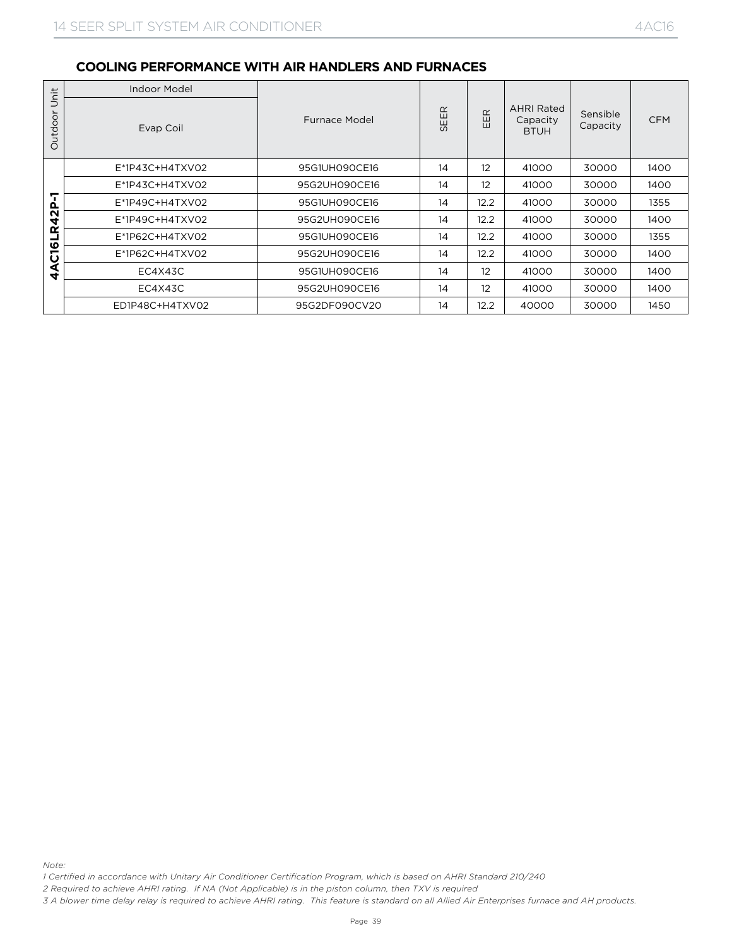|                                                                                                                                                                                                                                                            | Indoor Model                                                                                                          |               |      |      |                                              |                      |                       |  |
|------------------------------------------------------------------------------------------------------------------------------------------------------------------------------------------------------------------------------------------------------------|-----------------------------------------------------------------------------------------------------------------------|---------------|------|------|----------------------------------------------|----------------------|-----------------------|--|
| Outdoor Unit                                                                                                                                                                                                                                               | Evap Coil                                                                                                             | Furnace Model | SEER | EER  | <b>AHRI Rated</b><br>Capacity<br><b>BTUH</b> | Sensible<br>Capacity | $\mathsf{CFM}\xspace$ |  |
|                                                                                                                                                                                                                                                            | E*1P43C+H4TXV02                                                                                                       | 95G1UH090CE16 | 14   | 12   | 41000                                        | 30000                | 1400                  |  |
|                                                                                                                                                                                                                                                            | E*1P43C+H4TXV02                                                                                                       | 95G2UH090CE16 | 14   | 12   | 41000                                        | 30000                | 1400                  |  |
|                                                                                                                                                                                                                                                            | E*1P49C+H4TXV02                                                                                                       | 95G1UH090CE16 | 14   | 12.2 | 41000                                        | 30000                | 1355                  |  |
| 4AC16LR42P-1                                                                                                                                                                                                                                               | E*1P49C+H4TXV02                                                                                                       | 95G2UH090CE16 | 14   | 12.2 | 41000                                        | 30000                | 1400                  |  |
|                                                                                                                                                                                                                                                            | E*1P62C+H4TXV02                                                                                                       | 95G1UH090CE16 | 14   | 12.2 | 41000                                        | 30000                | 1355                  |  |
|                                                                                                                                                                                                                                                            | E*1P62C+H4TXV02                                                                                                       | 95G2UH090CE16 | 14   | 12.2 | 41000                                        | 30000                | 1400                  |  |
|                                                                                                                                                                                                                                                            | EC4X43C                                                                                                               | 95G1UH090CE16 | 14   | 12   | 41000                                        | 30000                | 1400                  |  |
|                                                                                                                                                                                                                                                            | EC4X43C                                                                                                               | 95G2UH090CE16 | 14   | 12   | 41000                                        | 30000                | 1400                  |  |
|                                                                                                                                                                                                                                                            | ED1P48C+H4TXV02                                                                                                       | 95G2DF090CV20 | 14   | 12.2 | 40000                                        | 30000                | 1450                  |  |
| Note:                                                                                                                                                                                                                                                      |                                                                                                                       |               |      |      |                                              |                      |                       |  |
|                                                                                                                                                                                                                                                            | 1 Certified in accordance with Unitary Air Conditioner Certification Program, which is based on AHRI Standard 210/240 |               |      |      |                                              |                      |                       |  |
| 2 Required to achieve AHRI rating. If NA (Not Applicable) is in the piston column, then TXV is required<br>3 A blower time delay relay is required to achieve AHRI rating. This feature is standard on all Allied Air Enterprises furnace and AH products. |                                                                                                                       |               |      |      |                                              |                      |                       |  |

*Note:*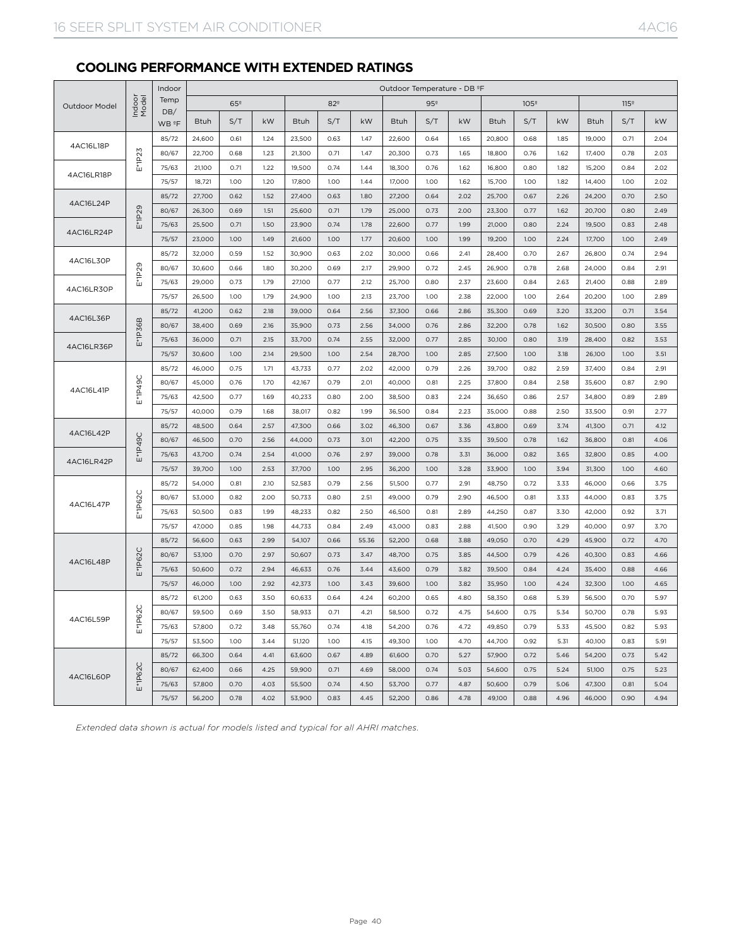## **COOLING PERFORMANCE WITH EXTENDED RATINGS**

|                      |                 | Indoor                   | Outdoor Temperature - DB ºF |                 |      |        |                 |       |        |                 |      |        |                  |      |        |                  |      |
|----------------------|-----------------|--------------------------|-----------------------------|-----------------|------|--------|-----------------|-------|--------|-----------------|------|--------|------------------|------|--------|------------------|------|
| <b>Outdoor Model</b> | Indoor<br>Model | Temp                     |                             | 65 <sup>°</sup> |      |        | 82 <sup>°</sup> |       |        | 95 <sup>°</sup> |      |        | 105 <sup>°</sup> |      |        | 115 <sup>°</sup> |      |
|                      |                 | DB/<br>WB <sup>º</sup> F | <b>Btuh</b>                 | S/T             | kW   | Btuh   | S/T             | kW    | Btuh   | S/T             | kW   | Btuh   | S/T              | kW   | Btuh   | S/T              | kW   |
|                      |                 | 85/72                    | 24,600                      | 0.61            | 1.24 | 23,500 | 0.63            | 1.47  | 22,600 | 0.64            | 1.65 | 20,800 | 0.68             | 1.85 | 19,000 | 0.71             | 2.04 |
| 4AC16L18P            |                 | 80/67                    | 22,700                      | 0.68            | 1.23 | 21,300 | 0.71            | 1.47  | 20,300 | 0.73            | 1.65 | 18,800 | 0.76             | 1.62 | 17,400 | 0.78             | 2.03 |
|                      | E*1P23          | 75/63                    | 21,100                      | 0.71            | 1.22 | 19,500 | 0.74            | 1.44  | 18,300 | 0.76            | 1.62 | 16,800 | 0.80             | 1.82 | 15,200 | 0.84             | 2.02 |
| 4AC16LR18P           |                 | 75/57                    | 18,721                      | 1.00            | 1.20 | 17,800 | 1.00            | 1.44  | 17,000 | 1.00            | 1.62 | 15,700 | 1.00             | 1.82 | 14,400 | 1.00             | 2.02 |
|                      |                 | 85/72                    | 27,700                      | 0.62            | 1.52 | 27,400 | 0.63            | 1.80  | 27,200 | 0.64            | 2.02 | 25,700 | 0.67             | 2.26 | 24,200 | 0.70             | 2.50 |
| 4AC16L24P            |                 | 80/67                    | 26,300                      | 0.69            | 1.51 | 25,600 | 0.71            | 1.79  | 25,000 | 0.73            | 2.00 | 23,300 | 0.77             | 1.62 | 20,700 | 0.80             | 2.49 |
|                      | E*1P29          | 75/63                    | 25,500                      | 0.71            | 1.50 | 23,900 | 0.74            | 1.78  | 22,600 | 0.77            | 1.99 | 21,000 | 0.80             | 2.24 | 19,500 | 0.83             | 2.48 |
| 4AC16LR24P           |                 | 75/57                    | 23,000                      | 1.00            | 1.49 | 21,600 | 1.00            | 1.77  | 20,600 | 1.00            | 1.99 | 19,200 | 1.00             | 2.24 | 17,700 | 1.00             | 2.49 |
|                      |                 | 85/72                    | 32,000                      | 0.59            | 1.52 | 30,900 | 0.63            | 2.02  | 30,000 | 0.66            | 2.41 | 28,400 | 0.70             | 2.67 | 26,800 | 0.74             | 2.94 |
| 4AC16L30P            | E*1P29          | 80/67                    | 30,600                      | 0.66            | 1.80 | 30,200 | 0.69            | 2.17  | 29,900 | 0.72            | 2.45 | 26,900 | 0.78             | 2.68 | 24,000 | 0.84             | 2.91 |
|                      |                 | 75/63                    | 29,000                      | 0.73            | 1.79 | 27,100 | 0.77            | 2.12  | 25,700 | 0.80            | 2.37 | 23,600 | 0.84             | 2.63 | 21,400 | 0.88             | 2.89 |
| 4AC16LR30P           |                 | 75/57                    | 26,500                      | 1.00            | 1.79 | 24,900 | 1.00            | 2.13  | 23,700 | 1.00            | 2.38 | 22,000 | 1.00             | 2.64 | 20,200 | 1.00             | 2.89 |
|                      |                 | 85/72                    | 41,200                      | 0.62            | 2.18 | 39,000 | 0.64            | 2.56  | 37,300 | 0.66            | 2.86 | 35,300 | 0.69             | 3.20 | 33,200 | 0.71             | 3.54 |
| 4AC16L36P            | E*1P36B         | 80/67                    | 38,400                      | 0.69            | 2.16 | 35,900 | 0.73            | 2.56  | 34,000 | 0.76            | 2.86 | 32,200 | 0.78             | 1.62 | 30,500 | 0.80             | 3.55 |
|                      |                 | 75/63                    | 36,000                      | 0.71            | 2.15 | 33,700 | 0.74            | 2.55  | 32,000 | 0.77            | 2.85 | 30,100 | 0.80             | 3.19 | 28,400 | 0.82             | 3.53 |
| 4AC16LR36P           |                 | 75/57                    | 30,600                      | 1.00            | 2.14 | 29,500 | 1.00            | 2.54  | 28,700 | 1.00            | 2.85 | 27,500 | 1.00             | 3.18 | 26,100 | 1.00             | 3.51 |
|                      |                 | 85/72                    | 46,000                      | 0.75            | 1.71 | 43,733 | 0.77            | 2.02  | 42,000 | 0.79            | 2.26 | 39,700 | 0.82             | 2.59 | 37,400 | 0.84             | 2.91 |
|                      | E*1P49C         | 80/67                    | 45,000                      | 0.76            | 1.70 | 42,167 | 0.79            | 2.01  | 40,000 | 0.81            | 2.25 | 37,800 | 0.84             | 2.58 | 35,600 | 0.87             | 2.90 |
| 4AC16L41P            |                 | 75/63                    | 42,500                      | 0.77            | 1.69 | 40,233 | 0.80            | 2.00  | 38,500 | 0.83            | 2.24 | 36,650 | 0.86             | 2.57 | 34,800 | 0.89             | 2.89 |
|                      |                 | 75/57                    | 40,000                      | 0.79            | 1.68 | 38,017 | 0.82            | 1.99  | 36,500 | 0.84            | 2.23 | 35,000 | 0.88             | 2.50 | 33,500 | 0.91             | 2.77 |
|                      |                 | 85/72                    | 48,500                      | 0.64            | 2.57 | 47,300 | 0.66            | 3.02  | 46,300 | 0.67            | 3.36 | 43,800 | 0.69             | 3.74 | 41,300 | 0.71             | 4.12 |
| 4AC16L42P            |                 | 80/67                    | 46,500                      | 0.70            | 2.56 | 44,000 | 0.73            | 3.01  | 42,200 | 0.75            | 3.35 | 39,500 | 0.78             | 1.62 | 36,800 | 0.81             | 4.06 |
|                      | E*1P49C         | 75/63                    | 43,700                      | 0.74            | 2.54 | 41,000 | 0.76            | 2.97  | 39,000 | 0.78            | 3.31 | 36,000 | 0.82             | 3.65 | 32,800 | 0.85             | 4.00 |
| 4AC16LR42P           |                 | 75/57                    | 39,700                      | 1.00            | 2.53 | 37,700 | 1.00            | 2.95  | 36,200 | 1.00            | 3.28 | 33,900 | 1.00             | 3.94 | 31,300 | 1.00             | 4.60 |
|                      |                 | 85/72                    | 54,000                      | 0.81            | 2.10 | 52,583 | 0.79            | 2.56  | 51,500 | 0.77            | 2.91 | 48,750 | 0.72             | 3.33 | 46,000 | 0.66             | 3.75 |
|                      | E*1P62C         | 80/67                    | 53,000                      | 0.82            | 2.00 | 50,733 | 0.80            | 2.51  | 49,000 | 0.79            | 2.90 | 46,500 | 0.81             | 3.33 | 44,000 | 0.83             | 3.75 |
| 4AC16L47P            |                 | 75/63                    | 50,500                      | 0.83            | 1.99 | 48,233 | 0.82            | 2.50  | 46,500 | 0.81            | 2.89 | 44,250 | 0.87             | 3.30 | 42,000 | 0.92             | 3.71 |
|                      |                 | 75/57                    | 47,000                      | 0.85            | 1.98 | 44,733 | 0.84            | 2.49  | 43,000 | 0.83            | 2.88 | 41,500 | 0.90             | 3.29 | 40,000 | 0.97             | 3.70 |
|                      |                 | 85/72                    | 56,600                      | 0.63            | 2.99 | 54,107 | 0.66            | 55.36 | 52,200 | 0.68            | 3.88 | 49,050 | 0.70             | 4.29 | 45,900 | 0.72             | 4.70 |
| 4AC16L48P            | E*1P62C         | 80/67                    | 53,100                      | 0.70            | 2.97 | 50,607 | 0.73            | 3.47  | 48,700 | 0.75            | 3.85 | 44,500 | 0.79             | 4.26 | 40,300 | 0.83             | 4.66 |
|                      |                 | 75/63                    | 50,600                      | 0.72            | 2.94 | 46,633 | 0.76            | 3.44  | 43,600 | 0.79            | 3.82 | 39,500 | 0.84             | 4.24 | 35,400 | 0.88             | 4.66 |
|                      |                 | 75/57                    | 46,000                      | 1.00            | 2.92 | 42,373 | 1.00            | 3.43  | 39,600 | 1.00            | 3.82 | 35,950 | 1.00             | 4.24 | 32,300 | 1.00             | 4.65 |
|                      |                 | 85/72                    | 61,200                      | 0.63            | 3.50 | 60,633 | 0.64            | 4.24  | 60,200 | 0.65            | 4.80 | 58,350 | 0.68             | 5.39 | 56,500 | 0.70             | 5.97 |
|                      | 2C<br>ω         | 80/67                    | 59,500                      | 0.69            | 3.50 | 58,933 | 0.71            | 4.21  | 58,500 | 0.72            | 4.75 | 54,600 | 0.75             | 5.34 | 50,700 | 0.78             | 5.93 |
| 4AC16L59P            | E*1P            | 75/63                    | 57,800                      | 0.72            | 3.48 | 55,760 | 0.74            | 4.18  | 54,200 | 0.76            | 4.72 | 49,850 | 0.79             | 5.33 | 45,500 | 0.82             | 5.93 |
|                      |                 | 75/57                    | 53,500                      | 1.00            | 3.44 | 51,120 | 1.00            | 4.15  | 49,300 | 1.00            | 4.70 | 44,700 | 0.92             | 5.31 | 40,100 | 0.83             | 5.91 |
|                      |                 | 85/72                    | 66,300                      | 0.64            | 4.41 | 63,600 | 0.67            | 4.89  | 61,600 | 0.70            | 5.27 | 57,900 | 0.72             | 5.46 | 54,200 | 0.73             | 5.42 |
| 4AC16L60P            | E*1P62C         | 80/67                    | 62,400                      | 0.66            | 4.25 | 59,900 | 0.71            | 4.69  | 58,000 | 0.74            | 5.03 | 54,600 | 0.75             | 5.24 | 51,100 | 0.75             | 5.23 |
|                      |                 | 75/63                    | 57,800                      | 0.70            | 4.03 | 55,500 | 0.74            | 4.50  | 53,700 | 0.77            | 4.87 | 50,600 | 0.79             | 5.06 | 47,300 | 0.81             | 5.04 |
|                      |                 | 75/57                    | 56,200                      | 0.78            | 4.02 | 53,900 | 0.83            | 4.45  | 52,200 | 0.86            | 4.78 | 49,100 | 0.88             | 4.96 | 46,000 | 0.90             | 4.94 |

*Extended data shown is actual for models listed and typical for all AHRI matches.*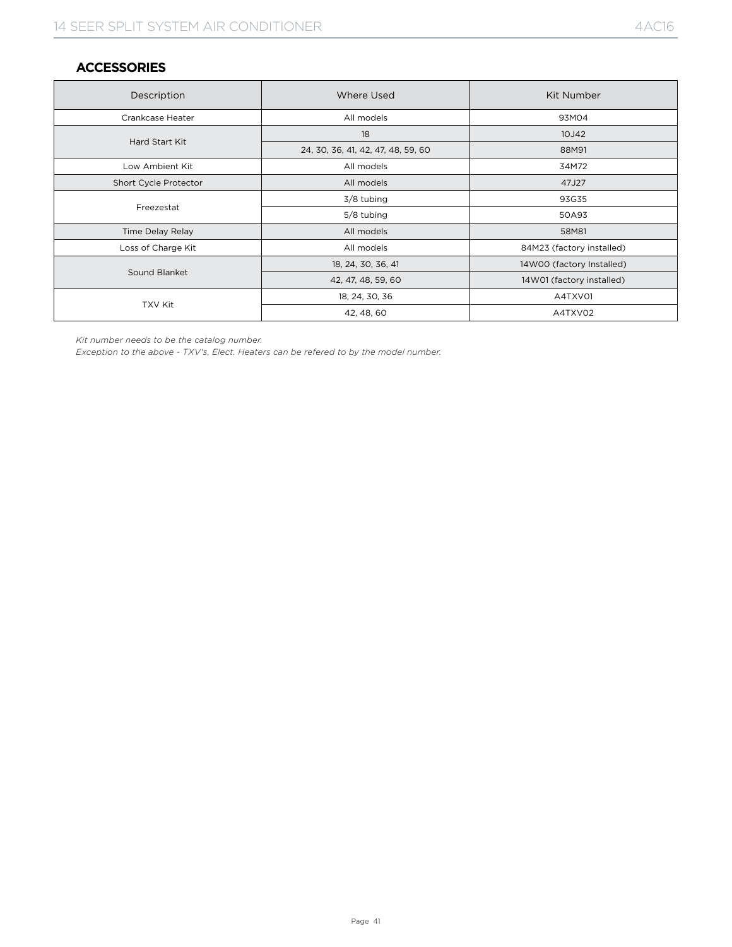#### **ACCESSORIES**

| Description           | Where Used                         | Kit Number                |  |  |  |  |
|-----------------------|------------------------------------|---------------------------|--|--|--|--|
| Crankcase Heater      | All models                         | 93M04                     |  |  |  |  |
|                       | 18                                 | 10J42                     |  |  |  |  |
| Hard Start Kit        | 24, 30, 36, 41, 42, 47, 48, 59, 60 | 88M91                     |  |  |  |  |
| Low Ambient Kit       | All models                         | 34M72                     |  |  |  |  |
| Short Cycle Protector | All models                         | 47J27                     |  |  |  |  |
|                       | 3/8 tubing                         | 93G35                     |  |  |  |  |
| Freezestat            | 5/8 tubing                         | 50A93                     |  |  |  |  |
| Time Delay Relay      | All models                         | 58M81                     |  |  |  |  |
| Loss of Charge Kit    | All models                         | 84M23 (factory installed) |  |  |  |  |
| Sound Blanket         | 18, 24, 30, 36, 41                 | 14W00 (factory Installed) |  |  |  |  |
|                       | 42, 47, 48, 59, 60                 | 14W01 (factory installed) |  |  |  |  |
|                       | 18, 24, 30, 36                     | A4TXV01                   |  |  |  |  |
| TXV Kit               | 42, 48, 60                         | A4TXV02                   |  |  |  |  |

*Kit number needs to be the catalog number.*

*Exception to the above - TXV's, Elect. Heaters can be refered to by the model number.*